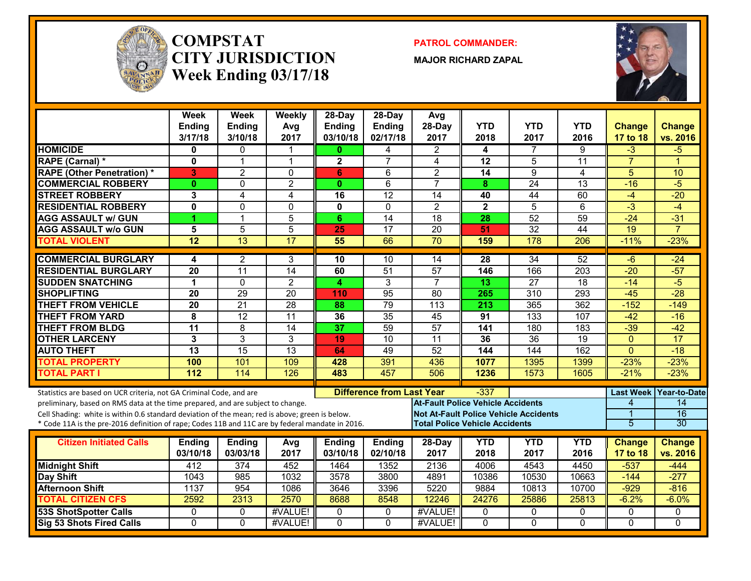

#### **COMPSTATCITY JURISDICTIONWeek Ending 03/17/18**

**PATROL COMMANDER:**

**MAJOR RICHARD ZAPAL**



|                                                                                                  | <b>Week</b><br><b>Ending</b><br>3/17/18 | Week<br><b>Ending</b><br>3/10/18 | Weekly<br>Avg<br>2017 | $28$ -Day<br><b>Ending</b><br>03/10/18 | $28-Dav$<br><b>Ending</b><br>02/17/18 | Avg<br>28-Day<br>2017                        | <b>YTD</b><br>2018 | <b>YTD</b><br>2017 | <b>YTD</b><br>2016 | <b>Change</b><br>17 to 18 | <b>Change</b><br>vs. 2016 |
|--------------------------------------------------------------------------------------------------|-----------------------------------------|----------------------------------|-----------------------|----------------------------------------|---------------------------------------|----------------------------------------------|--------------------|--------------------|--------------------|---------------------------|---------------------------|
| <b>HOMICIDE</b>                                                                                  | 0                                       | $\mathbf 0$                      | 1                     | $\mathbf{0}$                           | 4                                     | $\overline{2}$                               | 4                  | $\overline{7}$     | 9                  | $-3$                      | $-5$                      |
| <b>RAPE (Carnal) *</b>                                                                           | 0                                       | $\overline{1}$                   | $\mathbf{1}$          | 2                                      | $\overline{7}$                        | 4                                            | 12                 | 5                  | 11                 | $\overline{7}$            | $\overline{1}$            |
| <b>RAPE (Other Penetration)*</b>                                                                 | 3                                       | $\overline{2}$                   | $\mathbf 0$           | 6                                      | $6\,$                                 | $\overline{c}$                               | 14                 | 9                  | 4                  | 5                         | 10                        |
| <b>COMMERCIAL ROBBERY</b>                                                                        | $\mathbf{0}$                            | $\mathbf{0}$                     | $\overline{2}$        | $\bf{0}$                               | 6                                     | $\overline{7}$                               | 8                  | $\overline{24}$    | $\overline{13}$    | $-16$                     | $-5$                      |
| <b>STREET ROBBERY</b>                                                                            | 3                                       | $\overline{4}$                   | 4                     | 16                                     | $\overline{12}$                       | 14                                           | 40                 | 44                 | 60                 | $-4$                      | $-20$                     |
| <b>RESIDENTIAL ROBBERY</b>                                                                       | $\mathbf{0}$                            | 0                                | $\mathbf 0$           | 0                                      | $\mathbf{0}$                          | $\overline{2}$                               | $\mathbf{2}$       | 5                  | 6                  | $\overline{3}$            | $-4$                      |
| <b>AGG ASSAULT w/ GUN</b>                                                                        | 1                                       | $\overline{1}$                   | $\overline{5}$        | 6                                      | $\overline{14}$                       | $\overline{18}$                              | 28                 | $\overline{52}$    | 59                 | $-24$                     | $-31$                     |
| <b>AGG ASSAULT w/o GUN</b>                                                                       | 5                                       | 5                                | 5                     | 25                                     | $\overline{17}$                       | $\overline{20}$                              | 51                 | $\overline{32}$    | $\overline{44}$    | $\overline{19}$           | $\overline{7}$            |
| <b>TOTAL VIOLENT</b>                                                                             | $\overline{12}$                         | $\overline{13}$                  | $\overline{17}$       | 55                                     | 66                                    | $\overline{70}$                              | 159                | 178                | 206                | $-11%$                    | $-23%$                    |
| <b>COMMERCIAL BURGLARY</b>                                                                       | 4                                       | 2                                | 3                     | 10                                     | 10                                    | 14                                           | 28                 | $\overline{34}$    | 52                 | $-6$                      | $-24$                     |
| <b>RESIDENTIAL BURGLARY</b>                                                                      | 20                                      | $\overline{11}$                  | $\overline{14}$       | 60                                     | $\overline{51}$                       | $\overline{57}$                              | 146                | 166                | 203                | $-20$                     | $-57$                     |
| <b>SUDDEN SNATCHING</b>                                                                          | 1                                       | $\mathbf 0$                      | $\overline{2}$        | 4.                                     | $\overline{3}$                        | $\overline{7}$                               | 13                 | $\overline{27}$    | $\overline{18}$    | $-14$                     | $-5$                      |
| <b>SHOPLIFTING</b>                                                                               | $\overline{20}$                         | $\overline{29}$                  | $\overline{20}$       | 110                                    | 95                                    | $\overline{80}$                              | 265                | $\overline{310}$   | 293                | $-45$                     | $-28$                     |
| <b>THEFT FROM VEHICLE</b>                                                                        | $\overline{20}$                         | $\overline{21}$                  | $\overline{28}$       | 88                                     | 79                                    | $\overline{113}$                             | 213                | 365                | 362                | $-152$                    | $-149$                    |
| <b>THEFT FROM YARD</b>                                                                           | 8                                       | $\overline{12}$                  | $\overline{11}$       | 36                                     | 35                                    | 45                                           | 91                 | 133                | 107                | $-42$                     | $-16$                     |
| <b>THEFT FROM BLDG</b>                                                                           | $\overline{11}$                         | 8                                | $\overline{14}$       | 37                                     | 59                                    | $\overline{57}$                              | 141                | 180                | 183                | $-39$                     | $-42$                     |
| <b>OTHER LARCENY</b>                                                                             | 3                                       | $\overline{3}$                   | 3                     | 19                                     | $\overline{10}$                       | $\overline{11}$                              | 36                 | $\overline{36}$    | $\overline{19}$    | $\mathbf{0}$              | $\overline{17}$           |
| <b>AUTO THEFT</b>                                                                                | $\overline{13}$                         | 15                               | 13                    | 64                                     | 49                                    | 52                                           | 144                | 144                | 162                | $\mathbf{0}$              | $-18$                     |
| <b>TOTAL PROPERTY</b>                                                                            | 100                                     | 101                              | 109                   | 428                                    | 391                                   | 436                                          | 1077               | 1395               | 1399               | $-23%$                    | $-23%$                    |
| <b>TOTAL PART I</b>                                                                              | 112                                     | 114                              | 126                   | 483                                    | 457                                   | 506                                          | 1236               | 1573               | 1605               | $-21%$                    | $-23%$                    |
| Statistics are based on UCR criteria, not GA Criminal Code, and are                              |                                         |                                  |                       |                                        | <b>Difference from Last Year</b>      |                                              | $-337$             |                    |                    | <b>Last Week</b>          | Year-to-Date              |
| preliminary, based on RMS data at the time prepared, and are subject to change.                  |                                         |                                  |                       |                                        |                                       | <b>At-Fault Police Vehicle Accidents</b>     |                    |                    |                    | 4                         | 14                        |
| Cell Shading: white is within 0.6 standard deviation of the mean; red is above; green is below.  |                                         |                                  |                       |                                        |                                       | <b>Not At-Fault Police Vehicle Accidents</b> |                    |                    |                    |                           | $\overline{16}$           |
| * Code 11A is the pre-2016 definition of rape; Codes 11B and 11C are by federal mandate in 2016. |                                         |                                  |                       |                                        |                                       | <b>Total Police Vehicle Accidents</b>        |                    |                    |                    | 5                         | 30                        |
| <b>Citizen Initiated Calls</b>                                                                   | <b>Ending</b>                           | <b>Ending</b>                    | Avg                   | <b>Ending</b>                          | <b>Ending</b>                         | 28-Day                                       | <b>YTD</b>         | <b>YTD</b>         | <b>YTD</b>         | <b>Change</b>             | <b>Change</b>             |
|                                                                                                  | 03/10/18                                | 03/03/18                         | 2017                  | 03/10/18                               | 02/10/18                              | 2017                                         | 2018               | 2017               | 2016               | 17 to 18                  | vs. 2016                  |
| <b>Midnight Shift</b>                                                                            | 412                                     | 374                              | 452                   | 1464                                   | 1352                                  | 2136                                         | 4006               | 4543               | 4450               | $-537$                    | $-444$                    |
| Day Shift                                                                                        | 1043                                    | 985                              | 1032                  | 3578                                   | 3800                                  | 4891                                         | 10386              | 10530              | 10663              | $-144$                    | $-277$                    |
| <b>Afternoon Shift</b>                                                                           | 1137                                    | 954                              | 1086                  | 3646                                   | 3396                                  | 5220                                         | 9884               | 10813              | 10700              | $-929$                    | $-816$                    |
| <b>TOTAL CITIZEN CFS</b>                                                                         | 2592                                    | 2313                             | 2570                  | 8688                                   | 8548                                  | 12246                                        | 24276              | 25886              | 25813              | $-6.2%$                   | $-6.0%$                   |
| <b>53S ShotSpotter Calls</b>                                                                     | $\Omega$                                | $\mathbf{0}$                     | #VALUE!               | 0                                      | $\mathbf{0}$                          | #VALUE!                                      | 0                  | $\mathbf{0}$       | 0                  | $\mathbf{0}$              | $\Omega$                  |
| <b>Sig 53 Shots Fired Calls</b>                                                                  | $\Omega$                                | $\Omega$                         | #VALUE!               | $\Omega$                               | $\Omega$                              | #VALUE!                                      | $\Omega$           | $\Omega$           | $\Omega$           | $\Omega$                  | $\Omega$                  |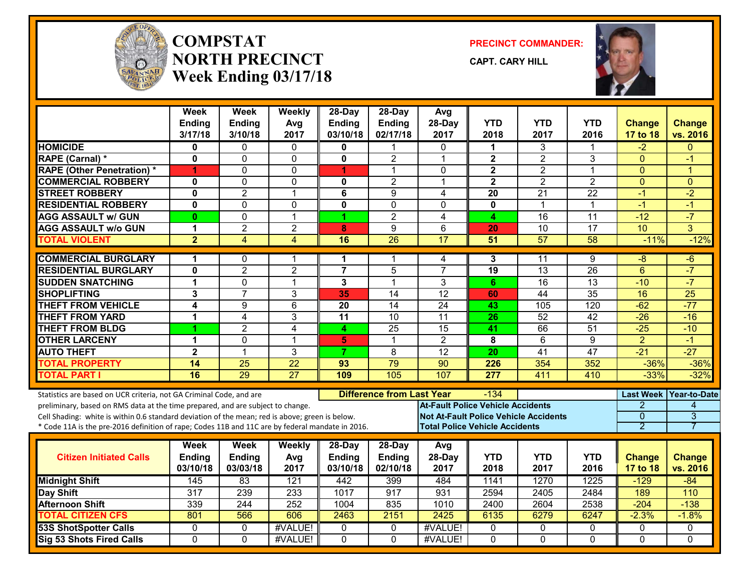

#### **COMPSTATNORTH PRECINCTWeek Ending 03/17/18**

**PRECINCT COMMANDER:**

**CAPT. CARY HILL**



|                                                                                                  | <b>Week</b><br><b>Ending</b><br>3/17/18 | <b>Week</b><br><b>Ending</b><br>3/10/18 | Weekly<br>Avg<br>2017   | $28$ -Day<br><b>Ending</b><br>03/10/18 | $28-Day$<br><b>Ending</b><br>02/17/18 | Avg<br>28-Day<br>2017                        | <b>YTD</b><br>2018 | <b>YTD</b><br>2017 | YTD<br>2016     | <b>Change</b><br><b>17 to 18</b> | <b>Change</b><br>vs. 2016 |
|--------------------------------------------------------------------------------------------------|-----------------------------------------|-----------------------------------------|-------------------------|----------------------------------------|---------------------------------------|----------------------------------------------|--------------------|--------------------|-----------------|----------------------------------|---------------------------|
| <b>HOMICIDE</b>                                                                                  | 0                                       | 0                                       | $\mathbf{0}$            | 0                                      | 1                                     | $\Omega$                                     | 1                  | 3                  | 1               | $-2$                             | $\Omega$                  |
| RAPE (Carnal) *                                                                                  | 0                                       | $\Omega$                                | 0                       | 0                                      | $\overline{2}$                        | $\mathbf 1$                                  | $\mathbf{2}$       | $\overline{2}$     | 3               | $\Omega$                         | -1                        |
| <b>RAPE (Other Penetration) *</b>                                                                | 4                                       | $\Omega$                                | $\mathbf 0$             | 4                                      | 1                                     | $\Omega$                                     | $\mathbf{2}$       | $\overline{2}$     | $\mathbf{1}$    | $\overline{0}$                   | 1                         |
| <b>COMMERCIAL ROBBERY</b>                                                                        | 0                                       | $\Omega$                                | 0                       | 0                                      | $\overline{2}$                        | $\mathbf 1$                                  | $\mathbf{2}$       | $\overline{2}$     | $\overline{2}$  | $\Omega$                         | $\Omega$                  |
| <b>STREET ROBBERY</b>                                                                            | $\mathbf{0}$                            | $\overline{2}$                          | $\mathbf{1}$            | $\overline{6}$                         | $\overline{9}$                        | 4                                            | $\overline{20}$    | $\overline{21}$    | $\overline{22}$ | $-1$                             | $-2$                      |
| <b>RESIDENTIAL ROBBERY</b>                                                                       | $\mathbf{0}$                            | $\Omega$                                | $\mathbf 0$             | $\mathbf{0}$                           | 0                                     | $\Omega$                                     | $\mathbf{0}$       | $\mathbf 1$        | 1               | $-1$                             | $-1$                      |
| <b>AGG ASSAULT W/ GUN</b>                                                                        | $\bf{0}$                                | $\mathbf 0$                             | $\mathbf 1$             | 1                                      | $\overline{2}$                        | 4                                            | 4                  | $\overline{16}$    | 11              | $-12$                            | $-7$                      |
| <b>AGG ASSAULT w/o GUN</b>                                                                       | 1                                       | $\overline{2}$                          | $\overline{2}$          | 8                                      | 9                                     | 6                                            | 20                 | $\overline{10}$    | 17              | 10                               | 3                         |
| <b>TOTAL VIOLENT</b>                                                                             | $\overline{2}$                          | $\overline{\mathbf{4}}$                 | $\overline{\mathbf{4}}$ | 16                                     | $\overline{26}$                       | $\overline{17}$                              | 51                 | $\overline{57}$    | $\overline{58}$ | $-11%$                           | $-12%$                    |
| <b>COMMERCIAL BURGLARY</b>                                                                       | 1                                       | $\mathbf{0}$                            | 1                       | 1                                      | 1                                     | 4                                            | 3                  | 11                 | 9               | -8                               | $-6$                      |
| <b>RESIDENTIAL BURGLARY</b>                                                                      | 0                                       | $\overline{2}$                          | $\overline{2}$          | $\overline{7}$                         | 5                                     | $\overline{7}$                               | 19                 | $\overline{13}$    | $\overline{26}$ | $6\phantom{1}$                   | $-7$                      |
| <b>SUDDEN SNATCHING</b>                                                                          | 1                                       | $\mathbf{0}$                            | 1                       | 3                                      | $\blacktriangleleft$                  | 3                                            | 6                  | 16                 | 13              | $-10$                            | $-7$                      |
| <b>SHOPLIFTING</b>                                                                               | 3                                       | $\overline{7}$                          | 3                       | 35                                     | $\overline{14}$                       | $\overline{12}$                              | 60                 | 44                 | $\overline{35}$ | 16                               | $\overline{25}$           |
| <b>THEFT FROM VEHICLE</b>                                                                        | 4                                       | 9                                       | 6                       | 20                                     | 14                                    | 24                                           | 43                 | 105                | 120             | $-62$                            | $-77$                     |
| <b>THEFT FROM YARD</b>                                                                           | 1                                       | 4                                       | 3                       | $\overline{11}$                        | $\overline{10}$                       | $\overline{11}$                              | $\overline{26}$    | $\overline{52}$    | $\overline{42}$ | $-26$                            | $-16$                     |
| <b>THEFT FROM BLDG</b>                                                                           |                                         | $\overline{2}$                          | $\overline{4}$          | 4                                      | $\overline{25}$                       | 15                                           | 41                 | 66                 | 51              | $-25$                            | $-10$                     |
| <b>OTHER LARCENY</b>                                                                             | 1                                       | $\Omega$                                | $\mathbf 1$             | 5                                      | 1                                     | $\overline{2}$                               | 8                  | 6                  | 9               | $\overline{2}$                   | $-1$                      |
| <b>AUTO THEFT</b>                                                                                | $\overline{\mathbf{2}}$                 | $\mathbf 1$                             | $\overline{3}$          | $\overline{7}$                         | 8                                     | $\overline{12}$                              | 20                 | $\overline{41}$    | 47              | $-21$                            | $-27$                     |
| <b>TOTAL PROPERTY</b>                                                                            | 14                                      | 25                                      | $\overline{22}$         | 93                                     | 79                                    | 90                                           | 226                | 354                | 352             | $-36%$                           | $-36%$                    |
| <b>TOTAL PART I</b>                                                                              | 16                                      | 29                                      | $\overline{27}$         | 109                                    | 105                                   | 107                                          | 277                | 411                | 410             | $-33%$                           | $-32%$                    |
| Statistics are based on UCR criteria, not GA Criminal Code, and are                              |                                         |                                         |                         |                                        | <b>Difference from Last Year</b>      |                                              | $-134$             |                    |                 |                                  | Last Week Year-to-Date    |
| preliminary, based on RMS data at the time prepared, and are subject to change.                  |                                         |                                         |                         |                                        |                                       | <b>At-Fault Police Vehicle Accidents</b>     |                    |                    |                 | $\overline{2}$                   | $\overline{\mathcal{A}}$  |
| Cell Shading: white is within 0.6 standard deviation of the mean; red is above; green is below.  |                                         |                                         |                         |                                        |                                       | <b>Not At-Fault Police Vehicle Accidents</b> |                    |                    |                 | $\overline{0}$                   | $\overline{3}$            |
| * Code 11A is the pre-2016 definition of rape; Codes 11B and 11C are by federal mandate in 2016. |                                         |                                         |                         |                                        |                                       | <b>Total Police Vehicle Accidents</b>        |                    |                    |                 | 2                                | 7                         |
|                                                                                                  | <b>Week</b>                             | <b>Week</b>                             | Weekly                  | 28-Day                                 | 28-Day                                | Avg                                          |                    |                    |                 |                                  |                           |
| <b>Citizen Initiated Calls</b>                                                                   | Ending                                  | <b>Ending</b>                           | Avg                     | <b>Ending</b>                          | <b>Ending</b>                         | 28-Day                                       | <b>YTD</b>         | <b>YTD</b>         | <b>YTD</b>      | <b>Change</b>                    | <b>Change</b>             |
|                                                                                                  | 03/10/18                                | 03/03/18                                | 2017                    | 03/10/18                               | 02/10/18                              | 2017                                         | 2018               | 2017               | 2016            | <b>17 to 18</b>                  | vs. 2016                  |
| <b>Midnight Shift</b>                                                                            | 145                                     | 83                                      | 121                     | 442                                    | 399                                   | 484                                          | 1141               | 1270               | 1225            | $-129$                           | $-84$                     |
| Day Shift                                                                                        | 317                                     | 239                                     | 233                     | 1017                                   | 917                                   | 931                                          | 2594               | 2405               | 2484            | 189                              | 110                       |
| <b>Afternoon Shift</b>                                                                           | 339                                     | 244                                     | 252                     | 1004                                   | 835                                   | 1010                                         | 2400               | 2604               | 2538            | $-204$                           | $-138$                    |
| <b>TOTAL CITIZEN CFS</b>                                                                         | 801                                     | 566                                     | 606                     | 2463                                   | 2151                                  | 2425                                         | 6135               | 6279               | 6247            | $-2.3%$                          | $-1.8%$                   |
| <b>53S ShotSpotter Calls</b>                                                                     | $\Omega$                                | $\mathbf{0}$                            | #VALUE!                 | $\mathbf{0}$                           | 0                                     | #VALUE!                                      | 0                  | 0                  | 0               | 0                                | 0                         |
| Sig 53 Shots Fired Calls                                                                         | $\Omega$                                | $\Omega$                                | #VALUE!                 | $\Omega$                               | $\Omega$                              | #VALUE!                                      | $\Omega$           | $\Omega$           | $\Omega$        | $\Omega$                         | $\Omega$                  |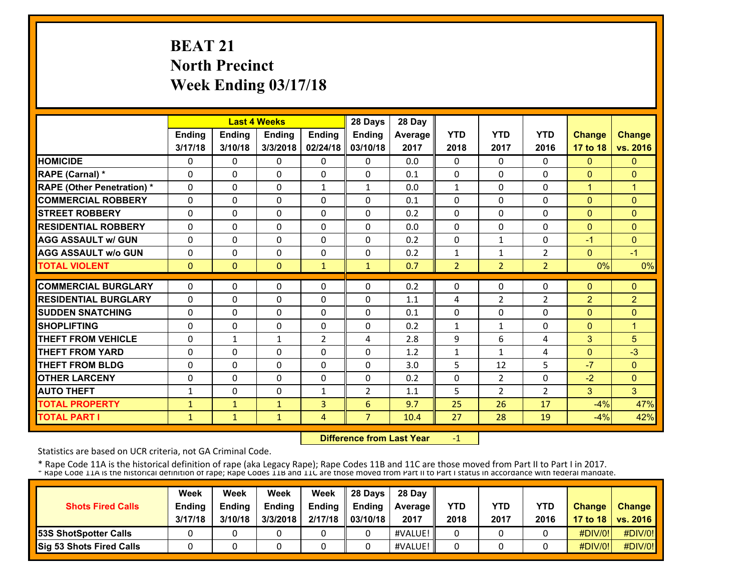# **BEAT 21 North Precinct Week Ending 03/17/18**

|                                   |              |               | <b>Last 4 Weeks</b> |              | 28 Days        | 28 Day  |                |                |                |                |                |
|-----------------------------------|--------------|---------------|---------------------|--------------|----------------|---------|----------------|----------------|----------------|----------------|----------------|
|                                   | Ending       | <b>Ending</b> | Ending              | Ending       | Ending         | Average | <b>YTD</b>     | <b>YTD</b>     | <b>YTD</b>     | <b>Change</b>  | <b>Change</b>  |
|                                   | 3/17/18      | 3/10/18       | 3/3/2018            | 02/24/18     | 03/10/18       | 2017    | 2018           | 2017           | 2016           | 17 to 18       | vs. 2016       |
| <b>HOMICIDE</b>                   | 0            | 0             | $\mathbf{0}$        | 0            | $\Omega$       | 0.0     | 0              | $\Omega$       | $\Omega$       | $\mathbf{0}$   | $\mathbf{0}$   |
| RAPE (Carnal) *                   | $\Omega$     | $\Omega$      | $\Omega$            | $\Omega$     | $\Omega$       | 0.1     | 0              | $\Omega$       | $\Omega$       | $\Omega$       | $\Omega$       |
| <b>RAPE (Other Penetration) *</b> | $\Omega$     | $\Omega$      | $\Omega$            | $\mathbf{1}$ | $\mathbf{1}$   | 0.0     | $\mathbf{1}$   | 0              | $\Omega$       | $\overline{1}$ | $\overline{1}$ |
| <b>COMMERCIAL ROBBERY</b>         | $\Omega$     | 0             | $\Omega$            | $\Omega$     | $\Omega$       | 0.1     | 0              | 0              | $\Omega$       | $\Omega$       | $\Omega$       |
| <b>STREET ROBBERY</b>             | $\Omega$     | $\Omega$      | $\Omega$            | $\Omega$     | $\Omega$       | 0.2     | 0              | 0              | $\Omega$       | $\Omega$       | $\mathbf{0}$   |
| <b>RESIDENTIAL ROBBERY</b>        | $\Omega$     | $\Omega$      | $\mathbf{0}$        | 0            | 0              | 0.0     | 0              | 0              | 0              | $\mathbf{0}$   | $\Omega$       |
| <b>AGG ASSAULT w/ GUN</b>         | 0            | 0             | $\Omega$            | 0            | $\Omega$       | 0.2     | 0              | $\mathbf{1}$   | 0              | $-1$           | $\mathbf{0}$   |
| <b>AGG ASSAULT w/o GUN</b>        | 0            | 0             | $\mathbf{0}$        | 0            | 0              | 0.2     | 1              | $\mathbf{1}$   | $\overline{2}$ | $\mathbf{0}$   | $-1$           |
| <b>TOTAL VIOLENT</b>              | $\mathbf{0}$ | $\Omega$      | $\mathbf{0}$        | $\mathbf{1}$ | $\mathbf{1}$   | 0.7     | $\overline{2}$ | $\overline{2}$ | $\overline{2}$ | 0%             | 0%             |
| <b>COMMERCIAL BURGLARY</b>        | $\Omega$     | $\Omega$      | $\Omega$            | $\Omega$     | $\Omega$       | 0.2     | 0              | 0              | $\Omega$       | $\mathbf{0}$   | $\Omega$       |
|                                   |              |               |                     |              |                |         |                |                |                |                |                |
| <b>RESIDENTIAL BURGLARY</b>       | $\Omega$     | $\Omega$      | $\Omega$            | $\Omega$     | $\Omega$       | 1.1     | 4              | $\overline{2}$ | $\overline{2}$ | $\overline{2}$ | $\overline{2}$ |
| <b>SUDDEN SNATCHING</b>           | 0            | 0             | $\mathbf{0}$        | 0            | 0              | 0.1     | 0              | 0              | $\Omega$       | $\mathbf{0}$   | $\Omega$       |
| <b>SHOPLIFTING</b>                | 0            | 0             | 0                   | 0            | 0              | 0.2     | 1              | $\mathbf{1}$   | 0              | $\mathbf{0}$   | $\mathbf{1}$   |
| <b>THEFT FROM VEHICLE</b>         | 0            | $\mathbf{1}$  | $\mathbf{1}$        | 2            | 4              | 2.8     | 9              | 6              | 4              | 3              | 5              |
| <b>THEFT FROM YARD</b>            | 0            | 0             | $\Omega$            | 0            | 0              | 1.2     | 1              | $\mathbf{1}$   | 4              | $\Omega$       | $-3$           |
| <b>THEFT FROM BLDG</b>            | 0            | 0             | $\Omega$            | 0            | $\Omega$       | 3.0     | 5              | 12             | 5              | $-7$           | $\Omega$       |
| <b>OTHER LARCENY</b>              | $\Omega$     | $\Omega$      | $\Omega$            | $\Omega$     | $\Omega$       | 0.2     | $\Omega$       | 2              | $\Omega$       | $-2$           | $\mathbf{0}$   |
| <b>AUTO THEFT</b>                 | $\mathbf{1}$ | $\Omega$      | $\Omega$            | $\mathbf{1}$ | $\overline{2}$ | 1.1     | 5              | $\overline{2}$ | $\overline{2}$ | 3              | 3              |
| <b>TOTAL PROPERTY</b>             | 1            | $\mathbf{1}$  | $\mathbf{1}$        | 3            | 6              | 9.7     | 25             | 26             | 17             | $-4%$          | 47%            |
| <b>TOTAL PART I</b>               | $\mathbf{1}$ | $\mathbf{1}$  | $\mathbf{1}$        | 4            | $\overline{7}$ | 10.4    | 27             | 28             | 19             | $-4%$          | 42%            |

 **Difference from Last Year**‐1

Statistics are based on UCR criteria, not GA Criminal Code.

|                              | Week          | Week          | Week          | Week          | 28 Davs       | 28 Day         |      |      |            |               |                     |
|------------------------------|---------------|---------------|---------------|---------------|---------------|----------------|------|------|------------|---------------|---------------------|
| <b>Shots Fired Calls</b>     | <b>Ending</b> | <b>Ending</b> | <b>Ending</b> | <b>Ending</b> | <b>Ending</b> | <b>Average</b> | YTD  | YTD  | <b>YTD</b> | <b>Change</b> | <b>Change</b>       |
|                              | 3/17/18       | 3/10/18       | 3/3/2018      | 2/17/18       | 03/10/18      | 2017           | 2018 | 2017 | 2016       |               | 17 to 18   vs. 2016 |
| <b>53S ShotSpotter Calls</b> |               |               |               |               |               | #VALUE!        |      |      |            | $\#$ DIV/0!   | #DIV/0!             |
| Sig 53 Shots Fired Calls     |               |               |               |               |               | #VALUE!        |      |      |            | #DIV/0!       | #DIV/0!             |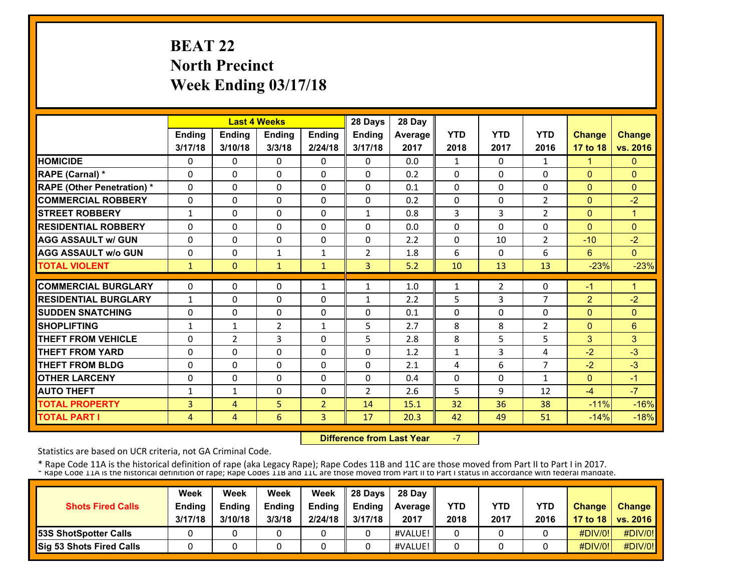# **BEAT 22 North Precinct Week Ending 03/17/18**

|                                   |              |                | <b>Last 4 Weeks</b> |                | 28 Days        | 28 Day         |            |                |                |                |               |
|-----------------------------------|--------------|----------------|---------------------|----------------|----------------|----------------|------------|----------------|----------------|----------------|---------------|
|                                   | Ending       | Ending         | <b>Ending</b>       | Ending         | Ending         | <b>Average</b> | <b>YTD</b> | <b>YTD</b>     | <b>YTD</b>     | Change         | <b>Change</b> |
|                                   | 3/17/18      | 3/10/18        | 3/3/18              | 2/24/18        | 3/17/18        | 2017           | 2018       | 2017           | 2016           | 17 to 18       | vs. 2016      |
| <b>HOMICIDE</b>                   | 0            | 0              | $\mathbf{0}$        | $\Omega$       | $\mathbf{0}$   | 0.0            | 1          | 0              | 1              | $\mathbf{1}$   | $\mathbf{0}$  |
| RAPE (Carnal) *                   | 0            | 0              | $\mathbf{0}$        | 0              | 0              | 0.2            | 0          | 0              | 0              | $\mathbf{0}$   | $\Omega$      |
| <b>RAPE (Other Penetration) *</b> | $\Omega$     | $\Omega$       | $\mathbf{0}$        | $\Omega$       | $\Omega$       | 0.1            | 0          | $\Omega$       | 0              | $\mathbf{0}$   | $\mathbf{0}$  |
| <b>COMMERCIAL ROBBERY</b>         | $\Omega$     | $\Omega$       | $\mathbf{0}$        | 0              | 0              | 0.2            | 0          | 0              | 2              | $\mathbf{0}$   | $-2$          |
| <b>STREET ROBBERY</b>             | $\mathbf{1}$ | $\Omega$       | $\mathbf{0}$        | 0              | 1              | 0.8            | 3          | 3              | 2              | $\mathbf{0}$   | $\mathbf{1}$  |
| <b>RESIDENTIAL ROBBERY</b>        | $\Omega$     | $\Omega$       | $\Omega$            | $\Omega$       | $\Omega$       | 0.0            | $\Omega$   | 0              | $\Omega$       | $\Omega$       | $\Omega$      |
| <b>AGG ASSAULT w/ GUN</b>         | $\Omega$     | $\Omega$       | $\Omega$            | $\Omega$       | $\Omega$       | 2.2            | $\Omega$   | 10             | $\overline{2}$ | $-10$          | $-2$          |
| <b>AGG ASSAULT w/o GUN</b>        | $\Omega$     | 0              | $\mathbf{1}$        | $\mathbf{1}$   | $\overline{2}$ | 1.8            | 6          | 0              | 6              | 6              | $\Omega$      |
| <b>TOTAL VIOLENT</b>              | 1            | $\Omega$       | $\mathbf{1}$        | $\mathbf{1}$   | $\overline{3}$ | 5.2            | 10         | 13             | 13             | $-23%$         | $-23%$        |
| <b>COMMERCIAL BURGLARY</b>        | 0            | $\Omega$       | $\mathbf{0}$        |                | $\mathbf{1}$   |                |            |                | 0              |                | 1             |
|                                   |              |                |                     | 1              |                | 1.0            | 1          | $\overline{2}$ |                | $-1$           |               |
| <b>RESIDENTIAL BURGLARY</b>       | $\mathbf{1}$ | $\Omega$       | $\mathbf{0}$        | 0              | 1              | 2.2            | 5          | 3              | $\overline{7}$ | $\overline{2}$ | $-2$          |
| <b>SUDDEN SNATCHING</b>           | 0            | $\Omega$       | $\Omega$            | $\Omega$       | $\Omega$       | 0.1            | $\Omega$   | 0              | $\Omega$       | $\mathbf{0}$   | $\mathbf{0}$  |
| <b>SHOPLIFTING</b>                | $\mathbf{1}$ | $\mathbf{1}$   | $\overline{2}$      | $\mathbf{1}$   | 5              | 2.7            | 8          | 8              | $\overline{2}$ | $\mathbf{0}$   | 6             |
| <b>THEFT FROM VEHICLE</b>         | 0            | $\overline{2}$ | 3                   | 0              | 5              | 2.8            | 8          | 5              | 5              | 3              | 3             |
| <b>THEFT FROM YARD</b>            | 0            | 0              | $\Omega$            | 0              | $\mathbf{0}$   | 1.2            | 1          | 3              | 4              | $-2$           | $-3$          |
| <b>THEFT FROM BLDG</b>            | 0            | 0              | $\Omega$            | 0              | 0              | 2.1            | 4          | 6              | $\overline{7}$ | $-2$           | $-3$          |
| <b>OTHER LARCENY</b>              | $\Omega$     | $\Omega$       | $\Omega$            | $\Omega$       | $\Omega$       | 0.4            | 0          | $\Omega$       | $\mathbf{1}$   | $\Omega$       | $-1$          |
| <b>AUTO THEFT</b>                 | $\mathbf{1}$ | $\mathbf{1}$   | $\Omega$            | $\Omega$       | $\overline{2}$ | 2.6            | 5          | 9              | 12             | $-4$           | $-7$          |
| <b>TOTAL PROPERTY</b>             | 3            | 4              | 5                   | $\overline{2}$ | 14             | 15.1           | 32         | 36             | 38             | $-11%$         | $-16%$        |
| <b>TOTAL PART I</b>               | 4            | 4              | 6                   | 3              | 17             | 20.3           | 42         | 49             | 51             | $-14%$         | $-18%$        |

 **Difference from Last Year**‐7

Statistics are based on UCR criteria, not GA Criminal Code.

| <b>Shots Fired Calls</b>        | Week<br><b>Ending</b><br>3/17/18 | Week<br><b>Endina</b><br>3/10/18 | Week<br><b>Ending</b><br>3/3/18 | Week<br>Ending<br>2/24/18 | 28 Days<br><b>Endina</b><br>3/17/18 | 28 Dav<br><b>Average II</b><br>2017 | YTD<br>2018 | YTD<br>2017 | <b>YTD</b><br>2016 | <b>Change</b> | <b>Change</b><br>17 to 18   vs. 2016 |
|---------------------------------|----------------------------------|----------------------------------|---------------------------------|---------------------------|-------------------------------------|-------------------------------------|-------------|-------------|--------------------|---------------|--------------------------------------|
| <b>53S ShotSpotter Calls</b>    |                                  |                                  |                                 |                           |                                     | #VALUE!                             |             |             |                    | $\#$ DIV/0!   | #DIV/0!                              |
| <b>Sig 53 Shots Fired Calls</b> |                                  |                                  |                                 |                           |                                     | #VALUE!                             |             |             |                    | #DIV/0!       | #DIV/0!                              |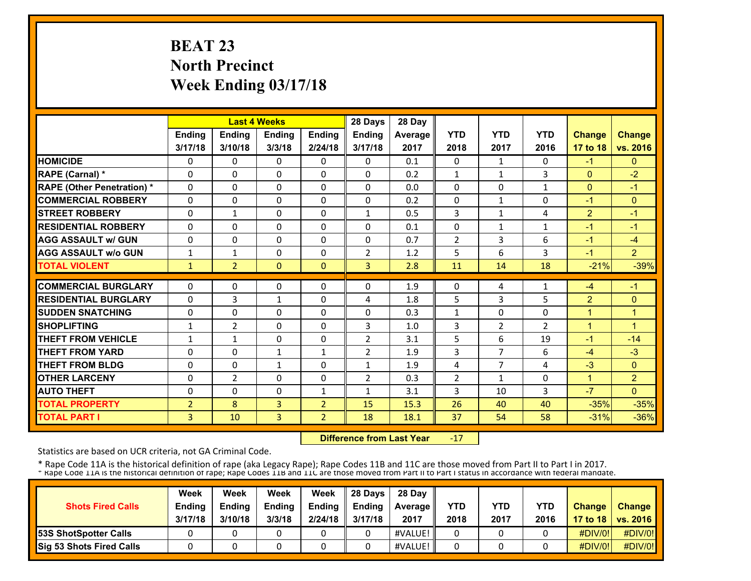# **BEAT 23 North Precinct Week Ending 03/17/18**

|                                   |                |                | <b>Last 4 Weeks</b> |                | 28 Days        | 28 Day  |                |                |              |                |                |
|-----------------------------------|----------------|----------------|---------------------|----------------|----------------|---------|----------------|----------------|--------------|----------------|----------------|
|                                   | <b>Ending</b>  | <b>Ending</b>  | <b>Ending</b>       | Ending         | Ending         | Average | <b>YTD</b>     | <b>YTD</b>     | <b>YTD</b>   | <b>Change</b>  | <b>Change</b>  |
|                                   | 3/17/18        | 3/10/18        | 3/3/18              | 2/24/18        | 3/17/18        | 2017    | 2018           | 2017           | 2016         | 17 to 18       | vs. 2016       |
| <b>HOMICIDE</b>                   | 0              | 0              | $\mathbf{0}$        | 0              | $\Omega$       | 0.1     | 0              | 1              | $\Omega$     | $-1$           | $\mathbf{0}$   |
| RAPE (Carnal) *                   | $\Omega$       | $\Omega$       | $\Omega$            | $\Omega$       | $\Omega$       | 0.2     | $\mathbf{1}$   | $\mathbf{1}$   | 3            | $\Omega$       | $-2$           |
| <b>RAPE (Other Penetration) *</b> | $\Omega$       | $\Omega$       | $\Omega$            | $\Omega$       | $\Omega$       | 0.0     | $\Omega$       | $\Omega$       | $\mathbf{1}$ | $\mathbf{0}$   | $-1$           |
| <b>COMMERCIAL ROBBERY</b>         | $\Omega$       | $\Omega$       | $\mathbf{0}$        | 0              | $\Omega$       | 0.2     | $\Omega$       | $\mathbf{1}$   | $\Omega$     | $-1$           | $\Omega$       |
| <b>STREET ROBBERY</b>             | $\Omega$       | $\mathbf{1}$   | $\Omega$            | $\Omega$       | $\mathbf{1}$   | 0.5     | 3              | $\mathbf{1}$   | 4            | $\overline{2}$ | $-1$           |
| <b>RESIDENTIAL ROBBERY</b>        | 0              | $\Omega$       | $\mathbf{0}$        | $\Omega$       | $\Omega$       | 0.1     | 0              | $\mathbf{1}$   | $\mathbf{1}$ | $-1$           | $-1$           |
| <b>AGG ASSAULT w/ GUN</b>         | 0              | 0              | $\mathbf{0}$        | 0              | 0              | 0.7     | $\overline{2}$ | 3              | 6            | $-1$           | $-4$           |
| <b>AGG ASSAULT w/o GUN</b>        | 1              | $\mathbf{1}$   | $\mathbf{0}$        | 0              | $\overline{2}$ | 1.2     | 5              | 6              | 3            | $-1$           | $\overline{2}$ |
| <b>TOTAL VIOLENT</b>              | $\mathbf{1}$   | $\overline{2}$ | $\mathbf{0}$        | $\Omega$       | $\overline{3}$ | 2.8     | 11             | 14             | 18           | $-21%$         | $-39%$         |
| <b>COMMERCIAL BURGLARY</b>        | 0              | $\Omega$       | $\mathbf{0}$        | 0              | $\Omega$       | 1.9     | 0              | 4              | $\mathbf{1}$ | $-4$           | $-1$           |
| <b>RESIDENTIAL BURGLARY</b>       | 0              | 3              | $\mathbf{1}$        | $\Omega$       | 4              | 1.8     | 5              | 3              | 5            | $\overline{2}$ | $\Omega$       |
| <b>SUDDEN SNATCHING</b>           | 0              | $\Omega$       | $\mathbf{0}$        | $\Omega$       | 0              | 0.3     | $\mathbf{1}$   | 0              | 0            | 4              | 1              |
| <b>SHOPLIFTING</b>                | $\mathbf{1}$   | $\overline{2}$ | $\mathbf{0}$        | 0              | 3              | 1.0     | 3              | 2              | 2            | 1              | 1              |
| <b>THEFT FROM VEHICLE</b>         | $\mathbf{1}$   | $\mathbf{1}$   | $\mathbf{0}$        | 0              | $\overline{2}$ | 3.1     | 5              | 6              | 19           | $-1$           | $-14$          |
| <b>THEFT FROM YARD</b>            | 0              | 0              | $\mathbf{1}$        | $\mathbf{1}$   | $\overline{2}$ | 1.9     | 3              | $\overline{7}$ | 6            | $-4$           | $-3$           |
| <b>THEFT FROM BLDG</b>            | 0              | 0              | $\mathbf{1}$        | 0              | $\mathbf{1}$   | 1.9     | 4              | $\overline{7}$ | 4            | $-3$           | $\mathbf{0}$   |
| <b>OTHER LARCENY</b>              | 0              | $\overline{2}$ | $\Omega$            | $\Omega$       | $\overline{2}$ | 0.3     | $\overline{2}$ | 1              | 0            | $\mathbf{1}$   | $\overline{2}$ |
| <b>AUTO THEFT</b>                 | 0              | $\Omega$       | $\Omega$            | 1              | 1              | 3.1     | 3              | 10             | 3            | $-7$           | $\Omega$       |
| <b>TOTAL PROPERTY</b>             | $\overline{2}$ | 8              | 3                   | $\overline{2}$ | 15             | 15.3    | 26             | 40             | 40           | $-35%$         | $-35%$         |
| <b>TOTAL PART I</b>               | 3              | 10             | 3                   | $\overline{2}$ | 18             | 18.1    | 37             | 54             | 58           | $-31%$         | $-36%$         |

 **Difference from Last Year**‐17

Statistics are based on UCR criteria, not GA Criminal Code.

|                              | Week          | Week          | Week          | Week          | 28 Davs       | 28 Day         |      |      |            |               |                     |
|------------------------------|---------------|---------------|---------------|---------------|---------------|----------------|------|------|------------|---------------|---------------------|
| <b>Shots Fired Calls</b>     | <b>Ending</b> | <b>Ending</b> | <b>Ending</b> | <b>Ending</b> | <b>Ending</b> | <b>Average</b> | YTD  | YTD  | <b>YTD</b> | <b>Change</b> | <b>Change</b>       |
|                              | 3/17/18       | 3/10/18       | 3/3/18        | 2/24/18       | 3/17/18       | 2017           | 2018 | 2017 | 2016       |               | 17 to 18   vs. 2016 |
| <b>53S ShotSpotter Calls</b> |               |               |               |               |               | #VALUE!        |      |      |            | $\#$ DIV/0!   | #DIV/0!             |
| Sig 53 Shots Fired Calls     |               |               |               |               |               | #VALUE!        |      |      |            | #DIV/0!       | #DIV/0!             |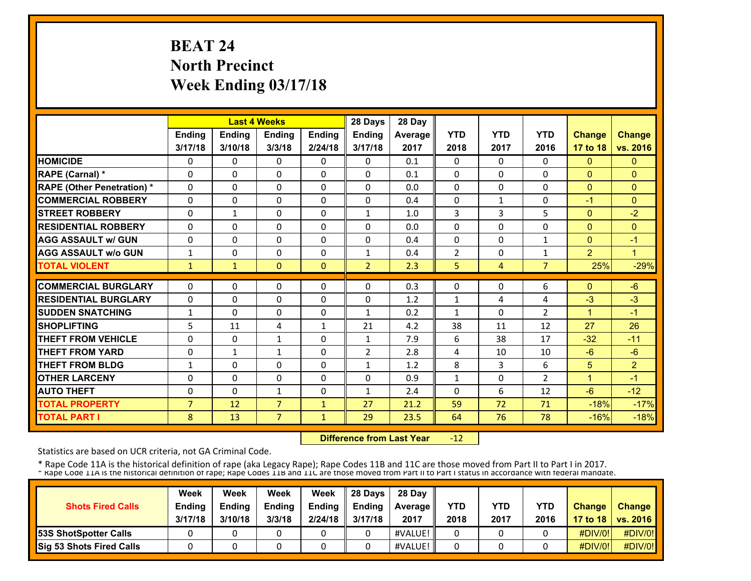# **BEAT 24 North Precinct Week Ending 03/17/18**

|                                   |                |               | <b>Last 4 Weeks</b> |              | 28 Days        | 28 Day  |                |              |                |                |                |
|-----------------------------------|----------------|---------------|---------------------|--------------|----------------|---------|----------------|--------------|----------------|----------------|----------------|
|                                   | <b>Ending</b>  | <b>Ending</b> | <b>Ending</b>       | Ending       | Ending         | Average | <b>YTD</b>     | <b>YTD</b>   | <b>YTD</b>     | <b>Change</b>  | <b>Change</b>  |
|                                   | 3/17/18        | 3/10/18       | 3/3/18              | 2/24/18      | 3/17/18        | 2017    | 2018           | 2017         | 2016           | 17 to 18       | vs. 2016       |
| <b>HOMICIDE</b>                   | 0              | 0             | $\Omega$            | 0            | $\Omega$       | 0.1     | 0              | $\Omega$     | $\Omega$       | $\mathbf{0}$   | $\mathbf{0}$   |
| RAPE (Carnal) *                   | $\Omega$       | $\Omega$      | $\Omega$            | $\Omega$     | $\Omega$       | 0.1     | $\Omega$       | $\Omega$     | $\Omega$       | $\Omega$       | $\Omega$       |
| <b>RAPE (Other Penetration) *</b> | 0              | $\Omega$      | $\Omega$            | $\Omega$     | $\Omega$       | 0.0     | $\Omega$       | $\Omega$     | $\Omega$       | $\mathbf{0}$   | $\Omega$       |
| <b>COMMERCIAL ROBBERY</b>         | 0              | $\Omega$      | $\Omega$            | 0            | $\Omega$       | 0.4     | $\Omega$       | $\mathbf{1}$ | $\Omega$       | $-1$           | $\Omega$       |
| <b>STREET ROBBERY</b>             | 0              | $\mathbf{1}$  | $\mathbf{0}$        | $\Omega$     | $\mathbf{1}$   | 1.0     | 3              | 3            | 5              | $\mathbf{0}$   | $-2$           |
| <b>RESIDENTIAL ROBBERY</b>        | $\Omega$       | $\Omega$      | $\Omega$            | $\Omega$     | $\Omega$       | 0.0     | $\Omega$       | $\Omega$     | $\Omega$       | $\overline{0}$ | $\Omega$       |
| <b>AGG ASSAULT w/ GUN</b>         | $\Omega$       | $\Omega$      | $\Omega$            | $\Omega$     | $\Omega$       | 0.4     | $\Omega$       | $\Omega$     | $\mathbf{1}$   | $\Omega$       | $-1$           |
| <b>AGG ASSAULT w/o GUN</b>        | $\mathbf 1$    | 0             | $\Omega$            | $\Omega$     | $\mathbf{1}$   | 0.4     | $\overline{2}$ | 0            | $\mathbf{1}$   | $\overline{2}$ | 1              |
| <b>TOTAL VIOLENT</b>              | $\mathbf{1}$   | $\mathbf{1}$  | $\mathbf{0}$        | $\Omega$     | $\overline{2}$ | 2.3     | 5.             | 4            | $\overline{7}$ | 25%            | $-29%$         |
| <b>COMMERCIAL BURGLARY</b>        | 0              | 0             | $\mathbf{0}$        | 0            | $\mathbf{0}$   | 0.3     | $\Omega$       | 0            | 6              | $\mathbf{0}$   | $-6$           |
| <b>RESIDENTIAL BURGLARY</b>       | $\Omega$       | $\Omega$      | $\Omega$            | $\Omega$     | $\Omega$       | 1.2     | $\mathbf{1}$   | 4            | 4              | $-3$           | $-3$           |
| <b>SUDDEN SNATCHING</b>           | $\mathbf{1}$   | $\Omega$      | $\mathbf{0}$        | 0            | $\mathbf{1}$   | 0.2     | $\mathbf{1}$   | 0            | 2              | 1              | $-1$           |
| <b>SHOPLIFTING</b>                | 5              | 11            | 4                   | $\mathbf{1}$ | 21             | 4.2     | 38             | 11           | 12             | 27             | 26             |
| <b>THEFT FROM VEHICLE</b>         | 0              | 0             | $\mathbf{1}$        | 0            | $\mathbf{1}$   | 7.9     | 6              | 38           | 17             | $-32$          | $-11$          |
| <b>THEFT FROM YARD</b>            | 0              | $\mathbf{1}$  | $\mathbf{1}$        | 0            | $\overline{2}$ | 2.8     | 4              | 10           | 10             | $-6$           | $-6$           |
| <b>THEFT FROM BLDG</b>            | $\mathbf{1}$   | $\Omega$      | $\Omega$            | $\Omega$     | $\mathbf{1}$   | 1.2     | 8              | 3            | 6              | 5              | $\overline{2}$ |
| <b>OTHER LARCENY</b>              | 0              | $\Omega$      | $\Omega$            | $\Omega$     | $\Omega$       | 0.9     | $\mathbf{1}$   | $\Omega$     | $\mathcal{P}$  | $\mathbf{1}$   | $-1$           |
| <b>AUTO THEFT</b>                 | 0              | $\Omega$      | $\mathbf{1}$        | 0            | $\mathbf{1}$   | 2.4     | $\Omega$       | 6            | 12             | $-6$           | $-12$          |
| <b>TOTAL PROPERTY</b>             | $\overline{7}$ | 12            | $\overline{7}$      | $\mathbf{1}$ | 27             | 21.2    | 59             | 72           | 71             | $-18%$         | $-17%$         |
| <b>TOTAL PART I</b>               | 8              | 13            | $\overline{7}$      | 1            | 29             | 23.5    | 64             | 76           | 78             | $-16%$         | $-18%$         |
|                                   |                |               |                     |              |                |         |                |              |                |                |                |

 **Difference from Last Year** $-12$ 

Statistics are based on UCR criteria, not GA Criminal Code.

| <b>Shots Fired Calls</b>        | Week<br><b>Ending</b><br>3/17/18 | Week<br><b>Ending</b><br>3/10/18 | Week<br><b>Ending</b><br>3/3/18 | Week<br><b>Endina</b><br>2/24/18 | 28 Davs<br><b>Ending</b><br>3/17/18 | 28 Day<br><b>Average II</b><br>2017 | YTD<br>2018 | <b>YTD</b><br>2017 | <b>YTD</b><br>2016 | <b>Change</b> | <b>Change</b><br>17 to 18   vs. 2016 |
|---------------------------------|----------------------------------|----------------------------------|---------------------------------|----------------------------------|-------------------------------------|-------------------------------------|-------------|--------------------|--------------------|---------------|--------------------------------------|
| <b>53S ShotSpotter Calls</b>    |                                  |                                  |                                 |                                  |                                     | #VALUE!                             |             |                    |                    | #DIV/0!       | #DIV/0!                              |
| <b>Sig 53 Shots Fired Calls</b> |                                  |                                  |                                 |                                  |                                     | #VALUE!                             |             |                    |                    | #DIV/0!       | #DIV/0!                              |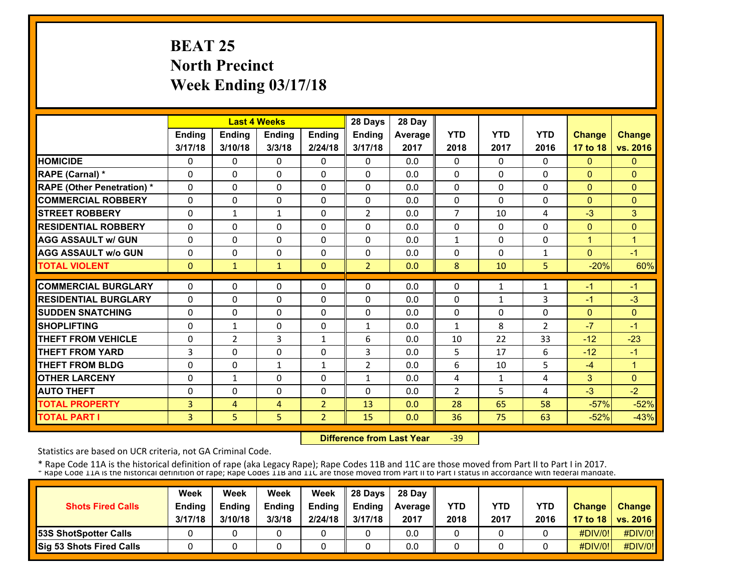# **BEAT 25 North Precinct Week Ending 03/17/18**

|                                   |          |               | <b>Last 4 Weeks</b> |                | 28 Days        | 28 Day  |                |              |                |               |                      |
|-----------------------------------|----------|---------------|---------------------|----------------|----------------|---------|----------------|--------------|----------------|---------------|----------------------|
|                                   | Ending   | <b>Ending</b> | <b>Ending</b>       | <b>Ending</b>  | Ending         | Average | <b>YTD</b>     | <b>YTD</b>   | <b>YTD</b>     | <b>Change</b> | <b>Change</b>        |
|                                   | 3/17/18  | 3/10/18       | 3/3/18              | 2/24/18        | 3/17/18        | 2017    | 2018           | 2017         | 2016           | 17 to 18      | vs. 2016             |
| <b>HOMICIDE</b>                   | 0        | 0             | $\Omega$            | 0              | $\Omega$       | 0.0     | 0              | $\Omega$     | 0              | $\mathbf{0}$  | $\mathbf{0}$         |
| RAPE (Carnal) *                   | 0        | 0             | $\mathbf{0}$        | $\Omega$       | $\Omega$       | 0.0     | 0              | 0            | $\Omega$       | $\mathbf{0}$  | $\Omega$             |
| <b>RAPE (Other Penetration) *</b> | $\Omega$ | $\Omega$      | $\Omega$            | 0              | $\Omega$       | 0.0     | 0              | $\Omega$     | $\Omega$       | $\mathbf{0}$  | $\mathbf{0}$         |
| <b>COMMERCIAL ROBBERY</b>         | 0        | 0             | $\mathbf{0}$        | 0              | 0              | 0.0     | 0              | 0            | 0              | $\mathbf{0}$  | $\Omega$             |
| <b>STREET ROBBERY</b>             | 0        | $\mathbf{1}$  | $\mathbf{1}$        | 0              | $\overline{2}$ | 0.0     | 7              | 10           | 4              | $-3$          | 3 <sup>1</sup>       |
| <b>RESIDENTIAL ROBBERY</b>        | 0        | 0             | $\Omega$            | 0              | $\Omega$       | 0.0     | 0              | 0            | $\Omega$       | $\mathbf{0}$  | $\Omega$             |
| <b>AGG ASSAULT w/ GUN</b>         | 0        | 0             | $\mathbf{0}$        | 0              | 0              | 0.0     | 1              | 0            | 0              | 1             | 1                    |
| <b>AGG ASSAULT w/o GUN</b>        | $\Omega$ | 0             | $\Omega$            | 0              | $\Omega$       | 0.0     | $\Omega$       | 0            | 1              | $\Omega$      | $-1$                 |
| <b>TOTAL VIOLENT</b>              | $\Omega$ | $\mathbf{1}$  | $\mathbf{1}$        | $\Omega$       | $\overline{2}$ | 0.0     | 8              | 10           | 5              | $-20%$        | 60%                  |
| <b>COMMERCIAL BURGLARY</b>        | $\Omega$ | 0             | $\Omega$            | $\Omega$       | $\Omega$       | 0.0     | 0              | $\mathbf{1}$ | 1              | $-1$          | $-1$                 |
| <b>RESIDENTIAL BURGLARY</b>       | $\Omega$ | $\Omega$      | $\Omega$            | 0              | $\Omega$       | 0.0     | 0              | $\mathbf{1}$ | 3              | $-1$          | $-3$                 |
| <b>SUDDEN SNATCHING</b>           | $\Omega$ | 0             | $\Omega$            | 0              | $\Omega$       | 0.0     | $\Omega$       | 0            | $\Omega$       | $\mathbf{0}$  | $\mathbf{0}$         |
| <b>SHOPLIFTING</b>                | $\Omega$ | $\mathbf{1}$  | $\Omega$            | $\Omega$       | $\mathbf{1}$   | 0.0     | 1              | 8            | $\overline{2}$ | $-7$          | $-1$                 |
| <b>THEFT FROM VEHICLE</b>         | $\Omega$ | 2             | 3                   | $\mathbf{1}$   | 6              | 0.0     | 10             | 22           | 33             | $-12$         | $-23$                |
| <b>THEFT FROM YARD</b>            | 3        | $\Omega$      | $\Omega$            | $\mathbf 0$    | 3              | 0.0     | 5              | 17           | 6              | $-12$         | $-1$                 |
| <b>THEFT FROM BLDG</b>            | 0        | $\Omega$      | $\mathbf{1}$        | 1              | $\overline{2}$ | 0.0     | 6              | 10           | 5              | $-4$          | $\blacktriangleleft$ |
| <b>OTHER LARCENY</b>              | $\Omega$ | $\mathbf{1}$  | $\Omega$            | $\Omega$       | $\mathbf{1}$   | 0.0     | 4              | $\mathbf{1}$ | 4              | 3             | $\Omega$             |
| <b>AUTO THEFT</b>                 | 0        | $\Omega$      | $\Omega$            | 0              | $\Omega$       | 0.0     | $\overline{2}$ | 5            | 4              | $-3$          | $-2$                 |
| <b>TOTAL PROPERTY</b>             | 3        | 4             | 4                   | $\overline{2}$ | 13             | 0.0     | 28             | 65           | 58             | $-57%$        | $-52%$               |
| <b>TOTAL PART I</b>               | 3        | 5             | 5                   | $\overline{2}$ | 15             | 0.0     | 36             | 75           | 63             | $-52%$        | $-43%$               |

 **Difference from Last Year**‐39

Statistics are based on UCR criteria, not GA Criminal Code.

|                              | Week          | Week          | Week          | Week          | 28 Davs       | 28 Day         |      |      |            |               |                     |
|------------------------------|---------------|---------------|---------------|---------------|---------------|----------------|------|------|------------|---------------|---------------------|
| <b>Shots Fired Calls</b>     | <b>Ending</b> | <b>Ending</b> | <b>Ending</b> | <b>Ending</b> | <b>Ending</b> | <b>Average</b> | YTD  | YTD  | <b>YTD</b> | <b>Change</b> | <b>Change</b>       |
|                              | 3/17/18       | 3/10/18       | 3/3/18        | 2/24/18       | 3/17/18       | 2017           | 2018 | 2017 | 2016       |               | 17 to 18   vs. 2016 |
| <b>53S ShotSpotter Calls</b> |               |               |               |               |               | 0.0            |      |      |            | #DIV/0!       | #DIV/0!             |
| Sig 53 Shots Fired Calls     |               |               |               |               |               | 0.0            |      |      |            | #DIV/0!       | #DIV/0!             |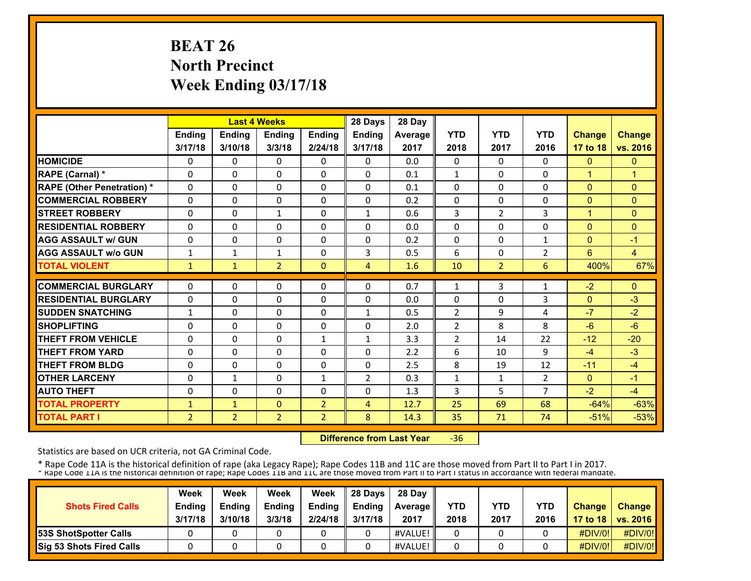# **BEAT 26 North Precinct Week Ending 03/17/18**

|                                   |                |                | <b>Last 4 Weeks</b> |                | 28 Days        | 28 Day         |                |                |                |               |                |
|-----------------------------------|----------------|----------------|---------------------|----------------|----------------|----------------|----------------|----------------|----------------|---------------|----------------|
|                                   | Ending         | <b>Ending</b>  | <b>Endina</b>       | <b>Endina</b>  | <b>Ending</b>  | <b>Average</b> | <b>YTD</b>     | <b>YTD</b>     | <b>YTD</b>     | <b>Change</b> | <b>Change</b>  |
|                                   | 3/17/18        | 3/10/18        | 3/3/18              | 2/24/18        | 3/17/18        | 2017           | 2018           | 2017           | 2016           | 17 to 18      | vs. 2016       |
| <b>HOMICIDE</b>                   | 0              | 0              | 0                   | 0              | $\Omega$       | 0.0            | 0              | 0              | 0              | $\mathbf{0}$  | $\mathbf{0}$   |
| RAPE (Carnal) *                   | $\Omega$       | $\Omega$       | $\Omega$            | $\Omega$       | $\Omega$       | 0.1            | $\mathbf{1}$   | $\Omega$       | $\Omega$       | $\mathbf{1}$  | $\mathbf{1}$   |
| <b>RAPE (Other Penetration) *</b> | $\Omega$       | $\Omega$       | $\Omega$            | $\Omega$       | $\Omega$       | 0.1            | 0              | 0              | $\Omega$       | $\Omega$      | $\Omega$       |
| <b>COMMERCIAL ROBBERY</b>         | $\Omega$       | 0              | $\Omega$            | $\Omega$       | $\Omega$       | 0.2            | $\Omega$       | 0              | $\Omega$       | $\Omega$      | $\Omega$       |
| <b>STREET ROBBERY</b>             | 0              | 0              | $\mathbf{1}$        | 0              | $\mathbf{1}$   | 0.6            | 3              | 2              | 3              | 1             | $\Omega$       |
| <b>RESIDENTIAL ROBBERY</b>        | 0              | 0              | $\Omega$            | 0              | $\Omega$       | 0.0            | $\Omega$       | 0              | $\Omega$       | $\mathbf{0}$  | $\Omega$       |
| <b>AGG ASSAULT w/ GUN</b>         | 0              | 0              | $\Omega$            | 0              | $\Omega$       | 0.2            | 0              | $\Omega$       | 1              | $\mathbf{0}$  | $-1$           |
| <b>AGG ASSAULT w/o GUN</b>        | 1              | $\mathbf{1}$   | $\mathbf{1}$        | 0              | 3              | 0.5            | 6              | 0              | $\overline{2}$ | 6             | $\overline{4}$ |
| <b>TOTAL VIOLENT</b>              | $\mathbf{1}$   | $\mathbf{1}$   | $\overline{2}$      | $\Omega$       | 4              | 1.6            | 10             | $\overline{2}$ | 6              | 400%          | 67%            |
| <b>COMMERCIAL BURGLARY</b>        |                | 0              |                     |                |                |                |                |                |                |               |                |
|                                   | 0              |                | $\mathbf{0}$        | 0              | $\mathbf{0}$   | 0.7            | 1              | 3              | 1              | $-2$          | $\Omega$       |
| <b>RESIDENTIAL BURGLARY</b>       | 0              | $\Omega$       | $\mathbf 0$         | $\Omega$       | $\Omega$       | 0.0            | $\Omega$       | 0              | 3              | $\mathbf{0}$  | $-3$           |
| <b>SUDDEN SNATCHING</b>           | $\mathbf{1}$   | $\Omega$       | $\Omega$            | $\Omega$       | $\mathbf{1}$   | 0.5            | $\overline{2}$ | 9              | 4              | $-7$          | $-2$           |
| <b>SHOPLIFTING</b>                | 0              | $\Omega$       | $\Omega$            | 0              | $\Omega$       | 2.0            | $\overline{2}$ | 8              | 8              | $-6$          | $-6$           |
| <b>THEFT FROM VEHICLE</b>         | $\Omega$       | 0              | $\Omega$            | $\mathbf{1}$   | $\mathbf{1}$   | 3.3            | $\overline{2}$ | 14             | 22             | $-12$         | $-20$          |
| <b>THEFT FROM YARD</b>            | $\Omega$       | $\Omega$       | $\Omega$            | 0              | $\Omega$       | 2.2            | 6              | 10             | 9              | $-4$          | $-3$           |
| <b>THEFT FROM BLDG</b>            | 0              | 0              | $\Omega$            | 0              | $\Omega$       | 2.5            | 8              | 19             | 12             | $-11$         | $-4$           |
| <b>OTHER LARCENY</b>              | 0              | $\mathbf{1}$   | $\Omega$            | 1              | $\overline{2}$ | 0.3            | 1              | $\mathbf{1}$   | $\overline{2}$ | $\mathbf{0}$  | $-1$           |
| <b>AUTO THEFT</b>                 | 0              | $\Omega$       | $\Omega$            | $\Omega$       | $\Omega$       | 1.3            | 3              | 5              | $\overline{7}$ | $-2$          | $-4$           |
| <b>TOTAL PROPERTY</b>             | 1              | $\mathbf{1}$   | $\mathbf{0}$        | $\overline{2}$ | 4              | 12.7           | 25             | 69             | 68             | $-64%$        | $-63%$         |
| <b>TOTAL PART I</b>               | $\overline{2}$ | $\overline{2}$ | $\overline{2}$      | $\overline{2}$ | 8              | 14.3           | 35             | 71             | 74             | $-51%$        | $-53%$         |

 **Difference from Last Year** $-36$ 

Statistics are based on UCR criteria, not GA Criminal Code.

|                              | Week          | Week          | Week          | Week          | 28 Davs       | 28 Day         |      |      |            |               |                     |
|------------------------------|---------------|---------------|---------------|---------------|---------------|----------------|------|------|------------|---------------|---------------------|
| <b>Shots Fired Calls</b>     | <b>Ending</b> | <b>Ending</b> | <b>Ending</b> | <b>Ending</b> | <b>Ending</b> | <b>Average</b> | YTD  | YTD  | <b>YTD</b> | <b>Change</b> | <b>Change</b>       |
|                              | 3/17/18       | 3/10/18       | 3/3/18        | 2/24/18       | 3/17/18       | 2017           | 2018 | 2017 | 2016       |               | 17 to 18   vs. 2016 |
| <b>53S ShotSpotter Calls</b> |               |               |               |               |               | #VALUE!        |      |      |            | $\#$ DIV/0!   | #DIV/0!             |
| Sig 53 Shots Fired Calls     |               |               |               |               |               | #VALUE!        |      |      |            | #DIV/0!       | #DIV/0!             |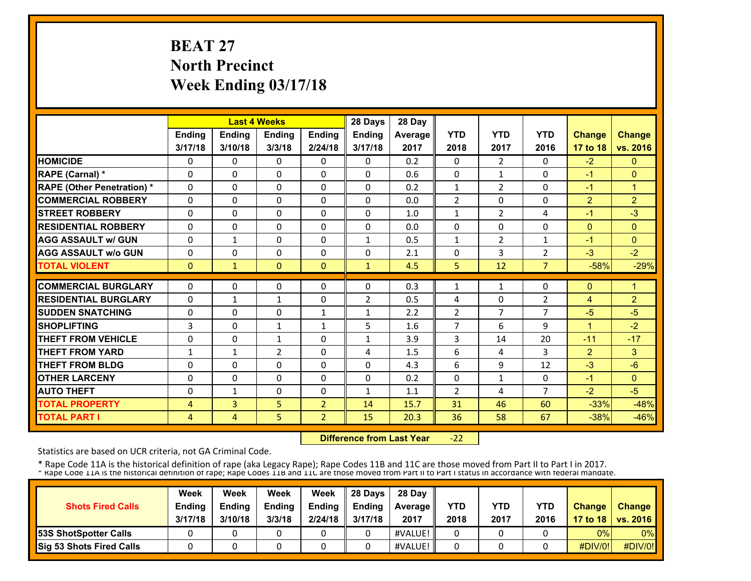# **BEAT 27 North Precinct Week Ending 03/17/18**

|                                   |              |              | <b>Last 4 Weeks</b> |                | 28 Days        | 28 Day  |                |                |                |                |                |
|-----------------------------------|--------------|--------------|---------------------|----------------|----------------|---------|----------------|----------------|----------------|----------------|----------------|
|                                   | Ending       | Ending       | <b>Ending</b>       | Ending         | Ending         | Average | <b>YTD</b>     | <b>YTD</b>     | <b>YTD</b>     | <b>Change</b>  | <b>Change</b>  |
|                                   | 3/17/18      | 3/10/18      | 3/3/18              | 2/24/18        | 3/17/18        | 2017    | 2018           | 2017           | 2016           | 17 to 18       | vs. 2016       |
| <b>HOMICIDE</b>                   | 0            | 0            | $\mathbf{0}$        | 0              | $\Omega$       | 0.2     | 0              | 2              | $\Omega$       | $-2$           | $\mathbf{0}$   |
| RAPE (Carnal) *                   | $\Omega$     | $\Omega$     | $\Omega$            | $\Omega$       | $\Omega$       | 0.6     | $\Omega$       | $\mathbf{1}$   | $\Omega$       | $-1$           | $\Omega$       |
| <b>RAPE (Other Penetration) *</b> | $\Omega$     | $\Omega$     | $\Omega$            | $\Omega$       | $\Omega$       | 0.2     | $\mathbf{1}$   | $\overline{2}$ | $\Omega$       | $-1$           | $\overline{1}$ |
| <b>COMMERCIAL ROBBERY</b>         | $\Omega$     | 0            | $\Omega$            | $\Omega$       | $\Omega$       | 0.0     | $\overline{2}$ | 0              | $\Omega$       | 2              | $\overline{2}$ |
| <b>STREET ROBBERY</b>             | $\Omega$     | $\Omega$     | $\Omega$            | $\Omega$       | $\Omega$       | 1.0     | $\mathbf{1}$   | $\overline{2}$ | 4              | $-1$           | $-3$           |
| <b>RESIDENTIAL ROBBERY</b>        | $\Omega$     | $\Omega$     | $\mathbf{0}$        | 0              | $\Omega$       | 0.0     | 0              | 0              | 0              | $\mathbf{0}$   | $\mathbf{0}$   |
| <b>AGG ASSAULT w/ GUN</b>         | $\Omega$     | $\mathbf{1}$ | $\Omega$            | 0              | $\mathbf{1}$   | 0.5     | $\mathbf{1}$   | $\overline{2}$ | 1              | $-1$           | $\mathbf{0}$   |
| <b>AGG ASSAULT w/o GUN</b>        | 0            | 0            | $\mathbf{0}$        | 0              | 0              | 2.1     | 0              | 3              | $\overline{2}$ | $-3$           | $-2$           |
| <b>TOTAL VIOLENT</b>              | $\mathbf{0}$ | 1            | $\mathbf{0}$        | $\Omega$       | $\mathbf{1}$   | 4.5     | 5              | 12             | $\overline{7}$ | $-58%$         | $-29%$         |
| <b>COMMERCIAL BURGLARY</b>        | $\Omega$     | $\Omega$     | $\Omega$            | $\Omega$       | $\Omega$       | 0.3     | 1              | $\mathbf{1}$   | $\Omega$       | $\mathbf{0}$   | 1              |
| <b>RESIDENTIAL BURGLARY</b>       | $\Omega$     | $\mathbf{1}$ | $\mathbf{1}$        | $\Omega$       | $\overline{2}$ | 0.5     | 4              | 0              | $\overline{2}$ | $\overline{4}$ | $\overline{2}$ |
| <b>SUDDEN SNATCHING</b>           | 0            | 0            | $\mathbf{0}$        | $\mathbf{1}$   | $\mathbf{1}$   | 2.2     | $\overline{2}$ | $\overline{7}$ | $\overline{7}$ | $-5$           | $-5$           |
| <b>SHOPLIFTING</b>                | 3            | $\Omega$     | $\mathbf{1}$        | $\mathbf{1}$   | 5              | 1.6     | 7              | 6              | 9              | 1              | $-2$           |
| <b>THEFT FROM VEHICLE</b>         | 0            | 0            | $\mathbf{1}$        | 0              | $\mathbf{1}$   | 3.9     | 3              | 14             | 20             | $-11$          | $-17$          |
| <b>THEFT FROM YARD</b>            | 1            | $\mathbf{1}$ | $\overline{2}$      | 0              | 4              | 1.5     | 6              | 4              | 3              | $\overline{2}$ | 3              |
| <b>THEFT FROM BLDG</b>            | 0            | 0            | $\Omega$            | 0              | $\Omega$       | 4.3     | 6              | 9              | 12             | $-3$           | $-6$           |
| <b>OTHER LARCENY</b>              | $\Omega$     | $\Omega$     | $\Omega$            | $\Omega$       | $\Omega$       | 0.2     | 0              | $\mathbf{1}$   | $\Omega$       | $-1$           | $\mathbf{0}$   |
| <b>AUTO THEFT</b>                 | 0            | $\mathbf{1}$ | $\Omega$            | $\Omega$       | $\mathbf{1}$   | 1.1     | $\overline{2}$ | 4              | $\overline{7}$ | $-2$           | $-5$           |
| <b>TOTAL PROPERTY</b>             | 4            | 3            | 5                   | $\overline{2}$ | 14             | 15.7    | 31             | 46             | 60             | $-33%$         | $-48%$         |
| <b>TOTAL PART I</b>               | 4            | 4            | 5.                  | $\overline{2}$ | 15             | 20.3    | 36             | 58             | 67             | $-38%$         | $-46%$         |

 **Difference from Last Year** $-22$ 

Statistics are based on UCR criteria, not GA Criminal Code.

| <b>Shots Fired Calls</b>        | Week<br><b>Ending</b> | Week<br><b>Endina</b> | Week<br><b>Ending</b> | Week<br>Ending | 28 Davs<br><b>Endina</b> | 28 Day<br><b>Average</b> II | YTD  | YTD  | <b>YTD</b> | <b>Change</b>  | <b>Change</b>       |
|---------------------------------|-----------------------|-----------------------|-----------------------|----------------|--------------------------|-----------------------------|------|------|------------|----------------|---------------------|
|                                 | 3/17/18               | 3/10/18               | 3/3/18                | 2/24/18        | 3/17/18                  | 2017                        | 2018 | 2017 | 2016       |                | 17 to 18   vs. 2016 |
| <b>53S ShotSpotter Calls</b>    |                       |                       |                       |                |                          | #VALUE!                     |      |      |            | 0%             | $0\%$               |
| <b>Sig 53 Shots Fired Calls</b> |                       |                       |                       |                |                          | #VALUE!                     |      |      |            | <b>#DIV/0!</b> | #DIV/0!             |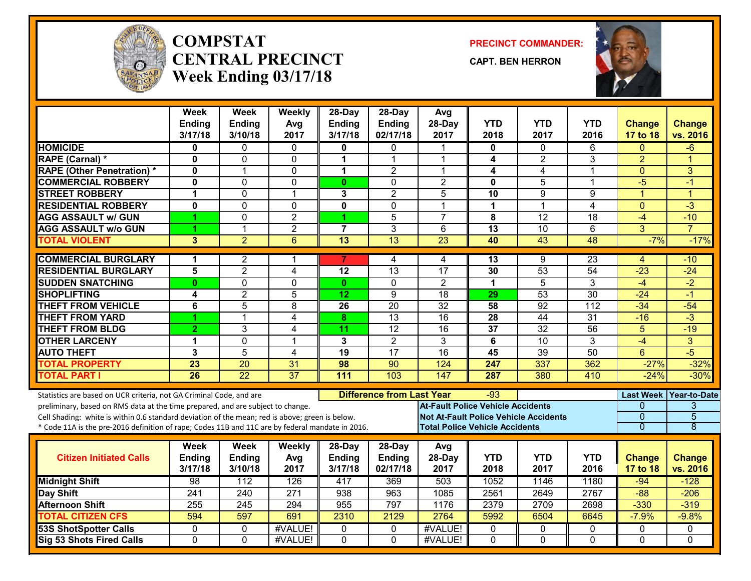

#### **COMPSTATCENTRAL PRECINCTWeek Ending 03/17/18**

**PRECINCT COMMANDER:**

**CAPT. BEN HERRON**



|                                                                                                  | <b>Week</b><br><b>Ending</b> | Week<br><b>Ending</b> | Weekly<br>Avg   | 28-Day<br><b>Ending</b> | 28-Day<br>Ending                 | Avg<br>28-Day                                | <b>YTD</b>      | <b>YTD</b>      | <b>YTD</b>       | <b>Change</b>  | <b>Change</b>          |
|--------------------------------------------------------------------------------------------------|------------------------------|-----------------------|-----------------|-------------------------|----------------------------------|----------------------------------------------|-----------------|-----------------|------------------|----------------|------------------------|
|                                                                                                  | 3/17/18                      | 3/10/18               | 2017            | 3/17/18                 | 02/17/18                         | 2017                                         | 2018            | 2017            | 2016             | 17 to 18       | vs. 2016               |
| <b>HOMICIDE</b>                                                                                  | 0                            | $\Omega$              | $\mathbf{0}$    | 0                       | 0                                | $\mathbf 1$                                  | $\mathbf{0}$    | 0               | 6                | $\Omega$       | $-6$                   |
| <b>RAPE (Carnal) *</b>                                                                           | $\bf{0}$                     | 0                     | 0               | 1                       | 1                                | $\mathbf 1$                                  | 4               | $\overline{2}$  | 3                | $\overline{2}$ | 1                      |
| <b>RAPE (Other Penetration) *</b>                                                                | 0                            | 1                     | 0               | 1                       | $\overline{2}$                   | $\mathbf 1$                                  | 4               | 4               | 1                | $\Omega$       | 3                      |
| <b>COMMERCIAL ROBBERY</b>                                                                        | $\mathbf{0}$                 | $\mathbf 0$           | 0               | $\mathbf{0}$            | $\Omega$                         | $\overline{2}$                               | $\mathbf{0}$    | 5               | $\mathbf{1}$     | $-5$           | -1                     |
| <b>STREET ROBBERY</b>                                                                            | 1                            | $\Omega$              | $\mathbf{1}$    | 3                       | $\overline{2}$                   | 5                                            | 10              | 9               | 9                | $\overline{1}$ | $\overline{1}$         |
| <b>RESIDENTIAL ROBBERY</b>                                                                       | 0                            | $\mathbf{0}$          | $\mathbf{0}$    | 0                       | $\mathbf{0}$                     | -1                                           | $\mathbf 1$     | $\mathbf 1$     | 4                | $\mathbf{0}$   | $-3$                   |
| <b>AGG ASSAULT w/ GUN</b>                                                                        | 1                            | $\mathbf 0$           | $\overline{2}$  |                         | $\overline{5}$                   | $\overline{7}$                               | 8               | $\overline{12}$ | 18               | $-4$           | $-10$                  |
| <b>AGG ASSAULT w/o GUN</b>                                                                       | 1                            | $\mathbf{1}$          | $\overline{2}$  | $\overline{7}$          | 3                                | 6                                            | $\overline{13}$ | 10              | 6                | 3              | $\overline{7}$         |
| <b>TOTAL VIOLENT</b>                                                                             | 3                            | $\overline{2}$        | $6\phantom{1}$  | $\overline{13}$         | 13                               | $\overline{23}$                              | 40              | 43              | 48               | $-7%$          | $-17%$                 |
| <b>COMMERCIAL BURGLARY</b>                                                                       | 1                            | $\overline{2}$        | 1               |                         | 4                                | 4                                            | 13              | 9               | $\overline{23}$  | 4              | -10                    |
| <b>RESIDENTIAL BURGLARY</b>                                                                      | 5                            | $\overline{2}$        | 4               | 12                      | 13                               | $\overline{17}$                              | 30              | $\overline{53}$ | $\overline{54}$  | $-23$          | $-24$                  |
| <b>SUDDEN SNATCHING</b>                                                                          | $\bf{0}$                     | 0                     | 0               | $\mathbf{0}$            | $\mathbf{0}$                     | $\overline{2}$                               | $\mathbf 1$     | 5               | 3                | $-4$           | $-2$                   |
| <b>SHOPLIFTING</b>                                                                               | 4                            | $\overline{2}$        | 5               | 12                      | 9                                | $\overline{18}$                              | 29              | $\overline{53}$ | $\overline{30}$  | $-24$          | $-1$                   |
| <b>THEFT FROM VEHICLE</b>                                                                        | 6                            | 5                     | 8               | $\overline{26}$         | $\overline{20}$                  | $\overline{32}$                              | $\overline{58}$ | $\overline{92}$ | $\overline{112}$ | $-34$          | $-54$                  |
| <b>THEFT FROM YARD</b>                                                                           | 1                            | $\mathbf{1}$          | 4               | 8                       | 13                               | 16                                           | $\overline{28}$ | $\overline{44}$ | $\overline{31}$  | $-16$          | $\overline{\cdot 3}$   |
| <b>THEFT FROM BLDG</b>                                                                           | $\overline{2}$               | 3                     | 4               | 11                      | $\overline{12}$                  | $\overline{16}$                              | 37              | $\overline{32}$ | 56               | 5              | $-19$                  |
| <b>OTHER LARCENY</b>                                                                             | 1                            | $\Omega$              | $\mathbf{1}$    | 3                       | $\overline{2}$                   | $\overline{3}$                               | 6               | $\overline{10}$ | 3                | $-4$           | $\overline{3}$         |
| <b>AUTO THEFT</b>                                                                                | 3                            | 5                     | 4               | 19                      | $\overline{17}$                  | 16                                           | 45              | 39              | 50               | 6              | $-5$                   |
| <b>TOTAL PROPERTY</b>                                                                            | 23                           | 20                    | 31              | 98                      | 90                               | 124                                          | 247             | 337             | 362              | $-27%$         | $-32%$                 |
| <b>TOTAL PART I</b>                                                                              | 26                           | $\overline{22}$       | $\overline{37}$ | 111                     | 103                              | 147                                          | 287             | 380             | 410              | $-24%$         | $-30%$                 |
| Statistics are based on UCR criteria, not GA Criminal Code, and are                              |                              |                       |                 |                         | <b>Difference from Last Year</b> |                                              | -93             |                 |                  |                | Last Week Year-to-Date |
| preliminary, based on RMS data at the time prepared, and are subject to change.                  |                              |                       |                 |                         |                                  | <b>At-Fault Police Vehicle Accidents</b>     |                 |                 |                  | $\Omega$       | 3                      |
| Cell Shading: white is within 0.6 standard deviation of the mean; red is above; green is below.  |                              |                       |                 |                         |                                  | <b>Not At-Fault Police Vehicle Accidents</b> |                 |                 |                  | $\mathbf 0$    | $\overline{5}$         |
| * Code 11A is the pre-2016 definition of rape; Codes 11B and 11C are by federal mandate in 2016. |                              |                       |                 |                         |                                  | <b>Total Police Vehicle Accidents</b>        |                 |                 |                  | $\overline{0}$ | $\overline{8}$         |
|                                                                                                  | Week                         | Week                  | Weekly          | 28-Day                  | 28-Day                           | Avg                                          |                 |                 |                  |                |                        |
| <b>Citizen Initiated Calls</b>                                                                   | <b>Ending</b>                | <b>Ending</b>         | Avg             | <b>Ending</b>           | <b>Ending</b>                    | 28-Day                                       | <b>YTD</b>      | <b>YTD</b>      | <b>YTD</b>       | <b>Change</b>  | <b>Change</b>          |
|                                                                                                  | 3/17/18                      | 3/10/18               | 2017            | 3/17/18                 | 02/17/18                         | 2017                                         | 2018            | 2017            | 2016             | 17 to 18       | vs. 2016               |
| <b>Midnight Shift</b>                                                                            | 98                           | 112                   | 126             | 417                     | 369                              | 503                                          | 1052            | 1146            | 1180             | $-94$          | $-128$                 |
| Day Shift                                                                                        | 241                          | 240                   | 271             | 938                     | 963                              | 1085                                         | 2561            | 2649            | 2767             | $-88$          | $-206$                 |
| <b>Afternoon Shift</b>                                                                           | $\overline{255}$             | $\overline{245}$      | 294             | 955                     | 797                              | 1176                                         | 2379            | 2709            | 2698             | $-330$         | $-319$                 |
| <b>TOTAL CITIZEN CFS</b>                                                                         | 594                          | 597                   | 691             | 2310                    | 2129                             | 2764                                         | 5992            | 6504            | 6645             | $-7.9%$        | $-9.8%$                |
| <b>53S ShotSpotter Calls</b>                                                                     | 0                            | 0                     | #VALUE!         | 0                       | $\mathbf 0$                      | #VALUE!                                      | 0               | 0               | 0                | 0              | 0                      |
| <b>Sig 53 Shots Fired Calls</b>                                                                  | $\Omega$                     | $\Omega$              | #VALUE!         | $\Omega$                | $\Omega$                         | #VALUE!                                      | $\Omega$        | $\Omega$        | $\Omega$         | $\Omega$       | $\Omega$               |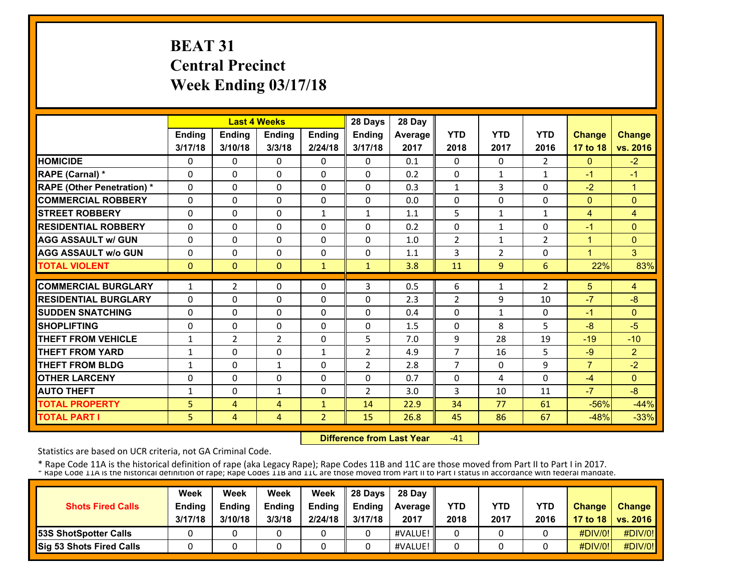# **BEAT 31 Central Precinct Week Ending 03/17/18**

|                                   |              |                | <b>Last 4 Weeks</b> |                | 28 Days        | 28 Day  |                |                |                |                |                |
|-----------------------------------|--------------|----------------|---------------------|----------------|----------------|---------|----------------|----------------|----------------|----------------|----------------|
|                                   | Ending       | <b>Ending</b>  | Ending              | Ending         | Ending         | Average | <b>YTD</b>     | <b>YTD</b>     | <b>YTD</b>     | <b>Change</b>  | <b>Change</b>  |
|                                   | 3/17/18      | 3/10/18        | 3/3/18              | 2/24/18        | 3/17/18        | 2017    | 2018           | 2017           | 2016           | 17 to 18       | vs. 2016       |
| <b>HOMICIDE</b>                   | 0            | 0              | 0                   | 0              | $\Omega$       | 0.1     | 0              | $\Omega$       | $\overline{2}$ | $\mathbf{0}$   | $-2$           |
| RAPE (Carnal) *                   | $\Omega$     | $\Omega$       | $\Omega$            | $\Omega$       | $\Omega$       | 0.2     | $\Omega$       | $\mathbf{1}$   | $\mathbf{1}$   | $-1$           | $-1$           |
| <b>RAPE (Other Penetration) *</b> | $\Omega$     | $\Omega$       | $\Omega$            | $\Omega$       | $\Omega$       | 0.3     | $\mathbf{1}$   | 3              | $\Omega$       | $-2$           | $\mathbf{1}$   |
| <b>COMMERCIAL ROBBERY</b>         | 0            | $\Omega$       | 0                   | 0              | $\Omega$       | 0.0     | $\mathbf{0}$   | $\Omega$       | $\Omega$       | $\mathbf{0}$   | $\Omega$       |
| <b>STREET ROBBERY</b>             | 0            | $\Omega$       | $\Omega$            | $\mathbf{1}$   | $\mathbf{1}$   | 1.1     | 5              | $\mathbf{1}$   | $\mathbf{1}$   | 4              | $\overline{4}$ |
| <b>RESIDENTIAL ROBBERY</b>        | 0            | $\Omega$       | 0                   | 0              | 0              | 0.2     | 0              | $\mathbf{1}$   | $\Omega$       | $-1$           | $\overline{0}$ |
| <b>AGG ASSAULT w/ GUN</b>         | 0            | $\Omega$       | 0                   | 0              | $\Omega$       | 1.0     | $\overline{2}$ | 1              | 2              | 1              | $\Omega$       |
| <b>AGG ASSAULT w/o GUN</b>        | 0            | $\Omega$       | 0                   | 0              | 0              | 1.1     | 3              | $\overline{2}$ | $\Omega$       | 1              | 3              |
| <b>TOTAL VIOLENT</b>              | $\mathbf{0}$ | $\Omega$       | $\mathbf{0}$        | $\mathbf{1}$   | $\mathbf{1}$   | 3.8     | 11             | 9              | 6              | 22%            | 83%            |
| <b>COMMERCIAL BURGLARY</b>        | 1            | $\overline{2}$ | 0                   | 0              | 3              | 0.5     | 6              | $\mathbf{1}$   | $\overline{2}$ | 5              | 4              |
| <b>RESIDENTIAL BURGLARY</b>       | 0            | $\Omega$       | $\Omega$            | 0              | $\Omega$       | 2.3     | $\overline{2}$ | 9              | 10             | $-7$           | $-8$           |
| <b>SUDDEN SNATCHING</b>           | 0            | 0              | 0                   | $\Omega$       | 0              | 0.4     | $\mathbf{0}$   | $\mathbf{1}$   | 0              | $-1$           | $\overline{0}$ |
| <b>SHOPLIFTING</b>                | 0            | $\Omega$       | 0                   | 0              | 0              | 1.5     | $\mathbf{0}$   | 8              | 5              | $-8$           | $-5$           |
| <b>THEFT FROM VEHICLE</b>         | $\mathbf{1}$ | 2              | 2                   | 0              | 5              | 7.0     | 9              | 28             | 19             | $-19$          | $-10$          |
| <b>THEFT FROM YARD</b>            | $\mathbf{1}$ | $\Omega$       | 0                   | $\mathbf{1}$   | $\overline{2}$ | 4.9     | $\overline{7}$ | 16             | 5              | $-9$           | $\overline{2}$ |
| <b>THEFT FROM BLDG</b>            | $\mathbf{1}$ | $\Omega$       | $\mathbf{1}$        | 0              | $\overline{2}$ | 2.8     | 7              | $\Omega$       | 9              | $\overline{7}$ | $-2$           |
| <b>OTHER LARCENY</b>              | 0            | $\Omega$       | $\Omega$            | $\Omega$       | 0              | 0.7     | 0              | 4              | $\Omega$       | $-4$           | $\Omega$       |
| <b>AUTO THEFT</b>                 | 1            | $\Omega$       | $\mathbf{1}$        | $\Omega$       | $\overline{2}$ | 3.0     | 3              | 10             | 11             | $-7$           | $-8$           |
| <b>TOTAL PROPERTY</b>             | 5            | 4              | 4                   | $\mathbf{1}$   | 14             | 22.9    | 34             | 77             | 61             | $-56%$         | $-44%$         |
| <b>TOTAL PART I</b>               | 5            | 4              | $\overline{4}$      | $\overline{2}$ | 15             | 26.8    | 45             | 86             | 67             | $-48%$         | $-33%$         |

 **Difference from Last Year** $-41$ 

Statistics are based on UCR criteria, not GA Criminal Code.

| <b>Shots Fired Calls</b>        | Week<br><b>Ending</b><br>3/17/18 | Week<br><b>Endina</b><br>3/10/18 | Week<br><b>Ending</b><br>3/3/18 | Week<br>Ending<br>2/24/18 | 28 Days<br><b>Endina</b><br>3/17/18 | 28 Dav<br><b>Average II</b><br>2017 | YTD<br>2018 | YTD<br>2017 | <b>YTD</b><br>2016 | <b>Change</b> | <b>Change</b><br>17 to 18   vs. 2016 |
|---------------------------------|----------------------------------|----------------------------------|---------------------------------|---------------------------|-------------------------------------|-------------------------------------|-------------|-------------|--------------------|---------------|--------------------------------------|
| <b>53S ShotSpotter Calls</b>    |                                  |                                  |                                 |                           |                                     | #VALUE!                             |             |             |                    | $\#$ DIV/0!   | #DIV/0!                              |
| <b>Sig 53 Shots Fired Calls</b> |                                  |                                  |                                 |                           |                                     | #VALUE!                             |             |             |                    | #DIV/0!       | #DIV/0!                              |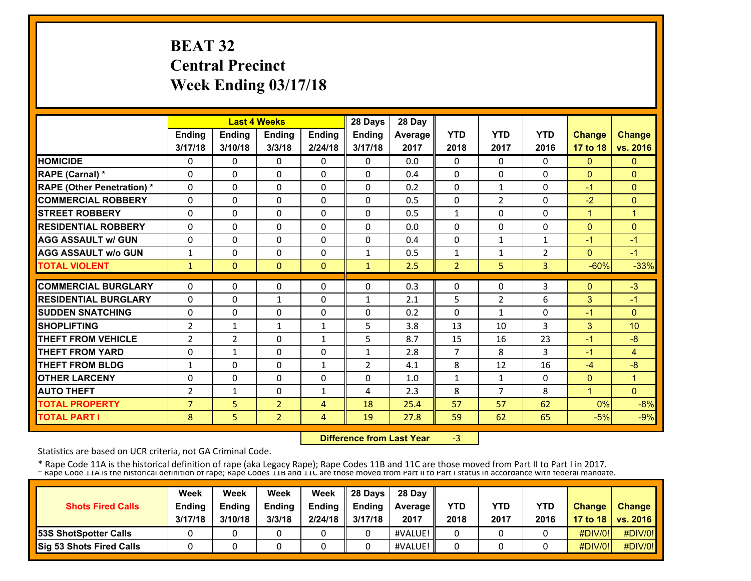# **BEAT 32 Central Precinct Week Ending 03/17/18**

|                                   |                |                | <b>Last 4 Weeks</b> |               | 28 Days        | 28 Day  |                |                |                |                |                 |
|-----------------------------------|----------------|----------------|---------------------|---------------|----------------|---------|----------------|----------------|----------------|----------------|-----------------|
|                                   | Ending         | <b>Ending</b>  | <b>Ending</b>       | <b>Ending</b> | Ending         | Average | <b>YTD</b>     | <b>YTD</b>     | <b>YTD</b>     | <b>Change</b>  | <b>Change</b>   |
|                                   | 3/17/18        | 3/10/18        | 3/3/18              | 2/24/18       | 3/17/18        | 2017    | 2018           | 2017           | 2016           | 17 to 18       | vs. 2016        |
| <b>HOMICIDE</b>                   | 0              | 0              | $\mathbf{0}$        | 0             | $\mathbf{0}$   | 0.0     | $\Omega$       | $\mathbf{0}$   | 0              | $\mathbf{0}$   | $\mathbf{0}$    |
| <b>RAPE (Carnal) *</b>            | 0              | 0              | $\mathbf{0}$        | $\Omega$      | 0              | 0.4     | $\Omega$       | $\mathbf{0}$   | 0              | $\mathbf{0}$   | $\mathbf{0}$    |
| <b>RAPE (Other Penetration) *</b> | 0              | $\Omega$       | $\mathbf{0}$        | 0             | $\Omega$       | 0.2     | $\Omega$       | $\mathbf{1}$   | $\Omega$       | $-1$           | $\mathbf{0}$    |
| <b>COMMERCIAL ROBBERY</b>         | 0              | 0              | $\mathbf{0}$        | 0             | $\Omega$       | 0.5     | $\Omega$       | $\overline{2}$ | $\Omega$       | $-2$           | $\Omega$        |
| <b>STREET ROBBERY</b>             | 0              | 0              | $\mathbf{0}$        | 0             | 0              | 0.5     | $\mathbf{1}$   | 0              | 0              | $\mathbf{1}$   | 1               |
| <b>RESIDENTIAL ROBBERY</b>        | $\Omega$       | $\Omega$       | $\Omega$            | $\Omega$      | $\Omega$       | 0.0     | $\Omega$       | $\Omega$       | $\Omega$       | $\mathbf{0}$   | $\Omega$        |
| <b>AGG ASSAULT w/ GUN</b>         | $\Omega$       | $\Omega$       | $\Omega$            | $\Omega$      | $\Omega$       | 0.4     | $\Omega$       | $\mathbf{1}$   | $\mathbf{1}$   | $-1$           | $-1$            |
| <b>AGG ASSAULT w/o GUN</b>        | $\mathbf{1}$   | $\Omega$       | $\Omega$            | $\Omega$      | $\mathbf{1}$   | 0.5     | $\mathbf{1}$   | $\mathbf{1}$   | $\overline{2}$ | $\overline{0}$ | $-1$            |
| <b>TOTAL VIOLENT</b>              | 1              | $\mathbf{0}$   | $\mathbf{0}$        | $\mathbf{0}$  | $\mathbf{1}$   | 2.5     | $\overline{2}$ | 5              | 3              | $-60%$         | $-33%$          |
| <b>COMMERCIAL BURGLARY</b>        | 0              | $\Omega$       | $\mathbf{0}$        | 0             | $\Omega$       | 0.3     | $\Omega$       | 0              | 3              | $\Omega$       | $-3$            |
| <b>RESIDENTIAL BURGLARY</b>       | 0              | 0              | $\mathbf{1}$        | 0             | 1              | 2.1     | 5              | $\overline{2}$ | 6              | 3              | $-1$            |
| <b>SUDDEN SNATCHING</b>           | $\Omega$       | $\Omega$       | $\Omega$            | $\Omega$      | $\Omega$       | 0.2     | $\Omega$       | $\mathbf{1}$   | $\Omega$       | $-1$           | $\mathbf{0}$    |
| <b>SHOPLIFTING</b>                | 2              | $\mathbf{1}$   | $\mathbf{1}$        | $\mathbf{1}$  | 5              | 3.8     | 13             | 10             | 3              | 3              | 10 <sup>°</sup> |
| THEFT FROM VEHICLE                | $\overline{2}$ | $\overline{2}$ | 0                   | $\mathbf{1}$  | 5              | 8.7     | 15             | 16             | 23             | $-1$           | $-8$            |
| <b>THEFT FROM YARD</b>            | 0              | $\mathbf{1}$   | $\mathbf{0}$        | 0             | $\mathbf{1}$   | 2.8     | 7              | 8              | 3              | $-1$           | $\overline{4}$  |
| <b>THEFT FROM BLDG</b>            | 1              | 0              | $\Omega$            | $\mathbf{1}$  | $\overline{2}$ | 4.1     | 8              | 12             | 16             | $-4$           | $-8$            |
| <b>OTHER LARCENY</b>              | 0              | $\Omega$       | $\Omega$            | $\Omega$      | $\Omega$       | 1.0     | $\mathbf{1}$   | $\mathbf{1}$   | $\Omega$       | $\Omega$       | $\mathbf{1}$    |
| <b>AUTO THEFT</b>                 | $\overline{2}$ | $\mathbf{1}$   | $\Omega$            | $\mathbf{1}$  | 4              | 2.3     | 8              | $\overline{7}$ | 8              | $\mathbf{1}$   | $\Omega$        |
| <b>TOTAL PROPERTY</b>             | $\overline{7}$ | 5.             | $\overline{2}$      | 4             | 18             | 25.4    | 57             | 57             | 62             | $0\%$          | $-8%$           |
| <b>TOTAL PART I</b>               | 8              | 5              | $\overline{2}$      | 4             | 19             | 27.8    | 59             | 62             | 65             | $-5%$          | $-9%$           |

 **Difference from Last Year**‐3

Statistics are based on UCR criteria, not GA Criminal Code.

| <b>Shots Fired Calls</b>        | Week<br><b>Ending</b><br>3/17/18 | Week<br><b>Endina</b><br>3/10/18 | Week<br><b>Ending</b><br>3/3/18 | Week<br><b>Endina</b><br>2/24/18 | 28 Davs<br><b>Ending</b><br>3/17/18 | 28 Day<br><b>Average II</b><br>2017 | YTD<br>2018 | YTD<br>2017 | YTD<br>2016 | <b>Change</b> | Change<br>17 to 18   vs. 2016 |
|---------------------------------|----------------------------------|----------------------------------|---------------------------------|----------------------------------|-------------------------------------|-------------------------------------|-------------|-------------|-------------|---------------|-------------------------------|
| <b>53S ShotSpotter Calls</b>    |                                  |                                  |                                 |                                  |                                     | #VALUE!                             |             |             |             | #DIV/0!       | #DIV/0!                       |
| <b>Sig 53 Shots Fired Calls</b> |                                  |                                  |                                 |                                  |                                     | #VALUE!                             |             |             |             | #DIV/0!       | #DIV/0!                       |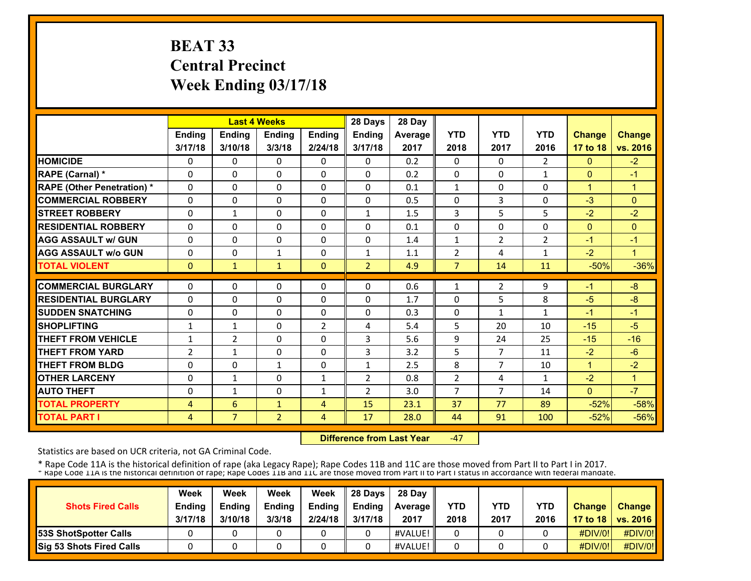# **BEAT 33 Central Precinct Week Ending 03/17/18**

|                                   |                | <b>Last 4 Weeks</b> |                |                | 28 Days        | 28 Day  |                |                |                |               |                |
|-----------------------------------|----------------|---------------------|----------------|----------------|----------------|---------|----------------|----------------|----------------|---------------|----------------|
|                                   | <b>Ending</b>  | <b>Ending</b>       | <b>Endina</b>  | Ending         | <b>Endina</b>  | Average | <b>YTD</b>     | <b>YTD</b>     | <b>YTD</b>     | <b>Change</b> | <b>Change</b>  |
|                                   | 3/17/18        | 3/10/18             | 3/3/18         | 2/24/18        | 3/17/18        | 2017    | 2018           | 2017           | 2016           | 17 to 18      | vs. 2016       |
| <b>HOMICIDE</b>                   | 0              | 0                   | 0              | 0              | $\Omega$       | 0.2     | 0              | 0              | $\overline{2}$ | $\mathbf{0}$  | $-2$           |
| RAPE (Carnal) *                   | $\Omega$       | $\Omega$            | 0              | $\mathbf{0}$   | $\Omega$       | 0.2     | $\mathbf{0}$   | $\Omega$       | $\mathbf{1}$   | $\mathbf{0}$  | $-1$           |
| <b>RAPE (Other Penetration) *</b> | 0              | 0                   | 0              | 0              | $\Omega$       | 0.1     | $\mathbf{1}$   | $\Omega$       | 0              | $\mathbf{1}$  | $\mathbf{1}$   |
| <b>COMMERCIAL ROBBERY</b>         | 0              | 0                   | 0              | 0              | $\Omega$       | 0.5     | $\mathbf{0}$   | 3              | 0              | $-3$          | $\overline{0}$ |
| <b>STREET ROBBERY</b>             | $\Omega$       | $\mathbf{1}$        | 0              | 0              | $\mathbf{1}$   | 1.5     | 3              | 5              | 5              | $-2$          | $-2$           |
| <b>RESIDENTIAL ROBBERY</b>        | $\Omega$       | $\Omega$            | 0              | 0              | 0              | 0.1     | 0              | $\Omega$       | 0              | $\mathbf{0}$  | $\overline{0}$ |
| <b>AGG ASSAULT w/ GUN</b>         | $\Omega$       | $\Omega$            | 0              | 0              | 0              | 1.4     | $\mathbf{1}$   | $\overline{2}$ | 2              | $-1$          | $-1$           |
| <b>AGG ASSAULT W/o GUN</b>        | 0              | $\Omega$            | $\mathbf{1}$   | 0              | 1              | 1.1     | $\overline{2}$ | 4              | $\mathbf{1}$   | $-2$          | $\mathbf{1}$   |
| <b>TOTAL VIOLENT</b>              | $\mathbf{0}$   | $\mathbf{1}$        | $\mathbf{1}$   | $\Omega$       | $\overline{2}$ | 4.9     | $\overline{7}$ | 14             | 11             | $-50%$        | $-36%$         |
| <b>COMMERCIAL BURGLARY</b>        | 0              | $\Omega$            | 0              | 0              | 0              | 0.6     | $\mathbf{1}$   | $\overline{2}$ | 9              | -1            | $-8$           |
| <b>RESIDENTIAL BURGLARY</b>       |                | 0                   |                |                | 0              |         |                | 5              |                |               | $-8$           |
|                                   | 0              |                     | 0              | 0              |                | 1.7     | 0              |                | 8              | $-5$          | $-1$           |
| <b>SUDDEN SNATCHING</b>           | 0              | $\Omega$            | 0              | 0              | 0              | 0.3     | $\mathbf{0}$   | $\mathbf{1}$   | $\mathbf{1}$   | -1            |                |
| <b>SHOPLIFTING</b>                | $\mathbf{1}$   | $\mathbf{1}$        | 0              | $\overline{2}$ | 4              | 5.4     | 5              | 20             | 10             | $-15$         | $-5$           |
| <b>THEFT FROM VEHICLE</b>         | 1              | $\overline{2}$      | 0              | 0              | 3              | 5.6     | 9              | 24             | 25             | $-15$         | $-16$          |
| <b>THEFT FROM YARD</b>            | $\overline{2}$ | $\mathbf{1}$        | 0              | 0              | 3              | 3.2     | 5              | $\overline{7}$ | 11             | $-2$          | $-6$           |
| <b>THEFT FROM BLDG</b>            | 0              | $\Omega$            | $\mathbf{1}$   | 0              | $\mathbf{1}$   | 2.5     | 8              | $\overline{7}$ | 10             | $\mathbf{1}$  | $-2$           |
| <b>OTHER LARCENY</b>              | 0              | $\mathbf{1}$        | $\Omega$       | 1              | $\overline{2}$ | 0.8     | 2              | 4              | $\mathbf{1}$   | $-2$          | $\mathbf{1}$   |
| <b>AUTO THEFT</b>                 | 0              | $\mathbf{1}$        | $\Omega$       | 1              | $\overline{2}$ | 3.0     | $\overline{7}$ | $\overline{7}$ | 14             | $\Omega$      | $-7$           |
| <b>TOTAL PROPERTY</b>             | 4              | 6                   | $\mathbf{1}$   | 4              | 15             | 23.1    | 37             | 77             | 89             | $-52%$        | $-58%$         |
| <b>TOTAL PART I</b>               | $\overline{4}$ | $\overline{7}$      | $\overline{2}$ | $\overline{4}$ | 17             | 28.0    | 44             | 91             | 100            | $-52%$        | $-56%$         |

 **Difference from Last Year** $-47$ 

Statistics are based on UCR criteria, not GA Criminal Code.

| <b>Shots Fired Calls</b>        | Week<br><b>Ending</b><br>3/17/18 | Week<br><b>Endina</b><br>3/10/18 | Week<br><b>Ending</b><br>3/3/18 | Week<br>Ending<br>2/24/18 | 28 Days<br><b>Endina</b><br>3/17/18 | 28 Dav<br><b>Average II</b><br>2017 | YTD<br>2018 | YTD<br>2017 | <b>YTD</b><br>2016 | <b>Change</b> | <b>Change</b><br>17 to 18   vs. 2016 |
|---------------------------------|----------------------------------|----------------------------------|---------------------------------|---------------------------|-------------------------------------|-------------------------------------|-------------|-------------|--------------------|---------------|--------------------------------------|
| <b>53S ShotSpotter Calls</b>    |                                  |                                  |                                 |                           |                                     | #VALUE!                             |             |             |                    | $\#$ DIV/0!   | #DIV/0!                              |
| <b>Sig 53 Shots Fired Calls</b> |                                  |                                  |                                 |                           |                                     | #VALUE!                             |             |             |                    | #DIV/0!       | #DIV/0!                              |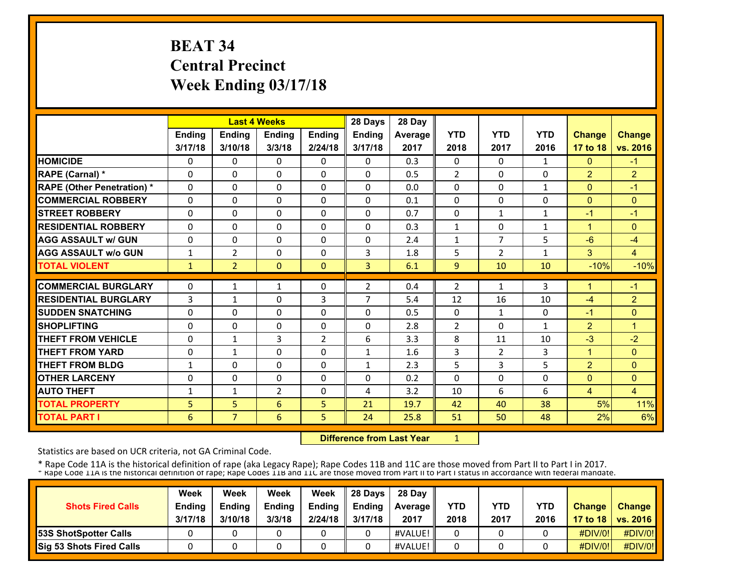# **BEAT 34 Central Precinct Week Ending 03/17/18**

|                                   |              | <b>Last 4 Weeks</b> |               |          | 28 Days        | 28 Day  |                |                |              |                |                |
|-----------------------------------|--------------|---------------------|---------------|----------|----------------|---------|----------------|----------------|--------------|----------------|----------------|
|                                   | Ending       | <b>Ending</b>       | <b>Ending</b> | Ending   | Ending         | Average | <b>YTD</b>     | <b>YTD</b>     | <b>YTD</b>   | <b>Change</b>  | <b>Change</b>  |
|                                   | 3/17/18      | 3/10/18             | 3/3/18        | 2/24/18  | 3/17/18        | 2017    | 2018           | 2017           | 2016         | 17 to 18       | vs. 2016       |
| <b>HOMICIDE</b>                   | 0            | 0                   | 0             | 0        | $\Omega$       | 0.3     | 0              | $\Omega$       | $\mathbf{1}$ | $\mathbf{0}$   | $-1$           |
| RAPE (Carnal) *                   | $\Omega$     | $\Omega$            | $\Omega$      | $\Omega$ | $\Omega$       | 0.5     | 2              | $\Omega$       | $\Omega$     | $\overline{2}$ | $\overline{2}$ |
| <b>RAPE (Other Penetration) *</b> | $\Omega$     | $\Omega$            | $\Omega$      | $\Omega$ | $\Omega$       | 0.0     | $\mathbf{0}$   | $\Omega$       | $\mathbf{1}$ | $\mathbf{0}$   | $-1$           |
| <b>COMMERCIAL ROBBERY</b>         | 0            | $\Omega$            | 0             | 0        | $\Omega$       | 0.1     | $\mathbf{0}$   | $\Omega$       | $\Omega$     | $\mathbf{0}$   | $\mathbf{0}$   |
| <b>STREET ROBBERY</b>             | $\Omega$     | $\Omega$            | $\Omega$      | $\Omega$ | $\Omega$       | 0.7     | $\mathbf{0}$   | $\mathbf{1}$   | $\mathbf{1}$ | $-1$           | $-1$           |
| <b>RESIDENTIAL ROBBERY</b>        | 0            | $\Omega$            | 0             | 0        | 0              | 0.3     | $\mathbf{1}$   | $\Omega$       | 1            | 1              | $\overline{0}$ |
| <b>AGG ASSAULT w/ GUN</b>         | 0            | 0                   | 0             | 0        | 0              | 2.4     | $\mathbf{1}$   | $\overline{7}$ | 5            | $-6$           | $-4$           |
| <b>AGG ASSAULT w/o GUN</b>        | 1            | 2                   | 0             | 0        | 3              | 1.8     | 5              | $\overline{2}$ | 1            | 3              | $\overline{4}$ |
| <b>TOTAL VIOLENT</b>              | $\mathbf{1}$ | 2 <sup>1</sup>      | $\mathbf{0}$  | $\Omega$ | $\overline{3}$ | 6.1     | 9              | 10             | 10           | $-10%$         | $-10%$         |
| <b>COMMERCIAL BURGLARY</b>        | 0            | $\mathbf{1}$        | $\mathbf{1}$  | 0        | $\mathcal{P}$  | 0.4     | 2              | $\mathbf{1}$   | 3            | 1              | $-1$           |
| <b>RESIDENTIAL BURGLARY</b>       | 3            | $\mathbf{1}$        | 0             | 3        | $\overline{7}$ | 5.4     | 12             | 16             | 10           | $-4$           | $\overline{2}$ |
| <b>SUDDEN SNATCHING</b>           | 0            | 0                   | 0             | $\Omega$ | 0              | 0.5     | $\mathbf{0}$   | $\mathbf{1}$   | $\Omega$     | $-1$           | $\overline{0}$ |
| <b>SHOPLIFTING</b>                | 0            | $\Omega$            | 0             | 0        | 0              | 2.8     | $\overline{2}$ | $\Omega$       | $\mathbf{1}$ | $\overline{2}$ | $\mathbf{1}$   |
| <b>THEFT FROM VEHICLE</b>         | 0            | $\mathbf{1}$        | 3             | 2        | 6              | 3.3     | 8              | 11             | 10           | $-3$           | $-2$           |
| <b>THEFT FROM YARD</b>            | 0            | $\mathbf{1}$        | 0             | 0        | 1              | 1.6     | 3              | 2              | 3            | $\mathbf{1}$   | $\mathbf{0}$   |
| <b>THEFT FROM BLDG</b>            | $\mathbf{1}$ | $\Omega$            | 0             | 0        | $\mathbf{1}$   | 2.3     | 5              | 3              | 5            | $\overline{2}$ | $\Omega$       |
| <b>OTHER LARCENY</b>              | 0            | $\Omega$            | $\Omega$      | $\Omega$ | 0              | 0.2     | $\Omega$       | $\Omega$       | 0            | $\Omega$       | $\Omega$       |
| <b>AUTO THEFT</b>                 | 1            | $\mathbf{1}$        | 2             | $\Omega$ | 4              | 3.2     | 10             | 6              | 6            | $\overline{4}$ | $\overline{4}$ |
| <b>TOTAL PROPERTY</b>             | 5            | 5                   | 6             | 5        | 21             | 19.7    | 42             | 40             | 38           | 5%             | 11%            |
| <b>TOTAL PART I</b>               | 6            | 7 <sup>1</sup>      | 6             | 5        | 24             | 25.8    | 51             | 50             | 48           | 2%             | 6%             |

 **Difference from Last Year**1

Statistics are based on UCR criteria, not GA Criminal Code.

| <b>Shots Fired Calls</b>        | Week<br><b>Ending</b><br>3/17/18 | Week<br><b>Ending</b><br>3/10/18 | Week<br><b>Ending</b><br>3/3/18 | Week<br><b>Endina</b><br>2/24/18 | 28 Davs<br><b>Ending</b><br>3/17/18 | 28 Day<br><b>Average II</b><br>2017 | YTD<br>2018 | <b>YTD</b><br>2017 | <b>YTD</b><br>2016 | <b>Change</b> | <b>Change</b><br>17 to 18   vs. 2016 |
|---------------------------------|----------------------------------|----------------------------------|---------------------------------|----------------------------------|-------------------------------------|-------------------------------------|-------------|--------------------|--------------------|---------------|--------------------------------------|
| <b>53S ShotSpotter Calls</b>    |                                  |                                  |                                 |                                  |                                     | #VALUE!                             |             |                    |                    | #DIV/0!       | #DIV/0!                              |
| <b>Sig 53 Shots Fired Calls</b> |                                  |                                  |                                 |                                  |                                     | #VALUE!                             |             |                    |                    | #DIV/0!       | #DIV/0!                              |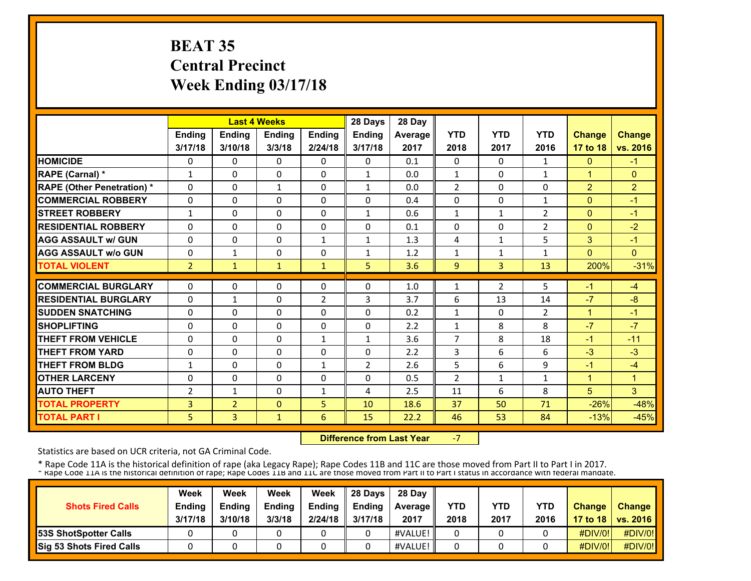# **BEAT 35 Central Precinct Week Ending 03/17/18**

|                                   |                |                | <b>Last 4 Weeks</b> |                | 28 Days        | 28 Day  |                |              |                |                |                |
|-----------------------------------|----------------|----------------|---------------------|----------------|----------------|---------|----------------|--------------|----------------|----------------|----------------|
|                                   | <b>Ending</b>  | <b>Ending</b>  | <b>Ending</b>       | Ending         | Ending         | Average | <b>YTD</b>     | <b>YTD</b>   | <b>YTD</b>     | <b>Change</b>  | <b>Change</b>  |
|                                   | 3/17/18        | 3/10/18        | 3/3/18              | 2/24/18        | 3/17/18        | 2017    | 2018           | 2017         | 2016           | 17 to 18       | vs. 2016       |
| <b>HOMICIDE</b>                   | 0              | 0              | $\mathbf{0}$        | 0              | $\Omega$       | 0.1     | 0              | $\Omega$     | $\mathbf{1}$   | $\mathbf{0}$   | $-1$           |
| RAPE (Carnal) *                   | 1              | $\Omega$       | $\Omega$            | $\Omega$       | $\mathbf{1}$   | 0.0     | $\mathbf{1}$   | $\Omega$     | $\mathbf{1}$   | $\mathbf{1}$   | $\Omega$       |
| <b>RAPE (Other Penetration) *</b> | $\Omega$       | $\Omega$       | $\mathbf{1}$        | $\Omega$       | $\mathbf{1}$   | 0.0     | $\overline{2}$ | $\Omega$     | $\Omega$       | $\overline{2}$ | $\overline{2}$ |
| <b>COMMERCIAL ROBBERY</b>         | $\Omega$       | $\Omega$       | $\Omega$            | 0              | $\Omega$       | 0.4     | $\Omega$       | 0            | $\mathbf{1}$   | $\mathbf{0}$   | $-1$           |
| <b>STREET ROBBERY</b>             | $\mathbf{1}$   | $\Omega$       | $\Omega$            | $\Omega$       | $\mathbf{1}$   | 0.6     | $\mathbf{1}$   | $\mathbf{1}$ | $\overline{2}$ | $\mathbf{0}$   | $-1$           |
| <b>RESIDENTIAL ROBBERY</b>        | 0              | $\Omega$       | $\Omega$            | 0              | $\Omega$       | 0.1     | 0              | 0            | $\overline{2}$ | $\mathbf{0}$   | $-2$           |
| <b>AGG ASSAULT w/ GUN</b>         | 0              | $\Omega$       | $\mathbf{0}$        | 1              | 1              | 1.3     | 4              | 1            | 5              | 3              | $-1$           |
| <b>AGG ASSAULT w/o GUN</b>        | 0              | $\mathbf{1}$   | $\mathbf{0}$        | 0              | $\mathbf{1}$   | 1.2     | 1              | $\mathbf{1}$ | 1              | $\Omega$       | $\Omega$       |
| <b>TOTAL VIOLENT</b>              | $\overline{2}$ | 1              | $\mathbf{1}$        | $\mathbf{1}$   | 5              | 3.6     | 9              | 3            | 13             | 200%           | $-31%$         |
| <b>COMMERCIAL BURGLARY</b>        | 0              | $\Omega$       | 0                   | 0              | $\Omega$       | 1.0     | 1              | 2            | 5              | $-1$           | $-4$           |
| <b>RESIDENTIAL BURGLARY</b>       | 0              | $\mathbf{1}$   | $\Omega$            | $\overline{2}$ | 3              | 3.7     | 6              | 13           | 14             | $-7$           | $-8$           |
| <b>SUDDEN SNATCHING</b>           | 0              | $\Omega$       | $\mathbf{0}$        | $\Omega$       | 0              | 0.2     | $\mathbf{1}$   | 0            | $\overline{2}$ | $\mathbf{1}$   | $-1$           |
| <b>SHOPLIFTING</b>                | 0              | 0              | $\mathbf{0}$        | 0              | $\mathbf{0}$   | 2.2     | $\mathbf{1}$   | 8            | 8              | $-7$           | $-7$           |
| <b>THEFT FROM VEHICLE</b>         | 0              | 0              | $\mathbf{0}$        | 1              | $\mathbf{1}$   | 3.6     | 7              | 8            | 18             | $-1$           | $-11$          |
| <b>THEFT FROM YARD</b>            | 0              | 0              | $\mathbf{0}$        | 0              | 0              | 2.2     | 3              | 6            | 6              | $-3$           | $-3$           |
| <b>THEFT FROM BLDG</b>            | 1              | $\Omega$       | $\Omega$            | $\mathbf{1}$   | $\overline{2}$ | 2.6     | 5              | 6            | 9              | $-1$           | $-4$           |
| <b>OTHER LARCENY</b>              | 0              | $\Omega$       | $\Omega$            | 0              | $\Omega$       | 0.5     | $\overline{2}$ | $\mathbf{1}$ | $\mathbf{1}$   | $\mathbf{1}$   | 1              |
| <b>AUTO THEFT</b>                 | $\overline{2}$ | $\mathbf{1}$   | $\Omega$            | 1              | 4              | 2.5     | 11             | 6            | 8              | 5              | 3              |
| <b>TOTAL PROPERTY</b>             | 3              | $\overline{2}$ | $\mathbf{0}$        | 5              | 10             | 18.6    | 37             | 50           | 71             | $-26%$         | $-48%$         |
| <b>TOTAL PART I</b>               | 5              | 3              | $\mathbf{1}$        | 6              | 15             | 22.2    | 46             | 53           | 84             | $-13%$         | $-45%$         |
|                                   |                |                |                     |                |                |         |                |              |                |                |                |

 **Difference from Last Year**‐7

Statistics are based on UCR criteria, not GA Criminal Code.

| <b>Shots Fired Calls</b>        | Week<br><b>Ending</b><br>3/17/18 | Week<br><b>Ending</b><br>3/10/18 | Week<br><b>Ending</b><br>3/3/18 | Week<br><b>Endina</b><br>2/24/18 | 28 Davs<br><b>Ending</b><br>3/17/18 | 28 Day<br>Average   <br>2017 | YTD<br>2018 | YTD<br>2017 | <b>YTD</b><br>2016 | <b>Change</b> | Change<br>17 to 18   vs. 2016 |
|---------------------------------|----------------------------------|----------------------------------|---------------------------------|----------------------------------|-------------------------------------|------------------------------|-------------|-------------|--------------------|---------------|-------------------------------|
| <b>53S ShotSpotter Calls</b>    |                                  |                                  |                                 |                                  |                                     | #VALUE!                      |             |             |                    | #DIV/0!       | #DIV/0!                       |
| <b>Sig 53 Shots Fired Calls</b> |                                  |                                  |                                 |                                  |                                     | #VALUE!                      |             |             |                    | #DIV/0!       | #DIV/0!                       |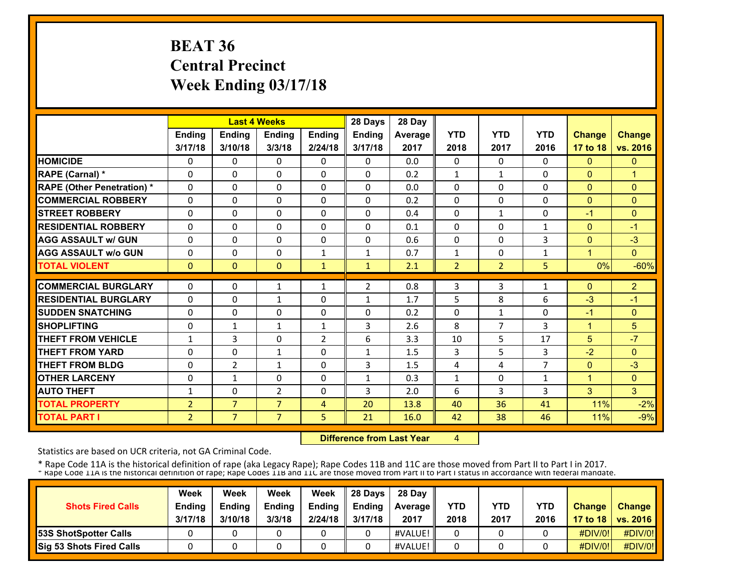# **BEAT 36 Central Precinct Week Ending 03/17/18**

|                                   |                |                | <b>Last 4 Weeks</b> |              | 28 Days        | 28 Day  |                |                |                |                |                |
|-----------------------------------|----------------|----------------|---------------------|--------------|----------------|---------|----------------|----------------|----------------|----------------|----------------|
|                                   | <b>Ending</b>  | <b>Ending</b>  | <b>Ending</b>       | Ending       | Ending         | Average | <b>YTD</b>     | <b>YTD</b>     | <b>YTD</b>     | <b>Change</b>  | <b>Change</b>  |
|                                   | 3/17/18        | 3/10/18        | 3/3/18              | 2/24/18      | 3/17/18        | 2017    | 2018           | 2017           | 2016           | 17 to 18       | vs. 2016       |
| <b>HOMICIDE</b>                   | 0              | 0              | $\mathbf{0}$        | 0            | $\Omega$       | 0.0     | $\Omega$       | $\Omega$       | 0              | $\mathbf{0}$   | $\mathbf{0}$   |
| RAPE (Carnal) *                   | $\Omega$       | $\Omega$       | $\Omega$            | $\Omega$     | $\Omega$       | 0.2     | $\mathbf{1}$   | $\mathbf{1}$   | $\Omega$       | $\Omega$       | $\mathbf{1}$   |
| <b>RAPE (Other Penetration) *</b> | $\Omega$       | $\Omega$       | $\Omega$            | $\Omega$     | $\Omega$       | 0.0     | $\Omega$       | $\Omega$       | $\Omega$       | $\mathbf{0}$   | $\Omega$       |
| <b>COMMERCIAL ROBBERY</b>         | $\Omega$       | $\Omega$       | $\mathbf{0}$        | 0            | $\Omega$       | 0.2     | $\Omega$       | 0              | $\Omega$       | $\overline{0}$ | $\Omega$       |
| <b>STREET ROBBERY</b>             | $\Omega$       | $\Omega$       | $\Omega$            | $\Omega$     | $\Omega$       | 0.4     | $\Omega$       | $\mathbf{1}$   | $\Omega$       | $-1$           | $\Omega$       |
| <b>RESIDENTIAL ROBBERY</b>        | 0              | $\Omega$       | $\Omega$            | $\Omega$     | $\Omega$       | 0.1     | 0              | 0              | $\mathbf{1}$   | $\mathbf{0}$   | $-1$           |
| <b>AGG ASSAULT w/ GUN</b>         | 0              | 0              | $\mathbf{0}$        | 0            | 0              | 0.6     | 0              | 0              | 3              | $\mathbf{0}$   | $-3$           |
| <b>AGG ASSAULT w/o GUN</b>        | 0              | 0              | $\mathbf{0}$        | 1            | $\mathbf{1}$   | 0.7     | 1              | 0              | $\mathbf{1}$   | 4              | $\Omega$       |
| <b>TOTAL VIOLENT</b>              | $\mathbf{0}$   | $\Omega$       | $\mathbf{0}$        | $\mathbf{1}$ | $\mathbf{1}$   | 2.1     | $\overline{2}$ | $\overline{2}$ | 5              | 0%             | $-60%$         |
| <b>COMMERCIAL BURGLARY</b>        | 0              | $\Omega$       | 1                   | $\mathbf{1}$ | $\overline{2}$ | 0.8     | 3              | 3              | $\mathbf{1}$   | $\Omega$       | $\overline{2}$ |
| <b>RESIDENTIAL BURGLARY</b>       | 0              | 0              | $\mathbf{1}$        | $\Omega$     | $\mathbf{1}$   | 1.7     | 5              | 8              | 6              | $-3$           | $-1$           |
| <b>SUDDEN SNATCHING</b>           | 0              | 0              | $\Omega$            | $\Omega$     | 0              | 0.2     | $\Omega$       | $\mathbf{1}$   | 0              | $-1$           | $\mathbf{0}$   |
| <b>SHOPLIFTING</b>                | 0              | $\mathbf{1}$   | $\mathbf{1}$        | $\mathbf{1}$ | 3              | 2.6     | 8              | $\overline{7}$ | 3              | $\mathbf{1}$   | 5              |
| <b>THEFT FROM VEHICLE</b>         | $\mathbf{1}$   | 3              | $\mathbf{0}$        | 2            | 6              | 3.3     | 10             | 5              | 17             | 5              | $-7$           |
| <b>THEFT FROM YARD</b>            | 0              | 0              | $\mathbf{1}$        | 0            | $\mathbf{1}$   | 1.5     | 3              | 5              | 3              | $-2$           | $\mathbf{0}$   |
| <b>THEFT FROM BLDG</b>            | 0              | $\overline{2}$ | $\mathbf{1}$        | 0            | 3              | 1.5     | 4              | 4              | $\overline{7}$ | $\Omega$       | $-3$           |
| <b>OTHER LARCENY</b>              | 0              | 1              | $\Omega$            | $\Omega$     | $\mathbf{1}$   | 0.3     | $\mathbf{1}$   | 0              | $\mathbf{1}$   | $\overline{1}$ | $\Omega$       |
| <b>AUTO THEFT</b>                 | 1              | $\Omega$       | $\overline{2}$      | $\Omega$     | 3              | 2.0     | 6              | 3              | 3              | 3              | 3              |
| <b>TOTAL PROPERTY</b>             | $\overline{2}$ | $\overline{7}$ | $\overline{7}$      | 4            | 20             | 13.8    | 40             | 36             | 41             | 11%            | $-2%$          |
| <b>TOTAL PART I</b>               | $\overline{2}$ | 7 <sup>1</sup> | $\overline{7}$      | 5            | 21             | 16.0    | 42             | 38             | 46             | 11%            | $-9%$          |

 **Difference from Last Year**4

Statistics are based on UCR criteria, not GA Criminal Code.

| <b>Shots Fired Calls</b>        | Week<br><b>Ending</b><br>3/17/18 | Week<br><b>Ending</b><br>3/10/18 | Week<br><b>Ending</b><br>3/3/18 | Week<br><b>Endina</b><br>2/24/18 | 28 Davs<br><b>Ending</b><br>3/17/18 | 28 Day<br>Average   <br>2017 | YTD<br>2018 | YTD<br>2017 | <b>YTD</b><br>2016 | <b>Change</b> | Change<br>17 to 18   vs. 2016 |
|---------------------------------|----------------------------------|----------------------------------|---------------------------------|----------------------------------|-------------------------------------|------------------------------|-------------|-------------|--------------------|---------------|-------------------------------|
| <b>53S ShotSpotter Calls</b>    |                                  |                                  |                                 |                                  |                                     | #VALUE!                      |             |             |                    | #DIV/0!       | #DIV/0!                       |
| <b>Sig 53 Shots Fired Calls</b> |                                  |                                  |                                 |                                  |                                     | #VALUE!                      |             |             |                    | #DIV/0!       | #DIV/0!                       |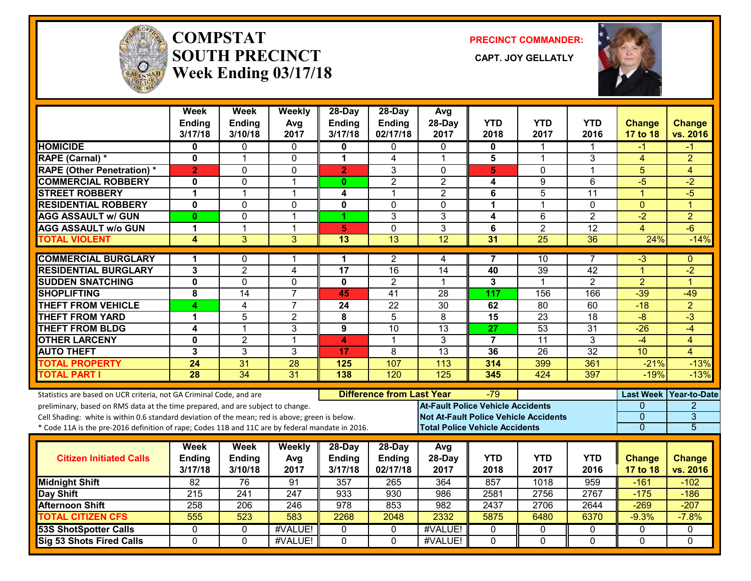

#### **COMPSTATSOUTH PRECINCT Week Ending 03/17/18**

**PRECINCT COMMANDER:**

CAPT. JOY GELLATLY



|                                                                                                  | Week<br><b>Ending</b><br>3/17/18 | Week<br><b>Ending</b><br>3/10/18 | Weekly<br>Avg<br>2017 | 28-Day<br><b>Ending</b><br>3/17/18 | 28-Day<br><b>Ending</b><br>02/17/18 | Avg<br>28-Day<br>2017                        | <b>YTD</b><br>2018 | <b>YTD</b><br>2017 | <b>YTD</b><br>2016 | <b>Change</b><br>17 to 18 | <b>Change</b><br>vs. 2016 |
|--------------------------------------------------------------------------------------------------|----------------------------------|----------------------------------|-----------------------|------------------------------------|-------------------------------------|----------------------------------------------|--------------------|--------------------|--------------------|---------------------------|---------------------------|
| <b>HOMICIDE</b>                                                                                  | $\bf{0}$                         | $\Omega$                         | $\Omega$              | 0                                  | 0                                   | $\Omega$                                     | 0                  | 1                  |                    | -1                        | -1                        |
| RAPE (Carnal) *                                                                                  | $\mathbf{0}$                     | $\overline{1}$                   | 0                     | 1                                  | 4                                   | $\overline{1}$                               | 5                  | $\mathbf 1$        | 3                  | $\overline{4}$            | $\overline{2}$            |
| <b>RAPE (Other Penetration) *</b>                                                                | $\overline{2}$                   | 0                                | 0                     | $\overline{2}$                     | 3                                   | $\mathbf{0}$                                 | 5                  | 0                  | $\mathbf{1}$       | 5                         | $\overline{4}$            |
| <b>COMMERCIAL ROBBERY</b>                                                                        | $\mathbf{0}$                     | $\Omega$                         | $\mathbf{1}$          | $\mathbf{0}$                       | $\overline{2}$                      | $\overline{2}$                               | 4                  | 9                  | $\overline{6}$     | $-5$                      | $\overline{-2}$           |
| <b>STREET ROBBERY</b>                                                                            | $\mathbf 1$                      | 1                                | 1                     | 4                                  | $\mathbf 1$                         | $\overline{2}$                               | 6                  | 5                  | 11                 | $\blacktriangleleft$      | $-5$                      |
| <b>RESIDENTIAL ROBBERY</b>                                                                       | $\mathbf 0$                      | $\mathbf 0$                      | 0                     | $\mathbf 0$                        | 0                                   | $\mathbf{0}$                                 | 1                  | 1                  | 0                  | $\mathbf{0}$              | $\overline{1}$            |
| <b>AGG ASSAULT w/ GUN</b>                                                                        | $\mathbf{0}$                     | $\mathbf 0$                      | $\mathbf{1}$          | 1                                  | 3                                   | 3                                            | 4                  | 6                  | $\overline{2}$     | $-2$                      | $\overline{2}$            |
| <b>AGG ASSAULT w/o GUN</b>                                                                       | $\blacktriangleleft$             | $\mathbf 1$                      | 1                     | 5                                  | $\mathbf 0$                         | 3                                            | 6                  | $\overline{2}$     | 12                 | 4                         | $-6$                      |
| <b>TOTAL VIOLENT</b>                                                                             | 4                                | 3                                | 3                     | 13                                 | 13                                  | 12                                           | 31                 | $\overline{25}$    | 36                 | 24%                       | $-14%$                    |
| <b>COMMERCIAL BURGLARY</b>                                                                       | 1                                | $\mathbf{0}$                     | 1                     | 1                                  | 2                                   | 4                                            | 7                  | 10                 | 7                  | -3                        | $\Omega$                  |
| <b>RESIDENTIAL BURGLARY</b>                                                                      | 3                                | $\overline{2}$                   | 4                     | 17                                 | 16                                  | 14                                           | 40                 | 39                 | 42                 | $\mathbf{1}$              | $-2$                      |
| <b>SUDDEN SNATCHING</b>                                                                          | $\mathbf{0}$                     | $\Omega$                         | 0                     | $\mathbf{0}$                       | $\overline{2}$                      | -1                                           | $\overline{3}$     | 1                  | $\overline{2}$     | $\overline{2}$            | $\blacktriangleleft$      |
| <b>SHOPLIFTING</b>                                                                               | 8                                | 14                               | $\overline{7}$        | 45                                 | $\overline{41}$                     | 28                                           | 117                | 156                | 166                | $-39$                     | $-49$                     |
| <b>THEFT FROM VEHICLE</b>                                                                        | 4                                | 4                                | $\overline{7}$        | 24                                 | $\overline{22}$                     | 30                                           | 62                 | 80                 | 60                 | $-18$                     | $\overline{2}$            |
| <b>THEFT FROM YARD</b>                                                                           | 1                                | $\overline{5}$                   | $\overline{2}$        | $\overline{\mathbf{8}}$            | $\overline{5}$                      | $\overline{8}$                               | 15                 | 23                 | $\overline{18}$    | $-8$                      | $-3$                      |
| <b>THEFT FROM BLDG</b>                                                                           | 4                                | $\mathbf 1$                      | 3                     | 9                                  | 10                                  | $\overline{13}$                              | 27                 | 53                 | 31                 | $-26$                     | $-4$                      |
| <b>OTHER LARCENY</b>                                                                             | $\mathbf 0$                      | $\overline{2}$                   | $\mathbf{1}$          | 4                                  | 1                                   | 3                                            | $\overline{7}$     | $\overline{11}$    | 3                  | $-4$                      | $\overline{4}$            |
| <b>AUTO THEFT</b>                                                                                | 3                                | $\overline{3}$                   | 3                     | 17                                 | 8                                   | $\overline{13}$                              | 36                 | $\overline{26}$    | $\overline{32}$    | $\overline{10}$           | $\overline{4}$            |
| <b>TOTAL PROPERTY</b>                                                                            | 24                               | 31                               | 28                    | 125                                | 107                                 | 113                                          | 314                | 399                | 361                | $-21%$                    | $-13%$                    |
| <b>TOTAL PART I</b>                                                                              | 28                               | 34                               | 31                    | 138                                | 120                                 | 125                                          | 345                | 424                | 397                | $-19%$                    | $-13%$                    |
| Statistics are based on UCR criteria, not GA Criminal Code, and are                              |                                  |                                  |                       |                                    | <b>Difference from Last Year</b>    |                                              | $-79$              |                    |                    | <b>Last Week</b>          | Year-to-Date              |
| preliminary, based on RMS data at the time prepared, and are subject to change.                  |                                  |                                  |                       |                                    |                                     | <b>At-Fault Police Vehicle Accidents</b>     |                    |                    |                    | $\Omega$                  | $\overline{2}$            |
| Cell Shading: white is within 0.6 standard deviation of the mean; red is above; green is below.  |                                  |                                  |                       |                                    |                                     | <b>Not At-Fault Police Vehicle Accidents</b> |                    |                    |                    | $\overline{0}$            | $\overline{3}$            |
| * Code 11A is the pre-2016 definition of rape; Codes 11B and 11C are by federal mandate in 2016. |                                  |                                  |                       |                                    |                                     | <b>Total Police Vehicle Accidents</b>        |                    |                    |                    | $\overline{0}$            | $\overline{5}$            |
|                                                                                                  | Week                             | Week                             | <b>Weekly</b>         | 28-Day                             | 28-Day                              | Avg                                          |                    |                    |                    |                           |                           |
| <b>Citizen Initiated Calls</b>                                                                   | Ending                           | <b>Ending</b>                    | Avg                   | <b>Ending</b>                      | <b>Ending</b>                       | 28-Day                                       | <b>YTD</b>         | <b>YTD</b>         | <b>YTD</b>         | <b>Change</b>             | <b>Change</b>             |
|                                                                                                  | 3/17/18                          | 3/10/18                          | 2017                  | 3/17/18                            | 02/17/18                            | 2017                                         | 2018               | 2017               | 2016               | 17 to 18                  | vs. 2016                  |
| <b>Midnight Shift</b>                                                                            | 82                               | 76                               | 91                    | 357                                | 265                                 | 364                                          | 857                | 1018               | 959                | $-161$                    | $-102$                    |
| <b>Day Shift</b>                                                                                 | 215                              | 241                              | $\overline{247}$      | 933                                | 930                                 | 986                                          | 2581               | 2756               | 2767               | $-175$                    | $-186$                    |
| <b>Afternoon Shift</b>                                                                           | 258                              | 206                              | 246                   | 978                                | 853                                 | 982                                          | 2437               | 2706               | 2644               | $-269$                    | $-207$                    |
| <b>TOTAL CITIZEN CFS</b>                                                                         | 555                              | 523                              | 583                   | 2268                               | 2048                                | 2332                                         | 5875               | 6480               | 6370               | $-9.3%$                   | $-7.8%$                   |
| <b>53S ShotSpotter Calls</b>                                                                     | $\mathbf{0}$                     | $\mathbf{0}$                     | #VALUE!               | $\Omega$                           | $\mathbf{0}$                        | #VALUE!                                      | 0                  | $\mathbf{0}$       | 0                  | $\Omega$                  | $\mathbf{0}$              |
| Sig 53 Shots Fired Calls                                                                         | $\mathbf 0$                      | $\Omega$                         | #VALUE!               | $\mathbf{0}$                       | $\mathbf{0}$                        | #VALUE!                                      | $\Omega$           | $\mathbf 0$        | 0                  | $\Omega$                  | $\Omega$                  |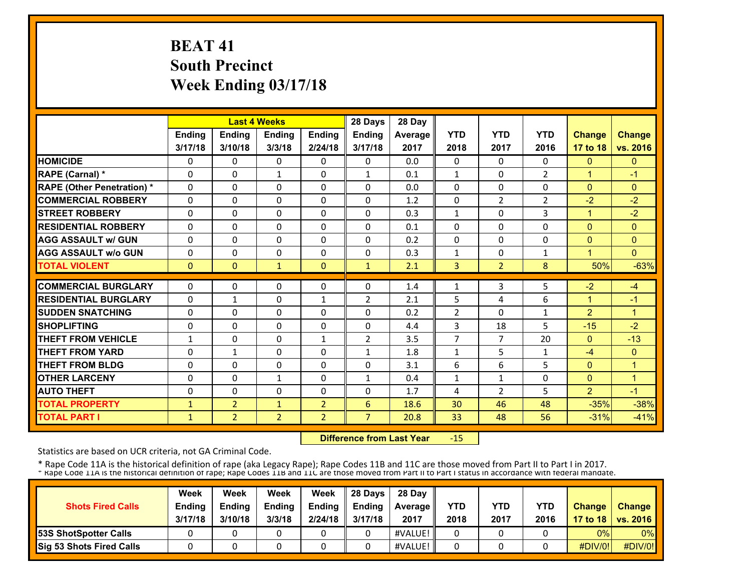# **BEAT 41 South Precinct Week Ending 03/17/18**

|                                   |              |                | <b>Last 4 Weeks</b> |                | 28 Days        | 28 Day  |                |                |                |                |                |
|-----------------------------------|--------------|----------------|---------------------|----------------|----------------|---------|----------------|----------------|----------------|----------------|----------------|
|                                   | Ending       | <b>Ending</b>  | <b>Ending</b>       | <b>Ending</b>  | Ending         | Average | <b>YTD</b>     | <b>YTD</b>     | <b>YTD</b>     | Change         | <b>Change</b>  |
|                                   | 3/17/18      | 3/10/18        | 3/3/18              | 2/24/18        | 3/17/18        | 2017    | 2018           | 2017           | 2016           | 17 to 18       | vs. 2016       |
| <b>HOMICIDE</b>                   | 0            | $\Omega$       | $\Omega$            | 0              | $\Omega$       | 0.0     | 0              | $\Omega$       | $\Omega$       | $\mathbf{0}$   | $\mathbf{0}$   |
| RAPE (Carnal) *                   | $\Omega$     | $\Omega$       | $\mathbf{1}$        | $\Omega$       | $\mathbf{1}$   | 0.1     | $\mathbf{1}$   | 0              | $\overline{2}$ | $\overline{1}$ | $-1$           |
| <b>RAPE (Other Penetration) *</b> | $\Omega$     | $\Omega$       | $\Omega$            | $\Omega$       | $\Omega$       | 0.0     | $\Omega$       | $\Omega$       | $\Omega$       | $\Omega$       | $\mathbf{0}$   |
| <b>COMMERCIAL ROBBERY</b>         | $\Omega$     | $\Omega$       | $\Omega$            | $\Omega$       | $\Omega$       | 1.2     | 0              | $\overline{2}$ | 2              | $-2$           | $-2$           |
| <b>STREET ROBBERY</b>             | $\Omega$     | 0              | $\mathbf{0}$        | 0              | $\Omega$       | 0.3     | 1              | 0              | 3              | $\mathbf{1}$   | $-2$           |
| <b>RESIDENTIAL ROBBERY</b>        | $\Omega$     | $\Omega$       | $\Omega$            | $\Omega$       | $\Omega$       | 0.1     | $\Omega$       | 0              | $\Omega$       | $\Omega$       | $\mathbf{0}$   |
| <b>AGG ASSAULT w/ GUN</b>         | $\Omega$     | $\Omega$       | $\Omega$            | $\Omega$       | $\Omega$       | 0.2     | $\Omega$       | $\Omega$       | $\Omega$       | $\Omega$       | $\mathbf{0}$   |
| <b>AGG ASSAULT w/o GUN</b>        | 0            | 0              | $\Omega$            | $\Omega$       | $\Omega$       | 0.3     | $\mathbf 1$    | 0              | 1              | 4              | $\Omega$       |
| <b>TOTAL VIOLENT</b>              | $\mathbf{0}$ | $\Omega$       | $\mathbf{1}$        | $\Omega$       | $\mathbf{1}$   | 2.1     | 3              | $\overline{2}$ | 8              | 50%            | $-63%$         |
| <b>COMMERCIAL BURGLARY</b>        | 0            | 0              | 0                   | 0              | 0              | 1.4     | 1              | 3              | 5              | $-2$           | $-4$           |
| <b>RESIDENTIAL BURGLARY</b>       | $\Omega$     | $\mathbf{1}$   | $\Omega$            | $\mathbf{1}$   | $\overline{2}$ | 2.1     | 5              | 4              | 6              | $\mathbf{1}$   | $-1$           |
| <b>SUDDEN SNATCHING</b>           | $\Omega$     | $\Omega$       | $\Omega$            | $\Omega$       | $\Omega$       | 0.2     | $\overline{2}$ | $\Omega$       | 1              | $\overline{2}$ | $\overline{1}$ |
| <b>SHOPLIFTING</b>                | $\Omega$     | $\Omega$       | $\Omega$            | $\Omega$       | $\Omega$       | 4.4     | 3              | 18             | 5              | $-15$          | $-2$           |
| <b>THEFT FROM VEHICLE</b>         | 1            | 0              | $\Omega$            | 1              | $\overline{2}$ | 3.5     | 7              | $\overline{7}$ | 20             | $\Omega$       | $-13$          |
| <b>THEFT FROM YARD</b>            | 0            | $\mathbf{1}$   | $\Omega$            | 0              | $\mathbf{1}$   | 1.8     | 1              | 5              | $\mathbf{1}$   | $-4$           | $\mathbf{0}$   |
| <b>THEFT FROM BLDG</b>            | 0            | $\Omega$       | $\Omega$            | $\Omega$       | $\Omega$       | 3.1     | 6              | 6              | 5              | $\Omega$       | $\mathbf{1}$   |
| <b>OTHER LARCENY</b>              | $\Omega$     | 0              | $\mathbf{1}$        | $\Omega$       | $\mathbf{1}$   | 0.4     | 1              | 1              | $\Omega$       | $\Omega$       | $\mathbf{1}$   |
| <b>AUTO THEFT</b>                 | 0            | $\Omega$       | $\Omega$            | 0              | $\Omega$       | 1.7     | 4              | $\mathcal{P}$  | 5              | $\overline{2}$ | $-1$           |
| <b>TOTAL PROPERTY</b>             | 1            | $\overline{2}$ | $\mathbf{1}$        | $\overline{2}$ | 6              | 18.6    | 30             | 46             | 48             | $-35%$         | $-38%$         |
| <b>TOTAL PART I</b>               | $\mathbf{1}$ | $\overline{2}$ | $\overline{2}$      | $\overline{2}$ | $\overline{7}$ | 20.8    | 33             | 48             | 56             | $-31%$         | $-41%$         |

 **Difference from Last Year**‐15

Statistics are based on UCR criteria, not GA Criminal Code.

| <b>Shots Fired Calls</b>        | Week<br><b>Ending</b><br>3/17/18 | Week<br><b>Endina</b><br>3/10/18 | Week<br><b>Ending</b><br>3/3/18 | Week<br><b>Ending</b><br>2/24/18 | 28 Davs<br><b>Ending</b><br>3/17/18 | 28 Day<br>Average   <br>2017 | YTD<br>2018 | YTD<br>2017 | <b>YTD</b><br>2016 | <b>Change</b> | Change<br>17 to 18   vs. 2016 |
|---------------------------------|----------------------------------|----------------------------------|---------------------------------|----------------------------------|-------------------------------------|------------------------------|-------------|-------------|--------------------|---------------|-------------------------------|
| <b>153S ShotSpotter Calls</b>   |                                  |                                  |                                 |                                  |                                     | #VALUE!                      |             |             |                    | 0%            | $0\%$                         |
| <b>Sig 53 Shots Fired Calls</b> |                                  |                                  |                                 |                                  |                                     | #VALUE!                      |             |             |                    | #DIV/0!       | #DIV/0!                       |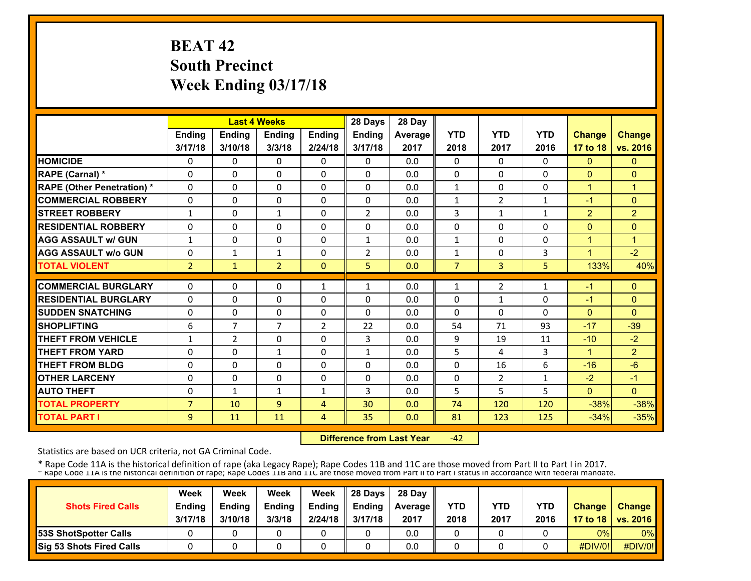# **BEAT 42 South Precinct Week Ending 03/17/18**

|                                   |                |                | <b>Last 4 Weeks</b> |                | 28 Days        | 28 Day  |                |                |              |                |                |
|-----------------------------------|----------------|----------------|---------------------|----------------|----------------|---------|----------------|----------------|--------------|----------------|----------------|
|                                   | <b>Ending</b>  | <b>Ending</b>  | <b>Endina</b>       | <b>Ending</b>  | <b>Endina</b>  | Average | <b>YTD</b>     | <b>YTD</b>     | <b>YTD</b>   | <b>Change</b>  | <b>Change</b>  |
|                                   | 3/17/18        | 3/10/18        | 3/3/18              | 2/24/18        | 3/17/18        | 2017    | 2018           | 2017           | 2016         | 17 to 18       | vs. 2016       |
| <b>HOMICIDE</b>                   | 0              | 0              | $\mathbf{0}$        | 0              | $\mathbf{0}$   | 0.0     | 0              | $\Omega$       | 0            | $\mathbf{0}$   | $\mathbf{0}$   |
| RAPE (Carnal) *                   | 0              | 0              | $\mathbf{0}$        | 0              | $\Omega$       | 0.0     | 0              | 0              | $\Omega$     | $\mathbf{0}$   | $\Omega$       |
| <b>RAPE (Other Penetration) *</b> | $\Omega$       | $\Omega$       | $\Omega$            | $\Omega$       | $\Omega$       | 0.0     | $\mathbf{1}$   | 0              | $\Omega$     | $\overline{1}$ | $\overline{1}$ |
| <b>COMMERCIAL ROBBERY</b>         | $\Omega$       | $\Omega$       | $\Omega$            | $\Omega$       | $\Omega$       | 0.0     | $\mathbf{1}$   | $\overline{2}$ | $\mathbf{1}$ | $-1$           | $\Omega$       |
| <b>STREET ROBBERY</b>             | $\mathbf{1}$   | $\Omega$       | $\mathbf{1}$        | $\Omega$       | $\overline{2}$ | 0.0     | 3              | $\mathbf{1}$   | 1            | $\overline{2}$ | $\overline{2}$ |
| <b>RESIDENTIAL ROBBERY</b>        | $\Omega$       | 0              | $\Omega$            | 0              | $\Omega$       | 0.0     | 0              | 0              | $\Omega$     | $\Omega$       | $\Omega$       |
| <b>AGG ASSAULT w/ GUN</b>         | $\mathbf{1}$   | $\Omega$       | $\Omega$            | $\Omega$       | $\mathbf{1}$   | 0.0     | $\mathbf{1}$   | 0              | $\Omega$     | $\overline{1}$ | $\mathbf{1}$   |
| <b>AGG ASSAULT w/o GUN</b>        | 0              | 1              | $\mathbf{1}$        | $\Omega$       | $\overline{2}$ | 0.0     | $\mathbf{1}$   | $\Omega$       | 3            | 1              | $-2$           |
| <b>TOTAL VIOLENT</b>              | $\overline{2}$ | $\mathbf{1}$   | $\overline{2}$      | $\Omega$       | 5              | 0.0     | $\overline{7}$ | 3              | 5            | 133%           | 40%            |
| <b>COMMERCIAL BURGLARY</b>        | $\Omega$       | 0              | 0                   |                | 1              | 0.0     |                | 2              |              | -1             | $\Omega$       |
|                                   |                |                |                     | 1              |                |         | 1              |                | 1            |                |                |
| <b>RESIDENTIAL BURGLARY</b>       | 0              | 0              | $\Omega$            | 0              | $\Omega$       | 0.0     | 0              | 1              | 0            | -1             | $\mathbf{0}$   |
| <b>SUDDEN SNATCHING</b>           | 0              | $\Omega$       | $\Omega$            | 0              | $\Omega$       | 0.0     | $\Omega$       | $\Omega$       | $\Omega$     | $\Omega$       | $\Omega$       |
| <b>SHOPLIFTING</b>                | 6              | $\overline{7}$ | $\overline{7}$      | 2              | 22             | 0.0     | 54             | 71             | 93           | $-17$          | $-39$          |
| <b>THEFT FROM VEHICLE</b>         | 1              | $\overline{2}$ | $\Omega$            | 0              | 3.             | 0.0     | 9              | 19             | 11           | $-10$          | $-2$           |
| <b>THEFT FROM YARD</b>            | $\Omega$       | $\Omega$       | $\mathbf{1}$        | $\Omega$       | $\mathbf{1}$   | 0.0     | 5              | 4              | 3            | $\mathbf{1}$   | $\overline{2}$ |
| <b>THEFT FROM BLDG</b>            | 0              | $\Omega$       | $\Omega$            | 0              | $\Omega$       | 0.0     | 0              | 16             | 6            | $-16$          | $-6$           |
| <b>OTHER LARCENY</b>              | 0              | $\Omega$       | $\Omega$            | $\Omega$       | 0              | 0.0     | 0              | $\overline{2}$ | 1            | $-2$           | $-1$           |
| <b>AUTO THEFT</b>                 | 0              | $\mathbf{1}$   | $\mathbf{1}$        | $\mathbf{1}$   | 3              | 0.0     | 5              | 5              | 5            | $\Omega$       | $\Omega$       |
| <b>TOTAL PROPERTY</b>             | $\overline{7}$ | 10             | 9                   | $\overline{4}$ | 30             | 0.0     | 74             | 120            | 120          | $-38%$         | $-38%$         |
| <b>TOTAL PART I</b>               | 9              | 11             | 11                  | 4              | 35             | 0.0     | 81             | 123            | 125          | $-34%$         | $-35%$         |

 **Difference from Last Year** $-42$ 

Statistics are based on UCR criteria, not GA Criminal Code.

| <b>Shots Fired Calls</b>     | Week<br><b>Ending</b><br>3/17/18 | Week<br><b>Ending</b><br>3/10/18 | Week<br><b>Ending</b><br>3/3/18 | Week<br>Ending<br>2/24/18 | <b>28 Davs</b><br><b>Endina</b><br>3/17/18 | 28 Day<br><b>Average II</b><br>2017 | YTD<br>2018 | YTD<br>2017 | YTD<br>2016 | <b>Change</b> | Change<br>17 to 18   vs. 2016 |
|------------------------------|----------------------------------|----------------------------------|---------------------------------|---------------------------|--------------------------------------------|-------------------------------------|-------------|-------------|-------------|---------------|-------------------------------|
| <b>53S ShotSpotter Calls</b> |                                  |                                  |                                 |                           |                                            | 0.0                                 |             |             |             | 0%            | $0\%$                         |
| Sig 53 Shots Fired Calls     |                                  |                                  |                                 |                           |                                            | 0.0                                 |             |             |             | #DIV/0!       | #DIV/0!                       |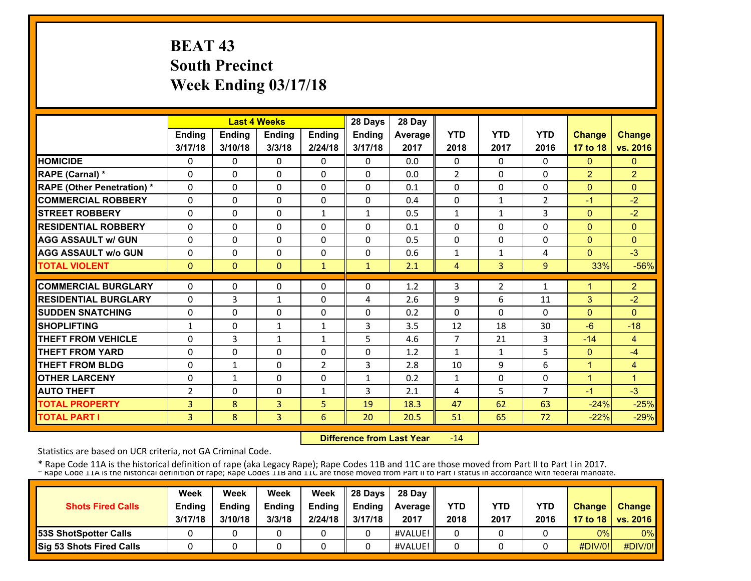# **BEAT 43 South Precinct Week Ending 03/17/18**

|                                   |                | <b>Last 4 Weeks</b> |               |                | 28 Days       | 28 Day     |                |              |                |                |                      |
|-----------------------------------|----------------|---------------------|---------------|----------------|---------------|------------|----------------|--------------|----------------|----------------|----------------------|
|                                   | <b>Ending</b>  | <b>Ending</b>       | <b>Endina</b> | <b>Ending</b>  | <b>Ending</b> | Average    | <b>YTD</b>     | <b>YTD</b>   | <b>YTD</b>     | <b>Change</b>  | <b>Change</b>        |
|                                   | 3/17/18        | 3/10/18             | 3/3/18        | 2/24/18        | 3/17/18       | 2017       | 2018           | 2017         | 2016           | 17 to 18       | vs. 2016             |
| <b>HOMICIDE</b>                   | 0              | 0                   | 0             | 0              | $\Omega$      | 0.0        | 0              | 0            | 0              | $\mathbf{0}$   | $\mathbf{0}$         |
| <b>RAPE (Carnal) *</b>            | $\Omega$       | $\Omega$            | 0             | $\Omega$       | $\Omega$      | 0.0        | $\overline{2}$ | 0            | 0              | $\overline{2}$ | $\overline{2}$       |
| <b>RAPE (Other Penetration) *</b> | $\Omega$       | $\Omega$            | 0             | $\mathbf{0}$   | $\Omega$      | 0.1        | 0              | 0            | 0              | $\Omega$       | $\Omega$             |
| <b>COMMERCIAL ROBBERY</b>         | $\Omega$       | 0                   | 0             | $\mathbf{0}$   | $\Omega$      | 0.4        | $\Omega$       | $\mathbf{1}$ | 2              | $-1$           | $-2$                 |
| <b>STREET ROBBERY</b>             | $\Omega$       | 0                   | 0             | $\mathbf{1}$   | $\mathbf{1}$  | 0.5        | 1              | $\mathbf{1}$ | 3              | $\mathbf{0}$   | $-2$                 |
| <b>RESIDENTIAL ROBBERY</b>        | $\Omega$       | $\Omega$            | $\Omega$      | $\mathbf{0}$   | 0             | 0.1        | $\Omega$       | 0            | 0              | $\Omega$       | $\mathbf{0}$         |
| <b>AGG ASSAULT w/ GUN</b>         | $\Omega$       | 0                   | 0             | $\mathbf{0}$   | 0             | 0.5        | 0              | 0            | 0              | $\mathbf{0}$   | $\mathbf{0}$         |
| <b>AGG ASSAULT w/o GUN</b>        | $\Omega$       | 0                   | $\Omega$      | $\mathbf{0}$   | 0             | 0.6        | 1              | 1            | 4              | $\Omega$       | $-3$                 |
| <b>TOTAL VIOLENT</b>              | $\Omega$       | $\Omega$            | $\Omega$      | $\mathbf{1}$   | $\mathbf{1}$  | 2.1        | 4              | 3            | $\overline{9}$ | 33%            | $-56%$               |
| <b>COMMERCIAL BURGLARY</b>        | $\Omega$       | 0                   | 0             | $\mathbf{0}$   | 0             | 1.2        | 3              | 2            | 1              | 1              | $\overline{2}$       |
| <b>RESIDENTIAL BURGLARY</b>       | $\Omega$       |                     |               | $\mathbf{0}$   |               |            |                | 6            |                |                | $-2$                 |
| <b>SUDDEN SNATCHING</b>           |                | 3                   | $\mathbf{1}$  |                | 4<br>0        | 2.6<br>0.2 | 9              | 0            | 11<br>0        | 3              | $\Omega$             |
|                                   | $\Omega$       | 0                   | 0             | 0              |               |            | 0              |              |                | $\Omega$       |                      |
| <b>SHOPLIFTING</b>                | 1              | 0                   | $\mathbf{1}$  | $\mathbf{1}$   | 3             | 3.5        | 12             | 18           | 30             | $-6$           | $-18$                |
| <b>THEFT FROM VEHICLE</b>         | $\Omega$       | 3                   | $\mathbf{1}$  | $\mathbf{1}$   | 5             | 4.6        | 7              | 21           | 3              | $-14$          | 4                    |
| <b>THEFT FROM YARD</b>            | $\Omega$       | $\Omega$            | 0             | $\mathbf{0}$   | 0             | 1.2        | $\mathbf{1}$   | 1            | 5              | $\Omega$       | $-4$                 |
| <b>THEFT FROM BLDG</b>            | $\Omega$       | $\mathbf{1}$        | $\Omega$      | $\overline{2}$ | 3             | 2.8        | 10             | 9            | 6              | $\mathbf{1}$   | 4                    |
| <b>OTHER LARCENY</b>              | 0              | $\mathbf{1}$        | $\Omega$      | $\Omega$       | $\mathbf{1}$  | 0.2        | $\mathbf{1}$   | 0            | 0              | $\mathbf{1}$   | $\blacktriangleleft$ |
| <b>AUTO THEFT</b>                 | $\overline{2}$ | $\Omega$            | $\Omega$      | $\mathbf{1}$   | 3             | 2.1        | 4              | 5            | $\overline{7}$ | $-1$           | $-3$                 |
| <b>TOTAL PROPERTY</b>             | 3              | 8                   | 3             | 5              | 19            | 18.3       | 47             | 62           | 63             | $-24%$         | $-25%$               |
| <b>TOTAL PART I</b>               | 3              | 8                   | 3             | 6              | 20            | 20.5       | 51             | 65           | 72             | $-22%$         | $-29%$               |

 **Difference from Last Year** $-14$ 

Statistics are based on UCR criteria, not GA Criminal Code.

| <b>Shots Fired Calls</b>        | Week<br><b>Ending</b><br>3/17/18 | Week<br><b>Ending</b><br>3/10/18 | Week<br><b>Ending</b><br>3/3/18 | Week<br><b>Endina</b><br>2/24/18 | 28 Davs<br>Endina<br>3/17/18 | 28 Day<br><b>Average II</b><br>2017 | YTD<br>2018 | <b>YTD</b><br>2017 | <b>YTD</b><br>2016 | <b>Change</b> | Change<br>17 to 18   vs. 2016 |
|---------------------------------|----------------------------------|----------------------------------|---------------------------------|----------------------------------|------------------------------|-------------------------------------|-------------|--------------------|--------------------|---------------|-------------------------------|
| <b>53S ShotSpotter Calls</b>    |                                  |                                  |                                 |                                  |                              | #VALUE!                             |             |                    |                    | 0%            | $0\%$                         |
| <b>Sig 53 Shots Fired Calls</b> |                                  |                                  |                                 |                                  |                              | #VALUE!                             |             |                    |                    | #DIV/0!       | #DIV/0!                       |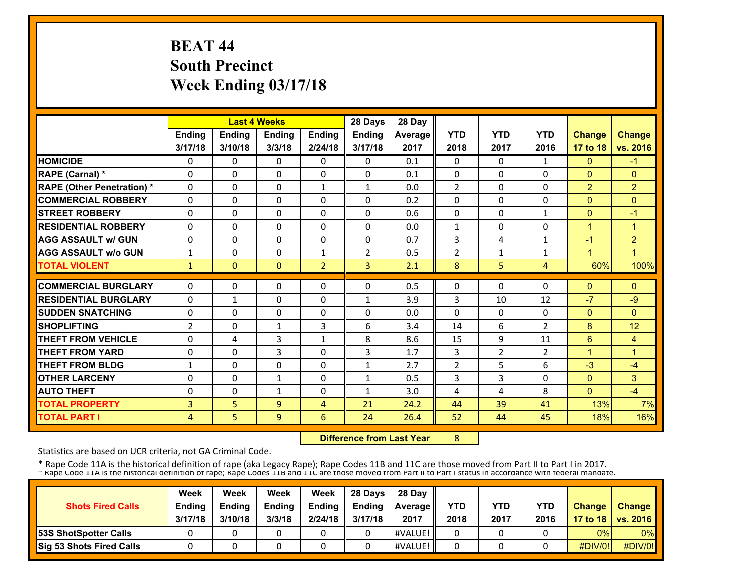# **BEAT 44 South Precinct Week Ending 03/17/18**

|                                   |                |               | <b>Last 4 Weeks</b> |                | 28 Days        | 28 Day  |                |                |                |                |                      |
|-----------------------------------|----------------|---------------|---------------------|----------------|----------------|---------|----------------|----------------|----------------|----------------|----------------------|
|                                   | <b>Ending</b>  | <b>Ending</b> | Ending              | <b>Ending</b>  | <b>Ending</b>  | Average | <b>YTD</b>     | <b>YTD</b>     | <b>YTD</b>     | <b>Change</b>  | <b>Change</b>        |
|                                   | 3/17/18        | 3/10/18       | 3/3/18              | 2/24/18        | 3/17/18        | 2017    | 2018           | 2017           | 2016           | 17 to 18       | vs. 2016             |
| <b>HOMICIDE</b>                   | 0              | 0             | $\Omega$            | 0              | 0              | 0.1     | $\Omega$       | 0              | 1              | $\mathbf{0}$   | $-1$                 |
| RAPE (Carnal) *                   | $\Omega$       | $\Omega$      | $\Omega$            | $\mathbf{0}$   | $\Omega$       | 0.1     | $\Omega$       | 0              | 0              | $\Omega$       | $\mathbf{0}$         |
| <b>RAPE (Other Penetration)</b> * | $\Omega$       | $\Omega$      | $\Omega$            | $\mathbf{1}$   | $\mathbf{1}$   | 0.0     | $\overline{2}$ | 0              | 0              | $\overline{2}$ | $\overline{2}$       |
| <b>COMMERCIAL ROBBERY</b>         | $\Omega$       | 0             | $\Omega$            | $\Omega$       | $\Omega$       | 0.2     | $\Omega$       | 0              | 0              | $\Omega$       | $\Omega$             |
| <b>ISTREET ROBBERY</b>            | $\Omega$       | $\Omega$      | $\Omega$            | $\Omega$       | 0              | 0.6     | $\Omega$       | 0              | $\mathbf{1}$   | $\Omega$       | $-1$                 |
| <b>RESIDENTIAL ROBBERY</b>        | $\Omega$       | 0             | 0                   | $\Omega$       | 0              | 0.0     | $\mathbf{1}$   | 0              | 0              | $\mathbf{1}$   | $\blacktriangleleft$ |
| <b>AGG ASSAULT w/ GUN</b>         | $\Omega$       | 0             | 0                   | $\Omega$       | 0              | 0.7     | 3              | 4              | $\mathbf{1}$   | $-1$           | $\overline{2}$       |
| <b>AGG ASSAULT w/o GUN</b>        | $\mathbf{1}$   | 0             | 0                   | $\mathbf{1}$   | $\overline{2}$ | 0.5     | $\overline{2}$ | $\mathbf{1}$   | $\mathbf{1}$   | 1              | 4                    |
| <b>TOTAL VIOLENT</b>              | 1              | $\Omega$      | $\mathbf{0}$        | $\overline{2}$ | $\overline{3}$ | 2.1     | 8              | 5              | 4              | 60%            | 100%                 |
|                                   |                |               |                     |                |                |         |                |                |                |                |                      |
| <b>COMMERCIAL BURGLARY</b>        | $\Omega$       | 0             | 0                   | $\mathbf{0}$   | $\Omega$       | 0.5     | 0              | 0              | 0              | $\Omega$       | $\Omega$             |
| <b>RESIDENTIAL BURGLARY</b>       | $\Omega$       | $\mathbf{1}$  | 0                   | 0              | $\mathbf{1}$   | 3.9     | 3              | 10             | 12             | $-7$           | $-9$                 |
| <b>SUDDEN SNATCHING</b>           | 0              | 0             | $\Omega$            | $\Omega$       | $\Omega$       | 0.0     | $\Omega$       | $\Omega$       | 0              | $\Omega$       | $\Omega$             |
| <b>SHOPLIFTING</b>                | $\overline{2}$ | $\Omega$      | $\mathbf{1}$        | 3              | 6              | 3.4     | 14             | 6              | $\overline{2}$ | 8              | 12                   |
| <b>THEFT FROM VEHICLE</b>         | $\Omega$       | 4             | 3                   | $\mathbf{1}$   | 8              | 8.6     | 15             | 9              | 11             | 6              | 4                    |
| <b>THEFT FROM YARD</b>            | $\Omega$       | 0             | 3                   | 0              | 3              | 1.7     | 3              | $\overline{2}$ | $\overline{2}$ | $\mathbf{1}$   | 1                    |
| <b>THEFT FROM BLDG</b>            | 1              | $\Omega$      | $\Omega$            | $\Omega$       | 1              | 2.7     | $\overline{2}$ | 5              | 6              | $-3$           | $-4$                 |
| <b>OTHER LARCENY</b>              | $\Omega$       | 0             | $\mathbf{1}$        | $\Omega$       | $\mathbf{1}$   | 0.5     | 3              | 3              | 0              | $\Omega$       | 3                    |
| <b>AUTO THEFT</b>                 | $\Omega$       | 0             | $\mathbf{1}$        | $\Omega$       | $\mathbf{1}$   | 3.0     | 4              | 4              | 8              | $\Omega$       | $-4$                 |
| <b>TOTAL PROPERTY</b>             | 3              | 5             | 9                   | $\overline{4}$ | 21             | 24.2    | 44             | 39             | 41             | 13%            | 7%                   |
| <b>TOTAL PART I</b>               | $\overline{4}$ | 5             | 9                   | 6              | 24             | 26.4    | 52             | 44             | 45             | 18%            | 16%                  |

 **Difference from Last Year**

8

Statistics are based on UCR criteria, not GA Criminal Code.

| <b>Shots Fired Calls</b>        | Week<br><b>Ending</b><br>3/17/18 | Week<br><b>Endina</b><br>3/10/18 | Week<br><b>Ending</b><br>3/3/18 | Week<br><b>Ending</b><br>2/24/18 | 28 Davs<br><b>Ending</b><br>3/17/18 | 28 Day<br>Average   <br>2017 | YTD<br>2018 | YTD<br>2017 | <b>YTD</b><br>2016 | <b>Change</b> | Change<br>17 to 18   vs. 2016 |
|---------------------------------|----------------------------------|----------------------------------|---------------------------------|----------------------------------|-------------------------------------|------------------------------|-------------|-------------|--------------------|---------------|-------------------------------|
| <b>153S ShotSpotter Calls</b>   |                                  |                                  |                                 |                                  |                                     | #VALUE!                      |             |             |                    | 0%            | $0\%$                         |
| <b>Sig 53 Shots Fired Calls</b> |                                  |                                  |                                 |                                  |                                     | #VALUE!                      |             |             |                    | #DIV/0!       | #DIV/0!                       |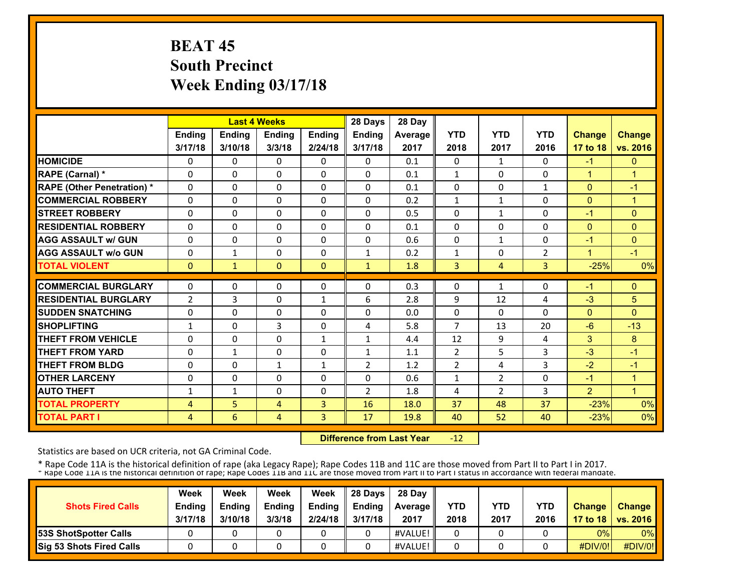# **BEAT 45 South Precinct Week Ending 03/17/18**

|                                   |                |                          | <b>Last 4 Weeks</b> |               | 28 Days                      | 28 Day     |                |               |                |                |                      |
|-----------------------------------|----------------|--------------------------|---------------------|---------------|------------------------------|------------|----------------|---------------|----------------|----------------|----------------------|
|                                   | Ending         | <b>Ending</b>            | <b>Ending</b>       | Ending        | <b>Ending</b>                | Average    | <b>YTD</b>     | <b>YTD</b>    | <b>YTD</b>     | <b>Change</b>  | <b>Change</b>        |
|                                   | 3/17/18        | 3/10/18                  | 3/3/18              | 2/24/18       | 3/17/18                      | 2017       | 2018           | 2017          | 2016           | 17 to 18       | vs. 2016             |
| <b>HOMICIDE</b>                   | 0              | $\Omega$                 | $\Omega$            | 0             | $\Omega$                     | 0.1        | 0              | $\mathbf{1}$  | $\Omega$       | $-1$           | $\mathbf{0}$         |
| RAPE (Carnal) *                   | $\Omega$       | $\Omega$                 | $\Omega$            | $\Omega$      | $\Omega$                     | 0.1        | $\mathbf{1}$   | $\Omega$      | $\Omega$       | $\mathbf{1}$   | $\mathbf{1}$         |
| <b>RAPE (Other Penetration) *</b> | $\Omega$       | $\Omega$                 | $\Omega$            | $\Omega$      | $\Omega$                     | 0.1        | $\Omega$       | $\Omega$      | 1              | $\Omega$       | $-1$                 |
| <b>COMMERCIAL ROBBERY</b>         | $\Omega$       | $\Omega$                 | $\Omega$            | $\Omega$      | $\Omega$                     | 0.2        | $\mathbf{1}$   | $\mathbf{1}$  | $\Omega$       | $\Omega$       | $\blacktriangleleft$ |
| <b>STREET ROBBERY</b>             | $\Omega$       | $\Omega$                 | $\mathbf{0}$        | 0             | $\Omega$                     | 0.5        | 0              | $\mathbf{1}$  | $\Omega$       | $-1$           | $\Omega$             |
| <b>RESIDENTIAL ROBBERY</b>        | $\Omega$       | $\Omega$                 | $\Omega$            | $\Omega$      | $\Omega$                     | 0.1        | $\Omega$       | 0             | $\Omega$       | $\Omega$       | $\mathbf{0}$         |
| <b>AGG ASSAULT w/ GUN</b>         | $\Omega$       | $\Omega$                 | $\Omega$            | $\Omega$      | $\Omega$                     | 0.6        | $\Omega$       | $\mathbf{1}$  | $\Omega$       | $-1$           | $\mathbf{0}$         |
| <b>AGG ASSAULT w/o GUN</b>        | 0              | $\mathbf{1}$             | $\Omega$            | $\Omega$      | $\mathbf{1}$                 | 0.2        | $\mathbf 1$    | 0             | $\overline{2}$ | $\overline{ }$ | $-1$                 |
| <b>TOTAL VIOLENT</b>              | $\mathbf{0}$   | $\mathbf{1}$             | $\mathbf{0}$        | $\Omega$      | $\mathbf{1}$                 | 1.8        | 3              | 4             | 3              | $-25%$         | 0%                   |
| <b>COMMERCIAL BURGLARY</b>        | 0              | 0                        | 0                   | 0             | $\Omega$                     | 0.3        | 0              | $\mathbf{1}$  | 0              | $-1$           | $\Omega$             |
| <b>RESIDENTIAL BURGLARY</b>       | $\overline{2}$ | 3                        | $\Omega$            | $\mathbf{1}$  | 6                            | 2.8        | 9              | 12            | 4              | $-3$           | 5                    |
| <b>SUDDEN SNATCHING</b>           | 0              | $\Omega$                 | $\Omega$            | $\Omega$      | $\Omega$                     | 0.0        | $\Omega$       | $\Omega$      | $\Omega$       | $\Omega$       | $\Omega$             |
| <b>SHOPLIFTING</b>                |                | $\Omega$                 | 3                   | $\Omega$      |                              | 5.8        | 7              | 13            | 20             | $-6$           | $-13$                |
| <b>THEFT FROM VEHICLE</b>         | 1<br>$\Omega$  | 0                        | $\Omega$            |               | 4                            |            |                | 9             |                | 3              | 8                    |
| <b>THEFT FROM YARD</b>            |                |                          | $\Omega$            | 1             | $\mathbf{1}$<br>$\mathbf{1}$ | 4.4        | 12             | 5             | 4<br>3         | $-3$           | $-1$                 |
| <b>THEFT FROM BLDG</b>            | 0              | $\mathbf{1}$<br>$\Omega$ | $\mathbf{1}$        | 0             | $\overline{2}$               | 1.1        | $\overline{2}$ | 4             | 3              | $-2$           | $-1$                 |
| <b>OTHER LARCENY</b>              | 0<br>0         | 0                        | $\Omega$            | 1<br>$\Omega$ | $\Omega$                     | 1.2<br>0.6 | $\overline{2}$ | 2             | $\Omega$       | $-1$           | $\mathbf{1}$         |
|                                   |                |                          | $\Omega$            |               |                              |            | 1              | $\mathcal{P}$ | 3              |                | $\blacktriangleleft$ |
| <b>AUTO THEFT</b>                 | 1              | $\mathbf{1}$             |                     | 0             | $\overline{2}$               | 1.8        | 4              |               | 37             | $\overline{2}$ |                      |
| <b>TOTAL PROPERTY</b>             | 4              | 5                        | 4                   | 3             | 16                           | 18.0       | 37             | 48            |                | $-23%$         | 0%                   |
| <b>TOTAL PART I</b>               | 4              | 6                        | 4                   | 3             | 17                           | 19.8       | 40             | 52            | 40             | $-23%$         | 0%                   |

 **Difference from Last Year** $-12$ 

Statistics are based on UCR criteria, not GA Criminal Code.

| <b>Shots Fired Calls</b>        | Week<br><b>Ending</b> | Week<br><b>Endina</b> | Week<br><b>Ending</b> | Week<br>Ending | 28 Davs<br><b>Endina</b> | 28 Day<br><b>Average</b> II | YTD  | YTD  | <b>YTD</b> | <b>Change</b>  | <b>Change</b>       |
|---------------------------------|-----------------------|-----------------------|-----------------------|----------------|--------------------------|-----------------------------|------|------|------------|----------------|---------------------|
|                                 | 3/17/18               | 3/10/18               | 3/3/18                | 2/24/18        | 3/17/18                  | 2017                        | 2018 | 2017 | 2016       |                | 17 to 18   vs. 2016 |
| <b>53S ShotSpotter Calls</b>    |                       |                       |                       |                |                          | #VALUE!                     |      |      |            | 0%             | $0\%$               |
| <b>Sig 53 Shots Fired Calls</b> |                       |                       |                       |                |                          | #VALUE!                     |      |      |            | <b>#DIV/0!</b> | #DIV/0!             |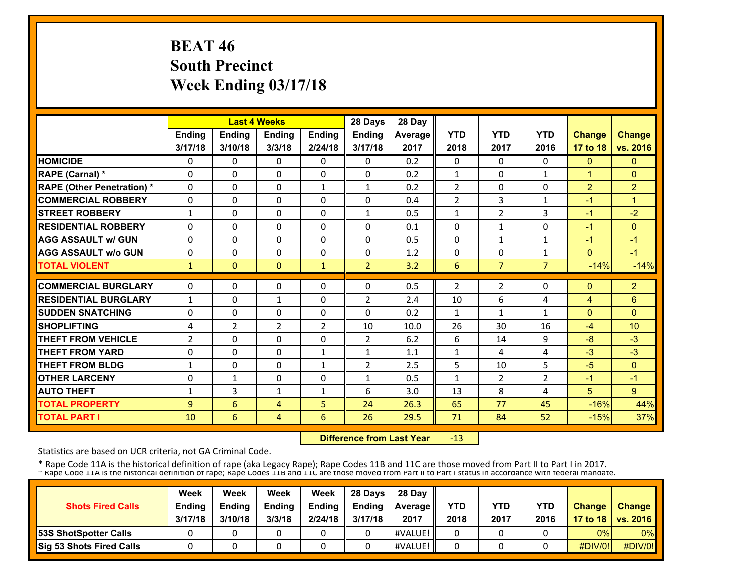# **BEAT 46 South Precinct Week Ending 03/17/18**

|                                   |                | <b>Last 4 Weeks</b> |                |               | 28 Days        | 28 Day  |                |                |                |                |                 |
|-----------------------------------|----------------|---------------------|----------------|---------------|----------------|---------|----------------|----------------|----------------|----------------|-----------------|
|                                   | Ending         | Ending              | Ending         | <b>Ending</b> | Ending         | Average | <b>YTD</b>     | <b>YTD</b>     | <b>YTD</b>     | <b>Change</b>  | <b>Change</b>   |
|                                   | 3/17/18        | 3/10/18             | 3/3/18         | 2/24/18       | 3/17/18        | 2017    | 2018           | 2017           | 2016           | 17 to 18       | vs. 2016        |
| <b>HOMICIDE</b>                   | 0              | 0                   | $\Omega$       | 0             | $\Omega$       | 0.2     | $\Omega$       | $\Omega$       | 0              | $\mathbf{0}$   | $\mathbf{0}$    |
| RAPE (Carnal) *                   | $\Omega$       | $\Omega$            | 0              | $\mathbf{0}$  | $\Omega$       | 0.2     | $\mathbf{1}$   | $\Omega$       | $\mathbf{1}$   | $\overline{1}$ | $\Omega$        |
| <b>RAPE (Other Penetration)</b> * | $\Omega$       | $\Omega$            | $\Omega$       | $\mathbf{1}$  | 1              | 0.2     | $\overline{2}$ | 0              | 0              | $\overline{2}$ | $\overline{2}$  |
| <b>COMMERCIAL ROBBERY</b>         | $\Omega$       | 0                   | $\Omega$       | $\mathbf{0}$  | $\Omega$       | 0.4     | $\overline{2}$ | 3              | 1              | $-1$           | $\overline{1}$  |
| <b>STREET ROBBERY</b>             | 1              | 0                   | 0              | $\mathbf{0}$  | 1              | 0.5     | 1              | $\overline{2}$ | 3              | -1             | $-2$            |
| <b>RESIDENTIAL ROBBERY</b>        | $\Omega$       | 0                   | $\Omega$       | $\Omega$      | $\Omega$       | 0.1     | $\Omega$       | $\mathbf{1}$   | 0              | $-1$           | $\mathbf{0}$    |
| <b>AGG ASSAULT w/ GUN</b>         | $\Omega$       | $\Omega$            | $\Omega$       | $\Omega$      | $\Omega$       | 0.5     | $\Omega$       | $\mathbf{1}$   | $\mathbf{1}$   | $-1$           | $-1$            |
| <b>AGG ASSAULT w/o GUN</b>        | $\Omega$       | 0                   | $\Omega$       | $\mathbf{0}$  | 0              | 1.2     | 0              | 0              | 1              | $\Omega$       | $-1$            |
| <b>TOTAL VIOLENT</b>              | $\mathbf{1}$   | $\Omega$            | $\Omega$       | $\mathbf{1}$  | $\overline{2}$ | 3.2     | 6              | $\overline{7}$ | $\overline{7}$ | $-14%$         | $-14%$          |
| <b>COMMERCIAL BURGLARY</b>        | $\Omega$       | $\Omega$            | 0              | 0             | 0              | 0.5     | $\overline{2}$ | 2              | 0              | $\mathbf{0}$   | $\overline{2}$  |
| <b>RESIDENTIAL BURGLARY</b>       |                |                     |                |               |                |         |                |                |                |                |                 |
|                                   | $\mathbf{1}$   | $\Omega$            | $\mathbf{1}$   | $\Omega$      | $\overline{2}$ | 2.4     | 10             | 6              | 4              | $\overline{4}$ | $6\phantom{1}$  |
| <b>SUDDEN SNATCHING</b>           | $\Omega$       | $\Omega$            | $\Omega$       | $\Omega$      | $\Omega$       | 0.2     | 1              | $\mathbf{1}$   | 1              | $\Omega$       | $\Omega$        |
| <b>SHOPLIFTING</b>                | 4              | $\overline{2}$      | $\overline{2}$ | 2             | 10             | 10.0    | 26             | 30             | 16             | $-4$           | 10 <sup>1</sup> |
| <b>THEFT FROM VEHICLE</b>         | $\overline{2}$ | $\Omega$            | $\Omega$       | $\Omega$      | $\overline{2}$ | 6.2     | 6              | 14             | 9              | -8             | $-3$            |
| <b>THEFT FROM YARD</b>            | $\Omega$       | $\Omega$            | $\Omega$       | $\mathbf{1}$  | $\mathbf{1}$   | 1.1     | $\mathbf{1}$   | 4              | 4              | $-3$           | $-3$            |
| <b>THEFT FROM BLDG</b>            | 1              | $\Omega$            | $\Omega$       | 1             | $\overline{2}$ | 2.5     | 5              | 10             | 5              | $-5$           | $\Omega$        |
| <b>OTHER LARCENY</b>              | $\Omega$       | $\mathbf{1}$        | 0              | $\Omega$      | $\mathbf{1}$   | 0.5     | $\mathbf{1}$   | $\mathcal{P}$  | $\overline{2}$ | $-1$           | $-1$            |
| <b>AUTO THEFT</b>                 | 1              | 3                   | $\mathbf{1}$   | 1             | 6              | 3.0     | 13             | 8              | 4              | 5              | 9               |
| <b>TOTAL PROPERTY</b>             | 9              | 6                   | 4              | 5             | 24             | 26.3    | 65             | 77             | 45             | $-16%$         | 44%             |
| <b>TOTAL PART I</b>               | 10             | 6                   | 4              | 6             | 26             | 29.5    | 71             | 84             | 52             | $-15%$         | 37%             |

 **Difference from Last Year**‐13

Statistics are based on UCR criteria, not GA Criminal Code.

| <b>Shots Fired Calls</b>        | Week<br><b>Ending</b><br>3/17/18 | Week<br><b>Ending</b><br>3/10/18 | Week<br><b>Ending</b><br>3/3/18 | Week<br><b>Endina</b><br>2/24/18 | 28 Davs<br>Endina<br>3/17/18 | 28 Day<br><b>Average II</b><br>2017 | YTD<br>2018 | <b>YTD</b><br>2017 | <b>YTD</b><br>2016 | <b>Change</b> | Change<br>17 to 18   vs. 2016 |
|---------------------------------|----------------------------------|----------------------------------|---------------------------------|----------------------------------|------------------------------|-------------------------------------|-------------|--------------------|--------------------|---------------|-------------------------------|
| <b>53S ShotSpotter Calls</b>    |                                  |                                  |                                 |                                  |                              | #VALUE!                             |             |                    |                    | 0%            | $0\%$                         |
| <b>Sig 53 Shots Fired Calls</b> |                                  |                                  |                                 |                                  |                              | #VALUE!                             |             |                    |                    | #DIV/0!       | #DIV/0!                       |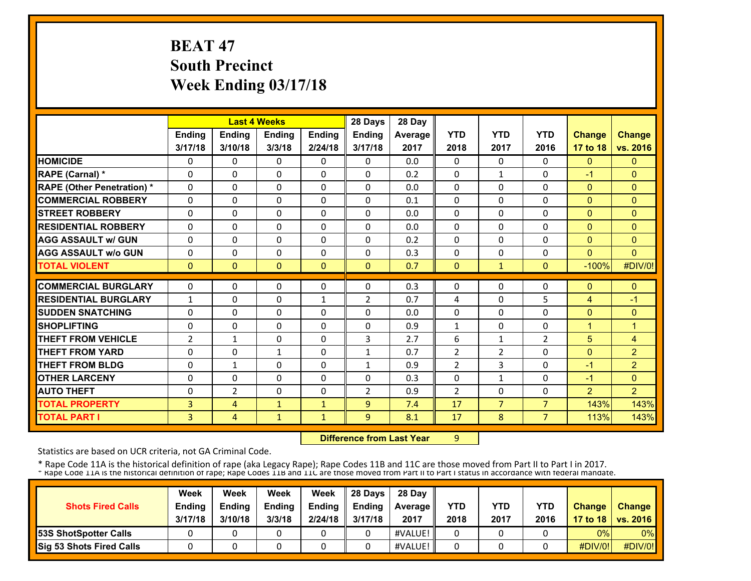# **BEAT 47 South Precinct Week Ending 03/17/18**

|                                   |                |                | <b>Last 4 Weeks</b> |              | 28 Days        | 28 Day  |                |                |                |                |                |
|-----------------------------------|----------------|----------------|---------------------|--------------|----------------|---------|----------------|----------------|----------------|----------------|----------------|
|                                   | Ending         | Ending         | <b>Ending</b>       | Ending       | Ending         | Average | <b>YTD</b>     | <b>YTD</b>     | <b>YTD</b>     | <b>Change</b>  | <b>Change</b>  |
|                                   | 3/17/18        | 3/10/18        | 3/3/18              | 2/24/18      | 3/17/18        | 2017    | 2018           | 2017           | 2016           | 17 to 18       | vs. 2016       |
| <b>HOMICIDE</b>                   | 0              | 0              | $\mathbf{0}$        | 0            | $\Omega$       | 0.0     | 0              | $\Omega$       | $\Omega$       | $\mathbf{0}$   | $\mathbf{0}$   |
| RAPE (Carnal) *                   | $\Omega$       | $\Omega$       | $\Omega$            | $\Omega$     | $\Omega$       | 0.2     | $\Omega$       | $\mathbf{1}$   | $\Omega$       | $-1$           | $\Omega$       |
| <b>RAPE (Other Penetration) *</b> | $\Omega$       | $\Omega$       | $\Omega$            | $\Omega$     | $\Omega$       | 0.0     | 0              | 0              | $\Omega$       | $\Omega$       | $\mathbf{0}$   |
| <b>COMMERCIAL ROBBERY</b>         | $\Omega$       | 0              | $\Omega$            | $\Omega$     | $\Omega$       | 0.1     | 0              | 0              | $\Omega$       | $\Omega$       | $\Omega$       |
| <b>STREET ROBBERY</b>             | $\Omega$       | $\Omega$       | $\Omega$            | $\Omega$     | $\Omega$       | 0.0     | $\Omega$       | 0              | $\Omega$       | $\mathbf{0}$   | $\mathbf{0}$   |
| <b>RESIDENTIAL ROBBERY</b>        | $\Omega$       | $\Omega$       | $\mathbf{0}$        | 0            | 0              | 0.0     | 0              | 0              | 0              | $\mathbf{0}$   | $\Omega$       |
| <b>AGG ASSAULT w/ GUN</b>         | $\Omega$       | 0              | $\Omega$            | 0            | $\Omega$       | 0.2     | 0              | 0              | 0              | $\mathbf{0}$   | $\Omega$       |
| <b>AGG ASSAULT w/o GUN</b>        | 0              | 0              | $\mathbf{0}$        | 0            | $\Omega$       | 0.3     | 0              | 0              | 0              | $\Omega$       | $\Omega$       |
| <b>TOTAL VIOLENT</b>              | $\mathbf{0}$   | $\Omega$       | $\mathbf{0}$        | $\Omega$     | $\Omega$       | 0.7     | $\Omega$       | $\mathbf{1}$   | $\Omega$       | $-100%$        | #DIV/0!        |
| <b>COMMERCIAL BURGLARY</b>        | $\Omega$       | $\Omega$       | $\Omega$            | 0            | $\Omega$       | 0.3     | 0              | 0              | $\Omega$       | $\mathbf{0}$   | $\Omega$       |
|                                   |                |                |                     |              |                |         |                |                |                |                |                |
| <b>RESIDENTIAL BURGLARY</b>       | $\mathbf{1}$   | $\Omega$       | $\Omega$            | $\mathbf{1}$ | $\overline{2}$ | 0.7     | 4              | 0              | 5              | $\overline{4}$ | $-1$           |
| <b>SUDDEN SNATCHING</b>           | 0              | 0              | $\mathbf{0}$        | 0            | 0              | 0.0     | 0              | 0              | 0              | $\mathbf{0}$   | $\Omega$       |
| <b>SHOPLIFTING</b>                | 0              | 0              | $\mathbf{0}$        | 0            | 0              | 0.9     | 1              | 0              | 0              | 1              | $\mathbf{1}$   |
| <b>THEFT FROM VEHICLE</b>         | $\overline{2}$ | $\mathbf{1}$   | $\mathbf{0}$        | 0            | 3              | 2.7     | 6              | $\mathbf{1}$   | $\overline{2}$ | 5              | 4              |
| <b>THEFT FROM YARD</b>            | 0              | $\Omega$       | $\mathbf{1}$        | 0            | $\mathbf{1}$   | 0.7     | $\overline{2}$ | $\overline{2}$ | $\Omega$       | $\Omega$       | $\overline{2}$ |
| <b>THEFT FROM BLDG</b>            | 0              | $\mathbf{1}$   | $\Omega$            | 0            | $\mathbf{1}$   | 0.9     | $\overline{2}$ | 3              | $\Omega$       | $-1$           | $\overline{2}$ |
| <b>OTHER LARCENY</b>              | $\Omega$       | $\Omega$       | $\Omega$            | $\Omega$     | $\Omega$       | 0.3     | $\Omega$       | $\mathbf{1}$   | $\Omega$       | $-1$           | $\mathbf{0}$   |
| <b>AUTO THEFT</b>                 | 0              | $\overline{2}$ | $\Omega$            | $\Omega$     | $\overline{2}$ | 0.9     | $\overline{2}$ | 0              | $\Omega$       | 2              | $\overline{2}$ |
| <b>TOTAL PROPERTY</b>             | 3              | 4              | $\mathbf{1}$        | $\mathbf{1}$ | 9              | 7.4     | 17             | $\overline{7}$ | $\overline{7}$ | 143%           | 143%           |
| <b>TOTAL PART I</b>               | 3              | 4              | $\mathbf{1}$        | 1            | 9              | 8.1     | 17             | 8              | $\overline{7}$ | 113%           | 143%           |

 **Difference from Last Year**

9

Statistics are based on UCR criteria, not GA Criminal Code.

| <b>Shots Fired Calls</b>        | Week<br><b>Ending</b> | Week<br><b>Endina</b> | Week<br><b>Ending</b> | Week<br>Ending | 28 Davs<br><b>Endina</b> | 28 Day<br><b>Average</b> II | YTD  | YTD  | <b>YTD</b> | <b>Change</b>  | <b>Change</b>       |
|---------------------------------|-----------------------|-----------------------|-----------------------|----------------|--------------------------|-----------------------------|------|------|------------|----------------|---------------------|
|                                 | 3/17/18               | 3/10/18               | 3/3/18                | 2/24/18        | 3/17/18                  | 2017                        | 2018 | 2017 | 2016       |                | 17 to 18   vs. 2016 |
| <b>53S ShotSpotter Calls</b>    |                       |                       |                       |                |                          | #VALUE!                     |      |      |            | 0%             | $0\%$               |
| <b>Sig 53 Shots Fired Calls</b> |                       |                       |                       |                |                          | #VALUE!                     |      |      |            | <b>#DIV/0!</b> | #DIV/0!             |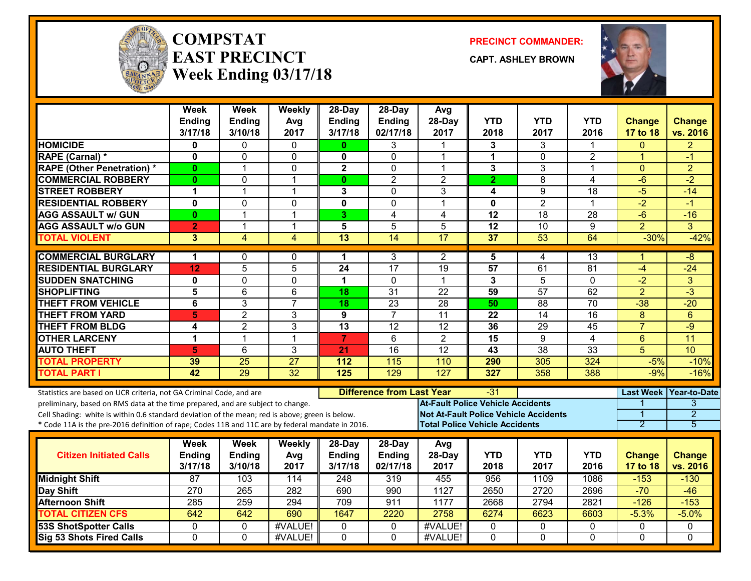

#### **COMPSTATEAST PRECINCTWeek Ending 03/17/18**

**PRECINCT COMMANDER:**

**CAPT. ASHLEY BROWN**



|                                                                                                  | <b>Week</b><br>Ending<br>3/17/18 | Week<br><b>Ending</b><br>3/10/18 | Weekly<br>Avg<br>2017 | 28-Day<br>Ending<br>3/17/18 | $28-Dav$<br>Ending<br>02/17/18   | Avg<br>28-Day<br>2017                        | <b>YTD</b><br>2018   | <b>YTD</b><br>2017 | <b>YTD</b><br>2016 | <b>Change</b><br>17 to 18 | <b>Change</b><br>vs. 2016 |
|--------------------------------------------------------------------------------------------------|----------------------------------|----------------------------------|-----------------------|-----------------------------|----------------------------------|----------------------------------------------|----------------------|--------------------|--------------------|---------------------------|---------------------------|
| <b>HOMICIDE</b>                                                                                  | 0                                | 0                                | $\mathbf{0}$          | $\mathbf{0}$                | 3                                | -1                                           | 3                    | 3                  | 1                  | $\Omega$                  | $\overline{2}$            |
| RAPE (Carnal) *                                                                                  | 0                                | $\mathbf 0$                      | 0                     | 0                           | $\Omega$                         | $\mathbf{1}$                                 | $\blacktriangleleft$ | 0                  | $\overline{2}$     | $\mathbf{1}$              | $-1$                      |
| <b>RAPE (Other Penetration) *</b>                                                                | 0                                | 1                                | 0                     | $\mathbf 2$                 | 0                                | $\overline{1}$                               | 3                    | 3                  | $\mathbf{1}$       | $\overline{0}$            | $\overline{2}$            |
| <b>COMMERCIAL ROBBERY</b>                                                                        | $\mathbf{0}$                     | 0                                | $\mathbf 1$           | $\mathbf{0}$                | $\overline{2}$                   | $\overline{2}$                               | $\mathbf{2}$         | 8                  | 4                  | $-6$                      | $-2$                      |
| <b>STREET ROBBERY</b>                                                                            | 1                                | 1                                | $\mathbf{1}$          | 3                           | 0                                | 3                                            | 4                    | 9                  | 18                 | $-5$                      | $-14$                     |
| <b>RESIDENTIAL ROBBERY</b>                                                                       | 0                                | 0                                | 0                     | 0                           | 0                                | $\mathbf{1}$                                 | 0                    | $\overline{2}$     | 1                  | $-2$                      | $-1$                      |
| <b>AGG ASSAULT w/ GUN</b>                                                                        | $\bf{0}$                         | $\mathbf 1$                      | $\mathbf 1$           | 3                           | 4                                | 4                                            | 12                   | 18                 | 28                 | $-6$                      | $-16$                     |
| <b>AGG ASSAULT w/o GUN</b>                                                                       | $\mathbf{2}$                     | $\mathbf 1$                      | 1                     | 5                           | 5                                | 5                                            | $\overline{12}$      | $\overline{10}$    | 9                  | $\overline{2}$            | 3                         |
| <b>TOTAL VIOLENT</b>                                                                             | 3                                | 4                                | $\overline{4}$        | 13                          | 14                               | 17                                           | 37                   | 53                 | 64                 | $-30%$                    | $-42%$                    |
| <b>COMMERCIAL BURGLARY</b>                                                                       | 1                                | 0                                | 0                     | 1                           | 3                                | 2                                            | 5                    | 4                  | 13                 |                           | -8                        |
| <b>RESIDENTIAL BURGLARY</b>                                                                      | 12                               | $\overline{5}$                   | $\overline{5}$        | $\overline{24}$             | 17                               | $\overline{19}$                              | 57                   | 61                 | $\overline{81}$    | $-4$                      | $-24$                     |
| <b>SUDDEN SNATCHING</b>                                                                          | 0                                | $\mathbf{0}$                     | 0                     | $\mathbf 1$                 | $\Omega$                         | $\overline{1}$                               | $\mathbf{3}$         | 5                  | $\Omega$           | $-2$                      | 3                         |
| <b>SHOPLIFTING</b>                                                                               | 5                                | $6\phantom{1}$                   | $6\phantom{1}$        | 18                          | $\overline{31}$                  | $\overline{22}$                              | 59                   | $\overline{57}$    | 62                 | $\overline{2}$            | $\overline{3}$            |
| <b>THEFT FROM VEHICLE</b>                                                                        | 6                                | 3                                | $\overline{7}$        | 18                          | $\overline{23}$                  | $\overline{28}$                              | 50                   | $\overline{88}$    | $\overline{70}$    | $-38$                     | $-20$                     |
| <b>THEFT FROM YARD</b>                                                                           | 5                                | $\overline{2}$                   | $\overline{3}$        | $\overline{9}$              | $\overline{7}$                   | 11                                           | $\overline{22}$      | 14                 | $\overline{16}$    | $\overline{8}$            | 6                         |
| <b>THEFT FROM BLDG</b>                                                                           | 4                                | $\overline{2}$                   | 3                     | 13                          | 12                               | 12                                           | 36                   | 29                 | 45                 | $\overline{7}$            | $-9$                      |
| <b>OTHER LARCENY</b>                                                                             | 1                                | 1                                | 1                     | $\overline{7}$              | 6                                | $\overline{2}$                               | 15                   | 9                  | 4                  | $6\phantom{1}$            | 11                        |
| <b>AUTO THEFT</b>                                                                                | 5                                | 6                                | 3                     | 21                          | $\overline{16}$                  | $\overline{12}$                              | 43                   | $\overline{38}$    | 33                 | 5                         | 10                        |
| <b>TOTAL PROPERTY</b>                                                                            | 39                               | 25                               | 27                    | 112                         | 115                              | 110                                          | 290                  | 305                | 324                | $-5%$                     | $-10%$                    |
| <b>TOTAL PART I</b>                                                                              | 42                               | 29                               | 32                    | 125                         | 129                              | 127                                          | 327                  | 358                | 388                | $-9%$                     | $-16%$                    |
| Statistics are based on UCR criteria, not GA Criminal Code, and are                              |                                  |                                  |                       |                             | <b>Difference from Last Year</b> |                                              | -31                  |                    |                    | <b>Last Week</b>          | <b>Year-to-Date</b>       |
| preliminary, based on RMS data at the time prepared, and are subject to change.                  |                                  |                                  |                       |                             |                                  | <b>At-Fault Police Vehicle Accidents</b>     |                      |                    |                    |                           | $\overline{3}$            |
| Cell Shading: white is within 0.6 standard deviation of the mean; red is above; green is below.  |                                  |                                  |                       |                             |                                  | <b>Not At-Fault Police Vehicle Accidents</b> |                      |                    |                    | 1                         | $\overline{2}$            |
| * Code 11A is the pre-2016 definition of rape; Codes 11B and 11C are by federal mandate in 2016. |                                  |                                  |                       |                             |                                  | <b>Total Police Vehicle Accidents</b>        |                      |                    |                    | 2                         | 5                         |
|                                                                                                  | Week                             | Week                             | Weekly                | 28-Day                      | 28-Day                           | Avg                                          |                      |                    |                    |                           |                           |
| <b>Citizen Initiated Calls</b>                                                                   | Ending                           | <b>Ending</b>                    | Avg                   | Ending                      | Ending                           | 28-Day                                       | <b>YTD</b>           | <b>YTD</b>         | <b>YTD</b>         | <b>Change</b>             | <b>Change</b>             |
|                                                                                                  | 3/17/18                          | 3/10/18                          | 2017                  | 3/17/18                     | 02/17/18                         | 2017                                         | 2018                 | 2017               | 2016               | 17 to 18                  | vs. 2016                  |
| <b>Midnight Shift</b>                                                                            | $\overline{87}$                  | 103                              | 114                   | 248                         | 319                              | 455                                          | 956                  | 1109               | 1086               | $-153$                    | $-130$                    |
| <b>Day Shift</b>                                                                                 | 270                              | 265                              | 282                   | 690                         | 990                              | 1127                                         | 2650                 | 2720               | 2696               | $-70$                     | $-46$                     |
| <b>Afternoon Shift</b>                                                                           | 285                              | $\overline{259}$                 | 294                   | 709                         | 911                              | 1177                                         | 2668                 | 2794               | 2821               | $-126$                    | $-153$                    |
| <b>TOTAL CITIZEN CFS</b>                                                                         | 642                              | 642                              | 690                   | 1647                        | 2220                             | 2758                                         | 6274                 | 6623               | 6603               | $-5.3%$                   | $-5.0%$                   |
| <b>53S ShotSpotter Calls</b>                                                                     | $\mathbf 0$                      | $\Omega$                         | #VALUE!               | $\Omega$                    | 0                                | #VALUE!                                      | $\mathbf 0$          | $\mathbf{0}$       | $\Omega$           | $\Omega$                  | $\Omega$                  |
| <b>Sig 53 Shots Fired Calls</b>                                                                  | $\mathbf{0}$                     | $\Omega$                         | #VALUE!               | $\mathbf{0}$                | $\mathbf{0}$                     | #VALUE!                                      | $\Omega$             | $\mathbf{0}$       | $\Omega$           | $\Omega$                  | $\Omega$                  |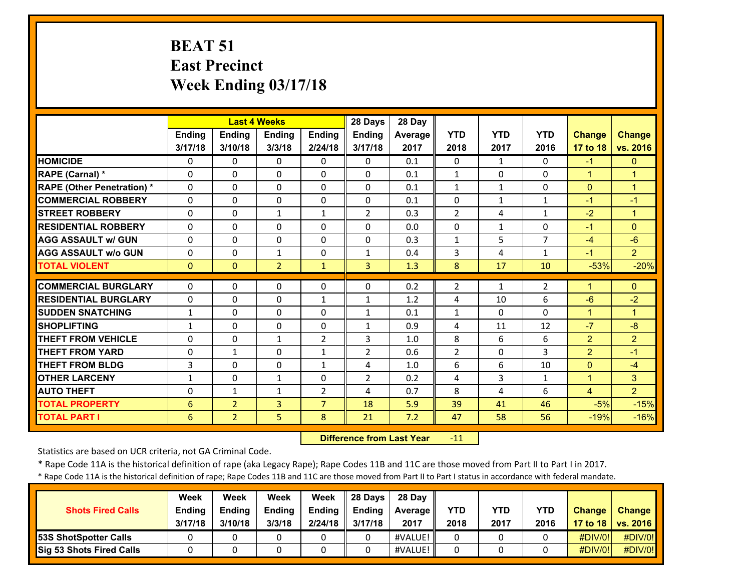# **BEAT 51 East Precinct Week Ending 03/17/18**

|                                   |               |                | <b>Last 4 Weeks</b> |                | 28 Days        | 28 Day  |                |              |                |                |                |
|-----------------------------------|---------------|----------------|---------------------|----------------|----------------|---------|----------------|--------------|----------------|----------------|----------------|
|                                   | <b>Ending</b> | <b>Ending</b>  | <b>Ending</b>       | <b>Ending</b>  | Ending         | Average | <b>YTD</b>     | <b>YTD</b>   | <b>YTD</b>     | <b>Change</b>  | <b>Change</b>  |
|                                   | 3/17/18       | 3/10/18        | 3/3/18              | 2/24/18        | 3/17/18        | 2017    | 2018           | 2017         | 2016           | 17 to 18       | vs. 2016       |
| <b>HOMICIDE</b>                   | 0             | 0              | $\mathbf{0}$        | $\Omega$       | $\mathbf{0}$   | 0.1     | $\Omega$       | $\mathbf{1}$ | $\Omega$       | $-1$           | $\mathbf{0}$   |
| RAPE (Carnal) *                   | 0             | 0              | $\mathbf{0}$        | 0              | 0              | 0.1     | $\mathbf{1}$   | $\mathbf{0}$ | 0              | $\mathbf{1}$   | 1              |
| <b>RAPE (Other Penetration)</b> * | $\Omega$      | $\Omega$       | $\Omega$            | $\Omega$       | $\Omega$       | 0.1     | $\mathbf{1}$   | $\mathbf{1}$ | $\Omega$       | $\Omega$       | $\mathbf{1}$   |
| <b>COMMERCIAL ROBBERY</b>         | $\Omega$      | $\Omega$       | $\Omega$            | $\Omega$       | $\Omega$       | 0.1     | $\Omega$       | $\mathbf{1}$ | $\mathbf{1}$   | $-1$           | $-1$           |
| <b>STREET ROBBERY</b>             | $\Omega$      | $\Omega$       | $\mathbf{1}$        | $\mathbf{1}$   | $\overline{2}$ | 0.3     | $\overline{2}$ | 4            | $\mathbf{1}$   | $-2$           | 1              |
| <b>RESIDENTIAL ROBBERY</b>        | 0             | $\Omega$       | $\Omega$            | $\Omega$       | $\Omega$       | 0.0     | $\Omega$       | $\mathbf{1}$ | $\Omega$       | $-1$           | $\Omega$       |
| <b>AGG ASSAULT w/ GUN</b>         | 0             | $\Omega$       | $\Omega$            | 0              | $\Omega$       | 0.3     | $\mathbf{1}$   | 5            | $\overline{7}$ | $-4$           | $-6$           |
| <b>AGG ASSAULT w/o GUN</b>        | 0             | $\Omega$       | $\mathbf{1}$        | 0              | $\mathbf{1}$   | 0.4     | 3              | 4            | $\mathbf{1}$   | -1             | $\overline{2}$ |
| <b>TOTAL VIOLENT</b>              | $\mathbf{0}$  | $\Omega$       | $\overline{2}$      | $\mathbf{1}$   | $\overline{3}$ | 1.3     | 8              | 17           | 10             | $-53%$         | $-20%$         |
| <b>COMMERCIAL BURGLARY</b>        | 0             | 0              | $\mathbf{0}$        | 0              | 0              | 0.2     | 2              | $\mathbf{1}$ | 2              | 1              | $\Omega$       |
| <b>RESIDENTIAL BURGLARY</b>       | $\Omega$      | $\Omega$       | $\Omega$            | $\mathbf{1}$   | $\mathbf{1}$   | 1.2     | 4              | 10           | 6              | $-6$           | $-2$           |
| <b>SUDDEN SNATCHING</b>           | 1             | 0              | $\mathbf{0}$        | 0              | $\mathbf{1}$   | 0.1     | $\mathbf{1}$   | 0            | 0              | 1              | 1              |
| <b>SHOPLIFTING</b>                | 1             | $\Omega$       | $\Omega$            | $\Omega$       | $\mathbf{1}$   | 0.9     | 4              | 11           | 12             | $-7$           | $-8$           |
| <b>THEFT FROM VEHICLE</b>         | $\Omega$      | $\Omega$       | $\mathbf{1}$        | $\overline{2}$ | 3              | 1.0     | 8              | 6            | 6              | $\overline{2}$ | $\overline{2}$ |
| <b>THEFT FROM YARD</b>            | $\Omega$      | $\mathbf{1}$   | $\Omega$            | $\mathbf{1}$   | $\mathcal{P}$  | 0.6     | $\overline{2}$ | $\Omega$     | 3              | $\overline{2}$ | $-1$           |
| <b>THEFT FROM BLDG</b>            | 3             | $\Omega$       | $\Omega$            | $\mathbf{1}$   | 4              | 1.0     | 6              | 6            | 10             | $\Omega$       | $-4$           |
| <b>OTHER LARCENY</b>              | 1             | $\Omega$       | $\mathbf{1}$        | $\Omega$       | $\overline{2}$ | 0.2     | 4              | 3            | $\mathbf{1}$   | $\mathbf{1}$   | 3 <sup>1</sup> |
| <b>AUTO THEFT</b>                 | 0             | $\mathbf{1}$   | $\mathbf{1}$        | $\overline{2}$ | 4              | 0.7     | 8              | 4            | 6              | $\overline{4}$ | $\overline{2}$ |
| <b>TOTAL PROPERTY</b>             | 6             | $\overline{2}$ | 3                   | $\overline{7}$ | 18             | 5.9     | 39             | 41           | 46             | $-5%$          | $-15%$         |
| <b>TOTAL PART I</b>               | 6             | $\overline{2}$ | 5                   | 8              | 21             | 7.2     | 47             | 58           | 56             | $-19%$         | $-16%$         |

 **Difference from Last Year** $-11$ 

Statistics are based on UCR criteria, not GA Criminal Code.

\* Rape Code 11A is the historical definition of rape (aka Legacy Rape); Rape Codes 11B and 11C are those moved from Part II to Part I in 2017.

\* Rape Code 11A is the historical definition of rape; Rape Codes 11B and 11C are those moved from Part II to Part I status in accordance with federal mandate.

| <b>Shots Fired Calls</b>        | Week<br>Ending<br>3/17/18 | Week<br>Endina<br>3/10/18 | Week<br><b>Ending</b><br>3/3/18 | Week<br><b>Ending</b><br>2/24/18 | 28 Davs<br><b>Ending</b><br>3/17/18 | 28 Day<br>Average II<br>2017 | YTD<br>2018 | YTD<br>2017 | <b>YTD</b><br>2016 | <b>Change</b><br>17 to 18 | <b>Change</b><br><b>VS. 2016</b> |
|---------------------------------|---------------------------|---------------------------|---------------------------------|----------------------------------|-------------------------------------|------------------------------|-------------|-------------|--------------------|---------------------------|----------------------------------|
| <b>53S ShotSpotter Calls</b>    |                           |                           |                                 |                                  |                                     | #VALUE!                      |             |             |                    | $\#$ DIV/0!               | #DIV/0!                          |
| <b>Sig 53 Shots Fired Calls</b> |                           |                           |                                 |                                  |                                     | #VALUE!                      |             |             |                    | $\#$ DIV/0!               | #DIV/0!                          |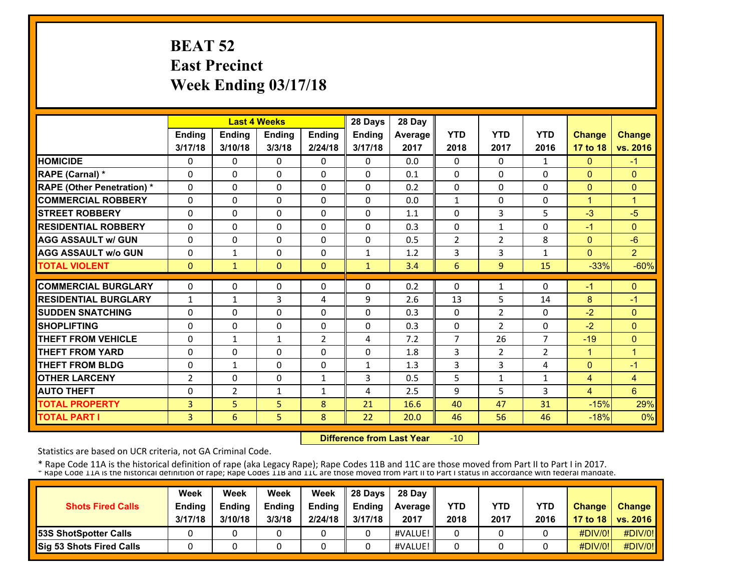# **BEAT 52 East Precinct Week Ending 03/17/18**

|                                   |               | <b>Last 4 Weeks</b> |              |                | 28 Days       | 28 Day  |                |                |                |                      |                      |
|-----------------------------------|---------------|---------------------|--------------|----------------|---------------|---------|----------------|----------------|----------------|----------------------|----------------------|
|                                   | <b>Ending</b> | <b>Ending</b>       | Ending       | <b>Ending</b>  | <b>Ending</b> | Average | <b>YTD</b>     | <b>YTD</b>     | <b>YTD</b>     | <b>Change</b>        | <b>Change</b>        |
|                                   | 3/17/18       | 3/10/18             | 3/3/18       | 2/24/18        | 3/17/18       | 2017    | 2018           | 2017           | 2016           | 17 to 18             | vs. 2016             |
| <b>HOMICIDE</b>                   | 0             | 0                   | $\Omega$     | 0              | $\Omega$      | 0.0     | 0              | $\Omega$       | 1              | $\mathbf{0}$         | $-1$                 |
| RAPE (Carnal) *                   | 0             | $\Omega$            | $\Omega$     | $\Omega$       | $\Omega$      | 0.1     | $\Omega$       | $\Omega$       | 0              | $\Omega$             | $\mathbf{0}$         |
| <b>RAPE (Other Penetration) *</b> | $\Omega$      | 0                   | $\Omega$     | $\Omega$       | $\Omega$      | 0.2     | 0              | 0              | 0              | $\mathbf{0}$         | $\Omega$             |
| <b>COMMERCIAL ROBBERY</b>         | $\Omega$      | 0                   | 0            | $\mathbf{0}$   | $\Omega$      | 0.0     | $\mathbf{1}$   | 0              | 0              | $\blacktriangleleft$ | $\blacktriangleleft$ |
| <b>ISTREET ROBBERY</b>            | $\Omega$      | 0                   | $\Omega$     | $\Omega$       | $\Omega$      | 1.1     | $\Omega$       | 3              | 5              | $-3$                 | $-5$                 |
| <b>RESIDENTIAL ROBBERY</b>        | $\Omega$      | 0                   | 0            | $\mathbf{0}$   | $\Omega$      | 0.3     | $\Omega$       | $\mathbf{1}$   | 0              | $-1$                 | $\mathbf{0}$         |
| <b>AGG ASSAULT w/ GUN</b>         | $\Omega$      | $\Omega$            | $\Omega$     | $\Omega$       | $\Omega$      | 0.5     | $\overline{2}$ | $\overline{2}$ | 8              | $\mathbf{0}$         | $-6$                 |
| <b>AGG ASSAULT w/o GUN</b>        | 0             | $\mathbf{1}$        | $\Omega$     | $\mathbf{0}$   | $\mathbf{1}$  | 1.2     | 3              | 3              | 1              | $\Omega$             | $\overline{2}$       |
| <b>TOTAL VIOLENT</b>              | $\Omega$      | $\mathbf{1}$        | $\Omega$     | $\mathbf{0}$   | $\mathbf{1}$  | 3.4     | 6              | $\overline{9}$ | 15             | $-33%$               | $-60%$               |
| <b>COMMERCIAL BURGLARY</b>        | $\mathbf{0}$  | 0                   | 0            | 0              | 0             | 0.2     | 0              | 1              | 0              | -1                   | $\Omega$             |
| <b>RESIDENTIAL BURGLARY</b>       | $\mathbf{1}$  | $\mathbf{1}$        | 3            | 4              | 9             | 2.6     | 13             | 5              | 14             | 8                    | $-1$                 |
| <b>SUDDEN SNATCHING</b>           | 0             | $\Omega$            | $\Omega$     | $\mathbf{0}$   | $\Omega$      | 0.3     | 0              | $\overline{2}$ | 0              | $-2$                 | $\Omega$             |
| <b>SHOPLIFTING</b>                | $\mathbf{0}$  | 0                   | 0            | 0              | 0             | 0.3     | 0              | $\overline{2}$ | 0              | $-2$                 | $\mathbf{0}$         |
| <b>THEFT FROM VEHICLE</b>         | $\mathbf{0}$  | $\mathbf{1}$        | $\mathbf{1}$ | $\overline{2}$ | 4             | 7.2     | 7              | 26             | $\overline{7}$ | $-19$                | $\Omega$             |
| <b>THEFT FROM YARD</b>            | 0             | $\Omega$            | $\Omega$     | $\Omega$       | 0             | 1.8     | 3              | $\overline{2}$ | $\overline{2}$ | $\mathbf{1}$         | 1                    |
| <b>THEFT FROM BLDG</b>            | $\mathbf{0}$  | $\mathbf{1}$        | $\Omega$     | $\Omega$       | $\mathbf{1}$  | 1.3     | 3              | 3              | 4              | $\Omega$             | $-1$                 |
| <b>OTHER LARCENY</b>              | 2             | 0                   | $\Omega$     | $\mathbf{1}$   | 3             | 0.5     | 5              | $\mathbf{1}$   | $\mathbf{1}$   | 4                    | $\overline{4}$       |
| <b>AUTO THEFT</b>                 | $\mathbf{0}$  | $\overline{2}$      | $\mathbf{1}$ | $\mathbf{1}$   | 4             | 2.5     | 9              | 5              | 3              | $\overline{4}$       | 6                    |
| <b>TOTAL PROPERTY</b>             | 3             | 5                   | 5            | 8              | 21            | 16.6    | 40             | 47             | 31             | $-15%$               | 29%                  |
| <b>TOTAL PART I</b>               | 3             | 6                   | 5            | 8              | 22            | 20.0    | 46             | 56             | 46             | $-18%$               | 0%                   |

 **Difference from Last Year** $-10$ 

Statistics are based on UCR criteria, not GA Criminal Code.

| <b>Shots Fired Calls</b>        | Week<br><b>Ending</b><br>3/17/18 | Week<br><b>Ending</b><br>3/10/18 | Week<br><b>Ending</b><br>3/3/18 | Week<br>Ending<br>2/24/18 | 28 Days<br><b>Endina</b><br>3/17/18 | 28 Day<br><b>Average II</b><br>2017 | YTD<br>2018 | YTD<br>2017 | <b>YTD</b><br>2016 | <b>Change</b> | <b>Change</b><br>17 to 18   vs. 2016 |
|---------------------------------|----------------------------------|----------------------------------|---------------------------------|---------------------------|-------------------------------------|-------------------------------------|-------------|-------------|--------------------|---------------|--------------------------------------|
| <b>153S ShotSpotter Calls</b>   |                                  |                                  |                                 |                           |                                     | #VALUE!                             |             |             |                    | $\#$ DIV/0!   | #DIV/0!                              |
| <b>Sig 53 Shots Fired Calls</b> |                                  |                                  |                                 |                           |                                     | #VALUE!                             |             |             |                    | #DIV/0!       | #DIV/0!                              |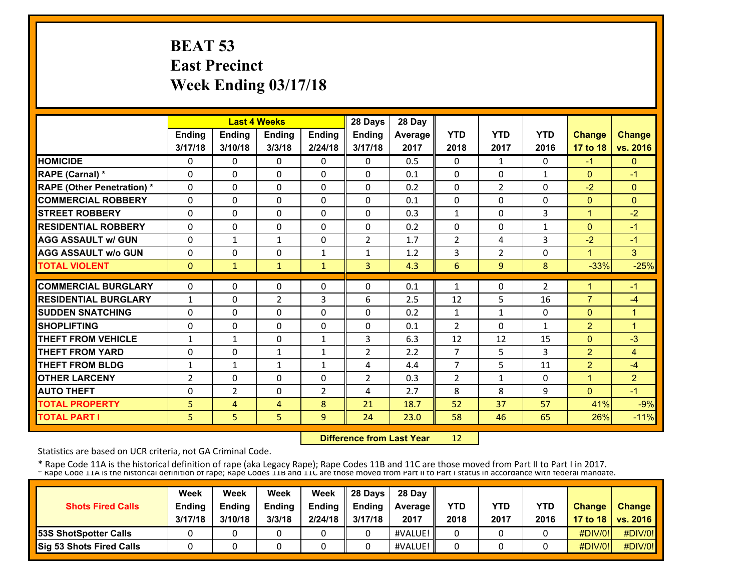# **BEAT 53 East Precinct Week Ending 03/17/18**

|                                   |                   |                   | <b>Last 4 Weeks</b>        |                  | 28 Days        | 28 Day     |                |                |              |                      |                        |
|-----------------------------------|-------------------|-------------------|----------------------------|------------------|----------------|------------|----------------|----------------|--------------|----------------------|------------------------|
|                                   | <b>Ending</b>     | <b>Ending</b>     | Ending                     | <b>Ending</b>    | <b>Ending</b>  | Average    | <b>YTD</b>     | <b>YTD</b>     | <b>YTD</b>   | <b>Change</b>        | <b>Change</b>          |
|                                   | 3/17/18           | 3/10/18           | 3/3/18                     | 2/24/18          | 3/17/18        | 2017       | 2018           | 2017           | 2016         | 17 to 18             | vs. 2016               |
| <b>HOMICIDE</b>                   | 0                 | 0                 | $\Omega$                   | 0                | 0              | 0.5        | $\mathbf{0}$   | $\mathbf{1}$   | 0            | $-1$                 | $\mathbf{0}$           |
| RAPE (Carnal) *                   | 0                 | $\Omega$          | $\Omega$                   | $\mathbf{0}$     | $\Omega$       | 0.1        | $\mathbf{0}$   | $\Omega$       | $\mathbf{1}$ | $\Omega$             | $-1$                   |
| <b>RAPE (Other Penetration)</b> * | $\Omega$          | $\Omega$          | $\Omega$                   | $\Omega$         | $\Omega$       | 0.2        | $\mathbf{0}$   | $\overline{2}$ | 0            | $-2$                 | $\mathbf{0}$           |
| <b>COMMERCIAL ROBBERY</b>         | $\Omega$          | 0                 | $\Omega$                   | $\Omega$         | $\Omega$       | 0.1        | $\mathbf{0}$   | 0              | 0            | $\Omega$             | $\mathbf{0}$           |
| <b>ISTREET ROBBERY</b>            | $\Omega$          | $\Omega$          | $\Omega$                   | $\Omega$         | 0              | 0.3        | $\mathbf{1}$   | 0              | 3            | $\overline{1}$       | $-2$                   |
| <b>RESIDENTIAL ROBBERY</b>        | $\Omega$          | 0                 | $\Omega$                   | $\Omega$         | 0              | 0.2        | $\Omega$       | 0              | $\mathbf{1}$ | $\Omega$             | $-1$                   |
| <b>AGG ASSAULT w/ GUN</b>         | $\Omega$          | $\mathbf{1}$      | $\mathbf{1}$               | $\Omega$         | $\overline{2}$ | 1.7        | $\overline{2}$ | 4              | 3            | $-2$                 | $-1$                   |
| <b>AGG ASSAULT w/o GUN</b>        | $\Omega$          | 0                 | 0                          | $\mathbf{1}$     | $\mathbf{1}$   | 1.2        | 3              | $\overline{2}$ | 0            | 1                    | $\overline{3}$         |
| <b>TOTAL VIOLENT</b>              | $\mathbf{0}$      | $\mathbf{1}$      | $\mathbf{1}$               | 1                | $\overline{3}$ | 4.3        | 6              | 9              | 8            | $-33%$               | $-25%$                 |
| <b>COMMERCIAL BURGLARY</b>        | $\Omega$          | 0                 | 0                          | $\mathbf{0}$     | 0              | 0.1        | $\mathbf{1}$   | 0              | 2            | $\blacktriangleleft$ | $-1$                   |
| <b>RESIDENTIAL BURGLARY</b>       |                   | 0                 |                            |                  | 6              |            |                | 5              |              | $\overline{7}$       |                        |
| <b>SUDDEN SNATCHING</b>           | $\mathbf{1}$      | $\Omega$          | $\overline{2}$<br>$\Omega$ | 3<br>$\mathbf 0$ | $\Omega$       | 2.5<br>0.2 | 12             | $\mathbf{1}$   | 16<br>0      | $\Omega$             | $-4$<br>$\overline{1}$ |
| <b>SHOPLIFTING</b>                | 0<br>$\Omega$     | $\Omega$          | $\Omega$                   | $\Omega$         | $\Omega$       | 0.1        | $\mathbf{1}$   | $\Omega$       | $\mathbf{1}$ | $\overline{2}$       | 1                      |
| <b>THEFT FROM VEHICLE</b>         |                   |                   | $\Omega$                   | $\mathbf{1}$     | 3              | 6.3        | $\overline{2}$ | 12             | 15           | $\Omega$             | $-3$                   |
| <b>THEFT FROM YARD</b>            | $\mathbf{1}$<br>0 | $\mathbf{1}$<br>0 | $\mathbf{1}$               | $\mathbf{1}$     | $\overline{2}$ | 2.2        | 12<br>7        | 5              | 3            | $\overline{2}$       | 4                      |
| <b>THEFT FROM BLDG</b>            | 1                 | $\mathbf{1}$      | $\mathbf{1}$               | $\mathbf{1}$     | 4              | 4.4        | 7              | 5              | 11           | $\overline{2}$       | -4                     |
| <b>OTHER LARCENY</b>              | $\overline{2}$    | $\Omega$          | $\Omega$                   | $\Omega$         | $\overline{2}$ | 0.3        | 2              | 1              | 0            | $\overline{1}$       | $\overline{2}$         |
| <b>AUTO THEFT</b>                 | $\Omega$          | $\overline{2}$    | $\Omega$                   | $\overline{2}$   | 4              | 2.7        | 8              | 8              | 9            | $\Omega$             | $-1$                   |
| <b>TOTAL PROPERTY</b>             | 5                 | 4                 | 4                          | 8                | 21             | 18.7       | 52             | 37             | 57           | 41%                  | $-9%$                  |
|                                   |                   |                   |                            |                  | 24             |            |                | 46             |              |                      |                        |
| <b>TOTAL PART I</b>               | 5                 | 5                 | 5                          | 9                |                | 23.0       | 58             |                | 65           | 26%                  | $-11%$                 |

 **Difference from Last Year**12

Statistics are based on UCR criteria, not GA Criminal Code.

| <b>Shots Fired Calls</b>        | Week<br><b>Ending</b><br>3/17/18 | Week<br><b>Endina</b><br>3/10/18 | Week<br><b>Ending</b><br>3/3/18 | Week<br><b>Endina</b><br>2/24/18 | 28 Davs<br><b>Ending</b><br>3/17/18 | 28 Day<br><b>Average II</b><br>2017 | YTD<br>2018 | YTD<br>2017 | YTD<br>2016 | <b>Change</b> | Change<br>17 to 18   vs. 2016 |
|---------------------------------|----------------------------------|----------------------------------|---------------------------------|----------------------------------|-------------------------------------|-------------------------------------|-------------|-------------|-------------|---------------|-------------------------------|
| <b>53S ShotSpotter Calls</b>    |                                  |                                  |                                 |                                  |                                     | #VALUE!                             |             |             |             | #DIV/0!       | #DIV/0!                       |
| <b>Sig 53 Shots Fired Calls</b> |                                  |                                  |                                 |                                  |                                     | #VALUE!                             |             |             |             | #DIV/0!       | #DIV/0!                       |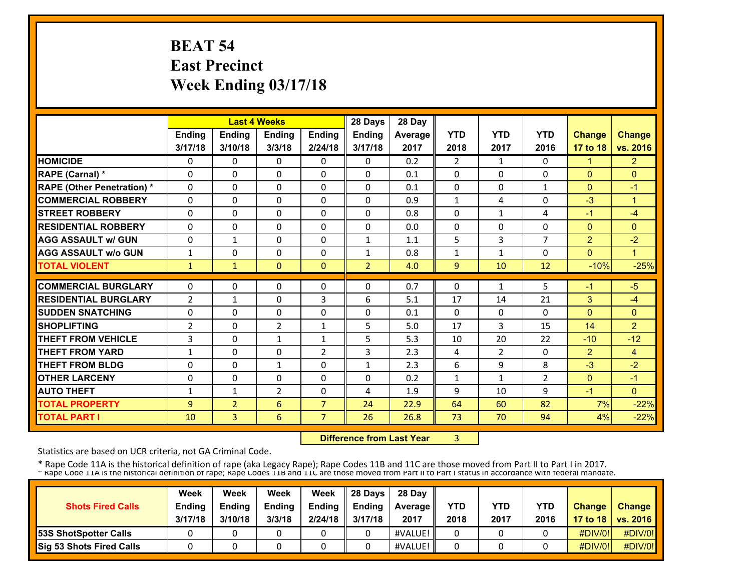# **BEAT 54 East Precinct Week Ending 03/17/18**

|                                   |                |                | <b>Last 4 Weeks</b> |                | 28 Days        | 28 Day  |                |              |                |                |                |
|-----------------------------------|----------------|----------------|---------------------|----------------|----------------|---------|----------------|--------------|----------------|----------------|----------------|
|                                   | <b>Ending</b>  | <b>Ending</b>  | Ending              | Ending         | Ending         | Average | <b>YTD</b>     | <b>YTD</b>   | <b>YTD</b>     | <b>Change</b>  | <b>Change</b>  |
|                                   | 3/17/18        | 3/10/18        | 3/3/18              | 2/24/18        | 3/17/18        | 2017    | 2018           | 2017         | 2016           | 17 to 18       | vs. 2016       |
| <b>HOMICIDE</b>                   | 0              | 0              | $\Omega$            | 0              | $\Omega$       | 0.2     | $\overline{2}$ | $\mathbf{1}$ | $\Omega$       | $\mathbf{1}$   | $\overline{2}$ |
| RAPE (Carnal) *                   | $\Omega$       | $\Omega$       | $\Omega$            | $\Omega$       | $\Omega$       | 0.1     | $\Omega$       | 0            | 0              | $\Omega$       | $\Omega$       |
| <b>RAPE (Other Penetration) *</b> | $\Omega$       | $\Omega$       | $\Omega$            | $\Omega$       | $\Omega$       | 0.1     | $\Omega$       | 0            | $\mathbf{1}$   | $\Omega$       | $-1$           |
| <b>COMMERCIAL ROBBERY</b>         | $\Omega$       | $\Omega$       | $\Omega$            | $\mathbf{0}$   | $\Omega$       | 0.9     | $\mathbf{1}$   | 4            | 0              | $-3$           | $\overline{1}$ |
| <b>STREET ROBBERY</b>             | $\Omega$       | $\Omega$       | $\Omega$            | $\Omega$       | $\Omega$       | 0.8     | $\Omega$       | $\mathbf{1}$ | 4              | $-1$           | $-4$           |
| <b>RESIDENTIAL ROBBERY</b>        | 0              | $\Omega$       | 0                   | $\Omega$       | 0              | 0.0     | 0              | 0            | 0              | $\mathbf{0}$   | $\mathbf{0}$   |
| <b>AGG ASSAULT w/ GUN</b>         | $\Omega$       | 1              | 0                   | $\mathbf{0}$   | 1              | 1.1     | 5              | 3            | $\overline{7}$ | $\overline{2}$ | $-2$           |
| <b>AGG ASSAULT w/o GUN</b>        | 1              | 0              | 0                   | $\mathbf{0}$   | $\mathbf{1}$   | 0.8     | 1              | $\mathbf{1}$ | 0              | $\Omega$       | 1              |
| <b>TOTAL VIOLENT</b>              | $\mathbf{1}$   | $\mathbf{1}$   | $\Omega$            | $\mathbf{0}$   | $\overline{2}$ | 4.0     | 9              | 10           | 12             | $-10%$         | $-25%$         |
| <b>COMMERCIAL BURGLARY</b>        | $\Omega$       | $\Omega$       | 0                   | $\Omega$       | 0              | 0.7     | 0              | 1            | 5              | $-1$           | $-5$           |
| <b>RESIDENTIAL BURGLARY</b>       | $\overline{2}$ | $\mathbf{1}$   | 0                   | 3              | 6              | 5.1     | 17             | 14           | 21             | 3              | $-4$           |
| <b>SUDDEN SNATCHING</b>           | $\Omega$       | $\Omega$       | 0                   | $\Omega$       | 0              | 0.1     | $\Omega$       | 0            | 0              | $\Omega$       | $\mathbf{0}$   |
| <b>SHOPLIFTING</b>                | 2              | 0              | $\overline{2}$      | $\mathbf{1}$   | 5              | 5.0     | 17             | 3            | 15             | 14             | $\overline{2}$ |
| <b>THEFT FROM VEHICLE</b>         | 3              | 0              | $\mathbf{1}$        | $\mathbf{1}$   | 5              | 5.3     | 10             | 20           | 22             | $-10$          | $-12$          |
| <b>THEFT FROM YARD</b>            | 1              | 0              | 0                   | 2              | 3              | 2.3     | 4              | 2            | 0              | $\overline{2}$ | $\overline{4}$ |
| <b>THEFT FROM BLDG</b>            | $\Omega$       | 0              | $\mathbf{1}$        | $\Omega$       | $\mathbf{1}$   | 2.3     | 6              | 9            | 8              | $-3$           | $-2$           |
| <b>OTHER LARCENY</b>              | $\Omega$       | $\Omega$       | $\Omega$            | $\mathbf{0}$   | 0              | 0.2     | $\mathbf{1}$   | 1            | $\overline{2}$ | $\Omega$       | $-1$           |
| <b>AUTO THEFT</b>                 | 1              | $\mathbf{1}$   | 2                   | $\Omega$       | 4              | 1.9     | 9              | 10           | 9              | $-1$           | $\Omega$       |
| <b>TOTAL PROPERTY</b>             | 9              | $\overline{2}$ | 6                   | $\overline{7}$ | 24             | 22.9    | 64             | 60           | 82             | 7%             | $-22%$         |
| <b>TOTAL PART I</b>               | 10             | 3              | 6                   | $\overline{7}$ | 26             | 26.8    | 73             | 70           | 94             | 4%             | $-22%$         |

 **Difference from Last Year**3

Statistics are based on UCR criteria, not GA Criminal Code.

|                              | Week          | Week          | Week          | Week          | 28 Davs       | 28 Day         |      |      |            |               |                     |
|------------------------------|---------------|---------------|---------------|---------------|---------------|----------------|------|------|------------|---------------|---------------------|
| <b>Shots Fired Calls</b>     | <b>Ending</b> | <b>Ending</b> | <b>Ending</b> | <b>Ending</b> | <b>Ending</b> | <b>Average</b> | YTD  | YTD  | <b>YTD</b> | <b>Change</b> | <b>Change</b>       |
|                              | 3/17/18       | 3/10/18       | 3/3/18        | 2/24/18       | 3/17/18       | 2017           | 2018 | 2017 | 2016       |               | 17 to 18   vs. 2016 |
| <b>53S ShotSpotter Calls</b> |               |               |               |               |               | #VALUE!        |      |      |            | $\#$ DIV/0!   | #DIV/0!             |
| Sig 53 Shots Fired Calls     |               |               |               |               |               | #VALUE!        |      |      |            | #DIV/0!       | #DIV/0!             |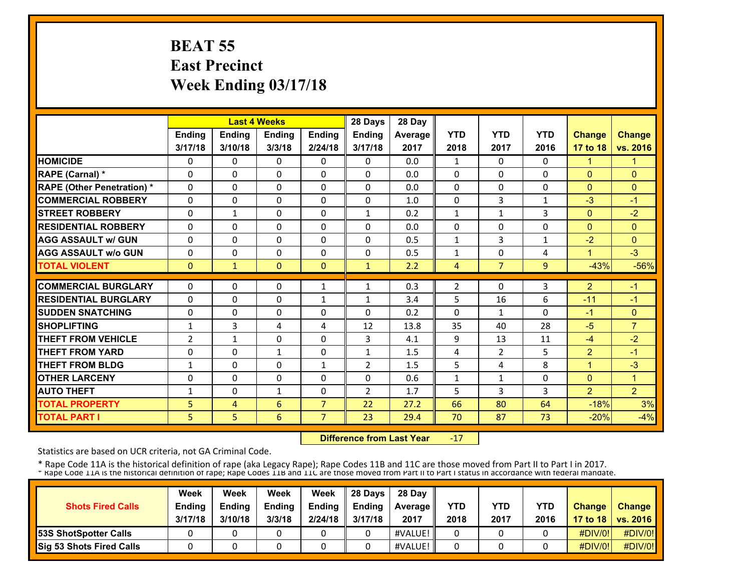# **BEAT 55 East Precinct Week Ending 03/17/18**

|                                   |               | <b>Last 4 Weeks</b> |               |                | 28 Days        | 28 Day  |                |                |                |                |                      |
|-----------------------------------|---------------|---------------------|---------------|----------------|----------------|---------|----------------|----------------|----------------|----------------|----------------------|
|                                   | <b>Ending</b> | <b>Ending</b>       | <b>Ending</b> | <b>Ending</b>  | <b>Ending</b>  | Average | <b>YTD</b>     | <b>YTD</b>     | <b>YTD</b>     | <b>Change</b>  | <b>Change</b>        |
|                                   | 3/17/18       | 3/10/18             | 3/3/18        | 2/24/18        | 3/17/18        | 2017    | 2018           | 2017           | 2016           | 17 to 18       | vs. 2016             |
| <b>HOMICIDE</b>                   | 0             | 0                   | $\Omega$      | 0              | $\Omega$       | 0.0     | 1              | $\Omega$       | $\Omega$       | $\mathbf{1}$   | 1                    |
| RAPE (Carnal) *                   | $\Omega$      | $\Omega$            | $\Omega$      | $\Omega$       | $\Omega$       | 0.0     | $\Omega$       | $\Omega$       | $\Omega$       | $\Omega$       | $\mathbf{0}$         |
| <b>RAPE (Other Penetration)</b> * | $\Omega$      | $\Omega$            | $\Omega$      | $\Omega$       | $\Omega$       | 0.0     | $\Omega$       | $\Omega$       | $\Omega$       | $\Omega$       | $\Omega$             |
| <b>COMMERCIAL ROBBERY</b>         | $\Omega$      | $\Omega$            | 0             | $\mathbf{0}$   | $\Omega$       | 1.0     | $\Omega$       | 3              | 1              | $-3$           | $-1$                 |
| <b>STREET ROBBERY</b>             | $\Omega$      | 1                   | 0             | $\mathbf{0}$   | $\mathbf{1}$   | 0.2     | $\mathbf{1}$   | $\mathbf{1}$   | 3              | $\Omega$       | $-2$                 |
| <b>RESIDENTIAL ROBBERY</b>        | $\Omega$      | 0                   | 0             | $\mathbf{0}$   | $\Omega$       | 0.0     | $\Omega$       | 0              | 0              | $\Omega$       | $\mathbf{0}$         |
| <b>AGG ASSAULT w/ GUN</b>         | $\Omega$      | $\Omega$            | $\Omega$      | $\Omega$       | 0              | 0.5     | $\mathbf{1}$   | 3              | $\mathbf{1}$   | $-2$           | $\mathbf{0}$         |
| <b>AGG ASSAULT w/o GUN</b>        | 0             | $\Omega$            | 0             | $\mathbf{0}$   | 0              | 0.5     | 1              | $\Omega$       | 4              | 1              | $-3$                 |
| <b>TOTAL VIOLENT</b>              | $\mathbf{0}$  | $\mathbf{1}$        | $\Omega$      | $\mathbf{0}$   | $\mathbf{1}$   | 2.2     | 4              | $\overline{7}$ | $\overline{9}$ | $-43%$         | $-56%$               |
| <b>COMMERCIAL BURGLARY</b>        | $\Omega$      | 0                   | 0             | $\mathbf{1}$   | 1              | 0.3     | $\overline{2}$ | 0              | 3              | $\overline{2}$ | $-1$                 |
| <b>RESIDENTIAL BURGLARY</b>       | $\Omega$      | 0                   | 0             | $\mathbf{1}$   | $\mathbf{1}$   | 3.4     | 5              | 16             | 6              | $-11$          | $-1$                 |
|                                   |               |                     |               |                |                |         |                |                |                |                |                      |
| <b>SUDDEN SNATCHING</b>           | 0             | 0                   | 0             | $\mathbf{0}$   | 0              | 0.2     | $\Omega$       | $\mathbf{1}$   | 0              | $-1$           | $\mathbf{0}$         |
| <b>SHOPLIFTING</b>                | $\mathbf{1}$  | 3                   | 4             | 4              | 12             | 13.8    | 35             | 40             | 28             | $-5$           | $\overline{7}$       |
| <b>THEFT FROM VEHICLE</b>         | 2             | $\mathbf{1}$        | 0             | 0              | 3              | 4.1     | 9              | 13             | 11             | $-4$           | $-2$                 |
| <b>THEFT FROM YARD</b>            | $\Omega$      | $\Omega$            | $\mathbf{1}$  | $\Omega$       | $\mathbf{1}$   | 1.5     | 4              | $\overline{2}$ | 5              | $\overline{2}$ | $-1$                 |
| <b>THEFT FROM BLDG</b>            | 1             | $\Omega$            | $\Omega$      | 1              | $\overline{2}$ | 1.5     | 5              | 4              | 8              | $\overline{1}$ | $-3$                 |
| <b>OTHER LARCENY</b>              | $\Omega$      | 0                   | 0             | $\mathbf{0}$   | 0              | 0.6     | $\mathbf{1}$   | 1              | 0              | $\Omega$       | $\blacktriangleleft$ |
| <b>AUTO THEFT</b>                 | 1             | 0                   | $\mathbf{1}$  | 0              | $\overline{2}$ | 1.7     | 5              | 3              | 3              | $\overline{2}$ | $\overline{2}$       |
| <b>TOTAL PROPERTY</b>             | 5             | 4                   | 6             | $\overline{7}$ | 22             | 27.2    | 66             | 80             | 64             | $-18%$         | 3%                   |
| <b>TOTAL PART I</b>               | 5             | 5 <sup>1</sup>      | 6             | 7              | 23             | 29.4    | 70             | 87             | 73             | $-20%$         | $-4%$                |

 **Difference from Last Year**‐17

Statistics are based on UCR criteria, not GA Criminal Code.

| <b>Shots Fired Calls</b>        | Week<br><b>Ending</b><br>3/17/18 | Week<br><b>Endina</b><br>3/10/18 | Week<br><b>Ending</b><br>3/3/18 | Week<br><b>Endina</b><br>2/24/18 | 28 Davs<br><b>Ending</b><br>3/17/18 | 28 Day<br><b>Average II</b><br>2017 | YTD<br>2018 | YTD<br>2017 | YTD<br>2016 | <b>Change</b> | Change<br>17 to 18   vs. 2016 |
|---------------------------------|----------------------------------|----------------------------------|---------------------------------|----------------------------------|-------------------------------------|-------------------------------------|-------------|-------------|-------------|---------------|-------------------------------|
| <b>53S ShotSpotter Calls</b>    |                                  |                                  |                                 |                                  |                                     | #VALUE!                             |             |             |             | #DIV/0!       | #DIV/0!                       |
| <b>Sig 53 Shots Fired Calls</b> |                                  |                                  |                                 |                                  |                                     | #VALUE!                             |             |             |             | #DIV/0!       | #DIV/0!                       |